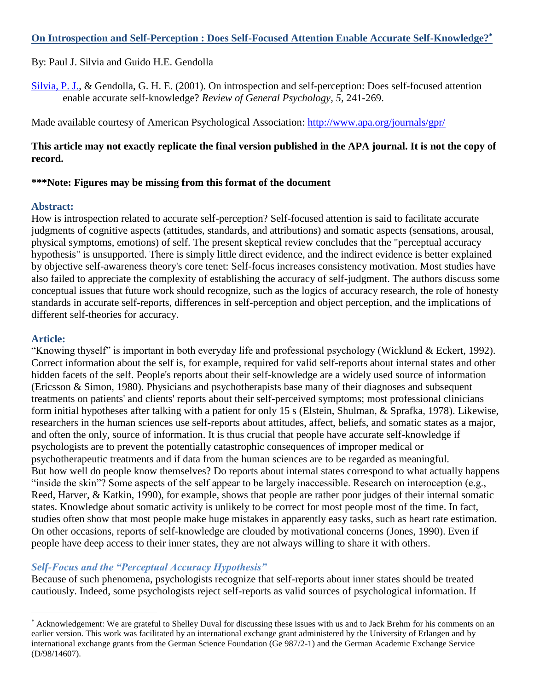# **On Introspection and Self-Perception : Does Self-Focused Attention Enable Accurate Self-Knowledge?**

By: Paul J. Silvia and Guido H.E. Gendolla

[Silvia, P. J.,](http://libres.uncg.edu/ir/uncg/clist.aspx?id=402) & Gendolla, G. H. E. (2001). On introspection and self-perception: Does self-focused attention enable accurate self-knowledge? *Review of General Psychology, 5,* 241-269.

Made available courtesy of American Psychological Association:<http://www.apa.org/journals/gpr/>

# **This article may not exactly replicate the final version published in the APA journal. It is not the copy of record.**

## **\*\*\*Note: Figures may be missing from this format of the document**

## **Abstract:**

How is introspection related to accurate self-perception? Self-focused attention is said to facilitate accurate judgments of cognitive aspects (attitudes, standards, and attributions) and somatic aspects (sensations, arousal, physical symptoms, emotions) of self. The present skeptical review concludes that the "perceptual accuracy hypothesis" is unsupported. There is simply little direct evidence, and the indirect evidence is better explained by objective self-awareness theory's core tenet: Self-focus increases consistency motivation. Most studies have also failed to appreciate the complexity of establishing the accuracy of self-judgment. The authors discuss some conceptual issues that future work should recognize, such as the logics of accuracy research, the role of honesty standards in accurate self-reports, differences in self-perception and object perception, and the implications of different self-theories for accuracy.

# **Article:**

 $\overline{a}$ 

"Knowing thyself" is important in both everyday life and professional psychology [\(Wicklund & Eckert, 1992\)](http://web.ebscohost.com/ehost/detail?vid=5&hid=5&sid=74c256d9-b1e5-48dd-af8e-d73e1e227db6%40sessionmgr11&bdata=JnNpdGU9ZWhvc3QtbGl2ZQ%3d%3d#c129). Correct information about the self is, for example, required for valid self-reports about internal states and other hidden facets of the self. People's reports about their self-knowledge are a widely used source of information [\(Ericsson & Simon, 1980\)](http://web.ebscohost.com/ehost/detail?vid=5&hid=5&sid=74c256d9-b1e5-48dd-af8e-d73e1e227db6%40sessionmgr11&bdata=JnNpdGU9ZWhvc3QtbGl2ZQ%3d%3d#c39). Physicians and psychotherapists base many of their diagnoses and subsequent treatments on patients' and clients' reports about their self-perceived symptoms; most professional clinicians form initial hypotheses after talking with a patient for only 15 s [\(Elstein, Shulman, & Sprafka, 1978\)](http://web.ebscohost.com/ehost/detail?vid=5&hid=5&sid=74c256d9-b1e5-48dd-af8e-d73e1e227db6%40sessionmgr11&bdata=JnNpdGU9ZWhvc3QtbGl2ZQ%3d%3d#c38). Likewise, researchers in the human sciences use self-reports about attitudes, affect, beliefs, and somatic states as a major, and often the only, source of information. It is thus crucial that people have accurate self-knowledge if psychologists are to prevent the potentially catastrophic consequences of improper medical or psychotherapeutic treatments and if data from the human sciences are to be regarded as meaningful. But how well do people know themselves? Do reports about internal states correspond to what actually happens "inside the skin"? Some aspects of the self appear to be largely inaccessible. Research on interoception (e.g., [Reed, Harver, & Katkin, 1990\)](http://web.ebscohost.com/ehost/detail?vid=5&hid=5&sid=74c256d9-b1e5-48dd-af8e-d73e1e227db6%40sessionmgr11&bdata=JnNpdGU9ZWhvc3QtbGl2ZQ%3d%3d#c99), for example, shows that people are rather poor judges of their internal somatic states. Knowledge about somatic activity is unlikely to be correct for most people most of the time. In fact, studies often show that most people make huge mistakes in apparently easy tasks, such as heart rate estimation. On other occasions, reports of self-knowledge are clouded by motivational concerns [\(Jones, 1990\)](http://web.ebscohost.com/ehost/detail?vid=5&hid=5&sid=74c256d9-b1e5-48dd-af8e-d73e1e227db6%40sessionmgr11&bdata=JnNpdGU9ZWhvc3QtbGl2ZQ%3d%3d#c66). Even if people have deep access to their inner states, they are not always willing to share it with others.

# *[Self-Focus and the "Perceptual Accuracy Hypothesis"](http://web.ebscohost.com/ehost/detail?vid=5&hid=5&sid=74c256d9-b1e5-48dd-af8e-d73e1e227db6%40sessionmgr11&bdata=JnNpdGU9ZWhvc3QtbGl2ZQ%3d%3d#toc)*

Because of such phenomena, psychologists recognize that self-reports about inner states should be treated cautiously. Indeed, some psychologists reject self-reports as valid sources of psychological information. If

Acknowledgement: We are grateful to Shelley Duval for discussing these issues with us and to Jack Brehm for his comments on an earlier version. This work was facilitated by an international exchange grant administered by the University of Erlangen and by international exchange grants from the German Science Foundation (Ge 987/2-1) and the German Academic Exchange Service (D/98/14607).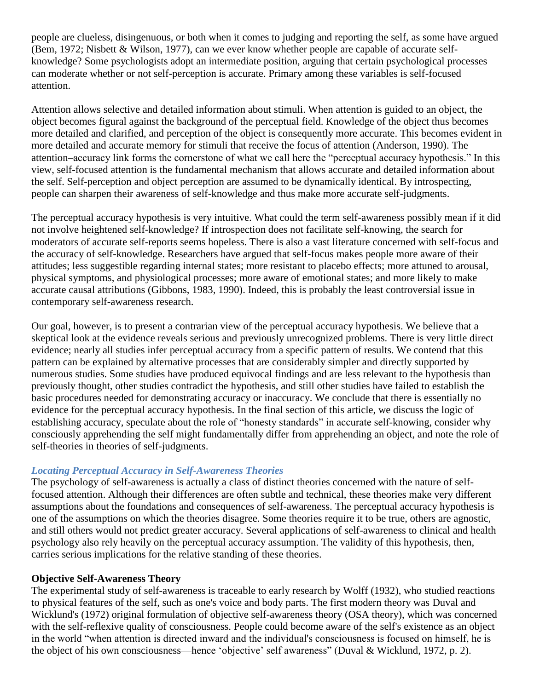people are clueless, disingenuous, or both when it comes to judging and reporting the self, as some have argued [\(Bem, 1972;](http://web.ebscohost.com/ehost/detail?vid=5&hid=5&sid=74c256d9-b1e5-48dd-af8e-d73e1e227db6%40sessionmgr11&bdata=JnNpdGU9ZWhvc3QtbGl2ZQ%3d%3d#c6) [Nisbett & Wilson, 1977\)](http://web.ebscohost.com/ehost/detail?vid=5&hid=5&sid=74c256d9-b1e5-48dd-af8e-d73e1e227db6%40sessionmgr11&bdata=JnNpdGU9ZWhvc3QtbGl2ZQ%3d%3d#c85), can we ever know whether people are capable of accurate selfknowledge? Some psychologists adopt an intermediate position, arguing that certain psychological processes can moderate whether or not self-perception is accurate. Primary among these variables is self-focused attention.

Attention allows selective and detailed information about stimuli. When attention is guided to an object, the object becomes figural against the background of the perceptual field. Knowledge of the object thus becomes more detailed and clarified, and perception of the object is consequently more accurate. This becomes evident in more detailed and accurate memory for stimuli that receive the focus of attention [\(Anderson, 1990\)](http://web.ebscohost.com/ehost/detail?vid=5&hid=5&sid=74c256d9-b1e5-48dd-af8e-d73e1e227db6%40sessionmgr11&bdata=JnNpdGU9ZWhvc3QtbGl2ZQ%3d%3d#c2). The attention–accuracy link forms the cornerstone of what we call here the "perceptual accuracy hypothesis." In this view, self-focused attention is the fundamental mechanism that allows accurate and detailed information about the self. Self-perception and object perception are assumed to be dynamically identical. By introspecting, people can sharpen their awareness of self-knowledge and thus make more accurate self-judgments.

The perceptual accuracy hypothesis is very intuitive. What could the term self-awareness possibly mean if it did not involve heightened self-knowledge? If introspection does not facilitate self-knowing, the search for moderators of accurate self-reports seems hopeless. There is also a vast literature concerned with self-focus and the accuracy of self-knowledge. Researchers have argued that self-focus makes people more aware of their attitudes; less suggestible regarding internal states; more resistant to placebo effects; more attuned to arousal, physical symptoms, and physiological processes; more aware of emotional states; and more likely to make accurate causal attributions [\(Gibbons, 1983,](http://web.ebscohost.com/ehost/detail?vid=5&hid=5&sid=74c256d9-b1e5-48dd-af8e-d73e1e227db6%40sessionmgr11&bdata=JnNpdGU9ZWhvc3QtbGl2ZQ%3d%3d#c50) [1990\)](http://web.ebscohost.com/ehost/detail?vid=5&hid=5&sid=74c256d9-b1e5-48dd-af8e-d73e1e227db6%40sessionmgr11&bdata=JnNpdGU9ZWhvc3QtbGl2ZQ%3d%3d#c51). Indeed, this is probably the least controversial issue in contemporary self-awareness research.

Our goal, however, is to present a contrarian view of the perceptual accuracy hypothesis. We believe that a skeptical look at the evidence reveals serious and previously unrecognized problems. There is very little direct evidence; nearly all studies infer perceptual accuracy from a specific pattern of results. We contend that this pattern can be explained by alternative processes that are considerably simpler and directly supported by numerous studies. Some studies have produced equivocal findings and are less relevant to the hypothesis than previously thought, other studies contradict the hypothesis, and still other studies have failed to establish the basic procedures needed for demonstrating accuracy or inaccuracy. We conclude that there is essentially no evidence for the perceptual accuracy hypothesis. In the final section of this article, we discuss the logic of establishing accuracy, speculate about the role of "honesty standards" in accurate self-knowing, consider why consciously apprehending the self might fundamentally differ from apprehending an object, and note the role of self-theories in theories of self-judgments.

# *[Locating Perceptual Accuracy in Self-Awareness Theories](http://web.ebscohost.com/ehost/detail?vid=5&hid=5&sid=74c256d9-b1e5-48dd-af8e-d73e1e227db6%40sessionmgr11&bdata=JnNpdGU9ZWhvc3QtbGl2ZQ%3d%3d#toc)*

The psychology of self-awareness is actually a class of distinct theories concerned with the nature of selffocused attention. Although their differences are often subtle and technical, these theories make very different assumptions about the foundations and consequences of self-awareness. The perceptual accuracy hypothesis is one of the assumptions on which the theories disagree. Some theories require it to be true, others are agnostic, and still others would not predict greater accuracy. Several applications of self-awareness to clinical and health psychology also rely heavily on the perceptual accuracy assumption. The validity of this hypothesis, then, carries serious implications for the relative standing of these theories.

# **Objective Self-Awareness Theory**

The experimental study of self-awareness is traceable to early research by [Wolff \(1932\),](http://web.ebscohost.com/ehost/detail?vid=5&hid=5&sid=74c256d9-b1e5-48dd-af8e-d73e1e227db6%40sessionmgr11&bdata=JnNpdGU9ZWhvc3QtbGl2ZQ%3d%3d#c135) who studied reactions to physical features of the self, such as one's voice and body parts. The first modern theory was [Duval and](http://web.ebscohost.com/ehost/detail?vid=5&hid=5&sid=74c256d9-b1e5-48dd-af8e-d73e1e227db6%40sessionmgr11&bdata=JnNpdGU9ZWhvc3QtbGl2ZQ%3d%3d#c36)  [Wicklund's \(1972\)](http://web.ebscohost.com/ehost/detail?vid=5&hid=5&sid=74c256d9-b1e5-48dd-af8e-d73e1e227db6%40sessionmgr11&bdata=JnNpdGU9ZWhvc3QtbGl2ZQ%3d%3d#c36) original formulation of objective self-awareness theory (OSA theory), which was concerned with the self-reflexive quality of consciousness. People could become aware of the self's existence as an object in the world "when attention is directed inward and the individual's consciousness is focused on himself, he is the object of his own consciousness—hence 'objective' self awareness'' [\(Duval & Wicklund, 1972,](http://web.ebscohost.com/ehost/detail?vid=5&hid=5&sid=74c256d9-b1e5-48dd-af8e-d73e1e227db6%40sessionmgr11&bdata=JnNpdGU9ZWhvc3QtbGl2ZQ%3d%3d#c36) p. 2).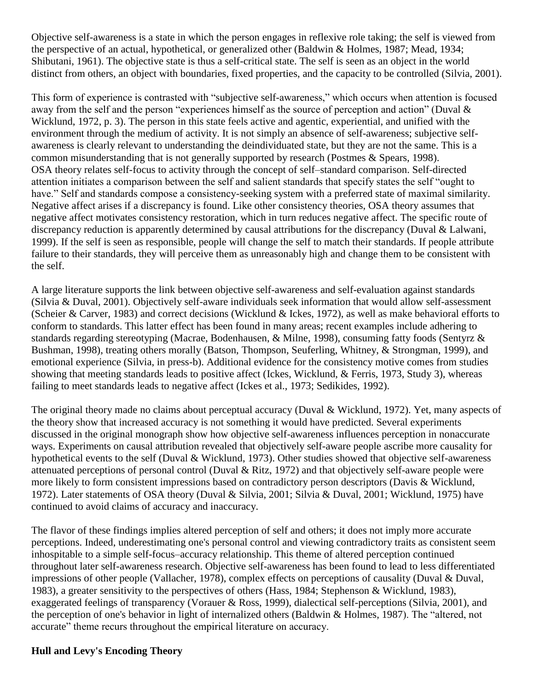Objective self-awareness is a state in which the person engages in reflexive role taking; the self is viewed from the perspective of an actual, hypothetical, or generalized other [\(Baldwin & Holmes, 1987;](http://web.ebscohost.com/ehost/detail?vid=5&hid=5&sid=74c256d9-b1e5-48dd-af8e-d73e1e227db6%40sessionmgr11&bdata=JnNpdGU9ZWhvc3QtbGl2ZQ%3d%3d#c3) [Mead, 1934;](http://web.ebscohost.com/ehost/detail?vid=5&hid=5&sid=74c256d9-b1e5-48dd-af8e-d73e1e227db6%40sessionmgr11&bdata=JnNpdGU9ZWhvc3QtbGl2ZQ%3d%3d#c81) [Shibutani, 1961\)](http://web.ebscohost.com/ehost/detail?vid=5&hid=5&sid=74c256d9-b1e5-48dd-af8e-d73e1e227db6%40sessionmgr11&bdata=JnNpdGU9ZWhvc3QtbGl2ZQ%3d%3d#c111). The objective state is thus a self-critical state. The self is seen as an object in the world distinct from others, an object with boundaries, fixed properties, and the capacity to be controlled [\(Silvia, 2001\)](http://web.ebscohost.com/ehost/detail?vid=5&hid=5&sid=74c256d9-b1e5-48dd-af8e-d73e1e227db6%40sessionmgr11&bdata=JnNpdGU9ZWhvc3QtbGl2ZQ%3d%3d#c113).

This form of experience is contrasted with "subjective self-awareness," which occurs when attention is focused away from the self and the person "experiences himself as the source of perception and action" (Duval  $\&$ [Wicklund, 1972,](http://web.ebscohost.com/ehost/detail?vid=5&hid=5&sid=74c256d9-b1e5-48dd-af8e-d73e1e227db6%40sessionmgr11&bdata=JnNpdGU9ZWhvc3QtbGl2ZQ%3d%3d#c36) p. 3). The person in this state feels active and agentic, experiential, and unified with the environment through the medium of activity. It is not simply an absence of self-awareness; subjective selfawareness is clearly relevant to understanding the deindividuated state, but they are not the same. This is a common misunderstanding that is not generally supported by research [\(Postmes & Spears, 1998\)](http://web.ebscohost.com/ehost/detail?vid=5&hid=5&sid=74c256d9-b1e5-48dd-af8e-d73e1e227db6%40sessionmgr11&bdata=JnNpdGU9ZWhvc3QtbGl2ZQ%3d%3d#c93). OSA theory relates self-focus to activity through the concept of self–standard comparison. Self-directed attention initiates a comparison between the self and salient standards that specify states the self "ought to have." Self and standards compose a consistency-seeking system with a preferred state of maximal similarity. Negative affect arises if a discrepancy is found. Like other consistency theories, OSA theory assumes that negative affect motivates consistency restoration, which in turn reduces negative affect. The specific route of discrepancy reduction is apparently determined by causal attributions for the discrepancy [\(Duval & Lalwani,](http://web.ebscohost.com/ehost/detail?vid=5&hid=5&sid=74c256d9-b1e5-48dd-af8e-d73e1e227db6%40sessionmgr11&bdata=JnNpdGU9ZWhvc3QtbGl2ZQ%3d%3d#c32)  [1999\)](http://web.ebscohost.com/ehost/detail?vid=5&hid=5&sid=74c256d9-b1e5-48dd-af8e-d73e1e227db6%40sessionmgr11&bdata=JnNpdGU9ZWhvc3QtbGl2ZQ%3d%3d#c32). If the self is seen as responsible, people will change the self to match their standards. If people attribute failure to their standards, they will perceive them as unreasonably high and change them to be consistent with the self.

A large literature supports the link between objective self-awareness and self-evaluation against standards [\(Silvia & Duval, 2001\)](http://web.ebscohost.com/ehost/detail?vid=5&hid=5&sid=74c256d9-b1e5-48dd-af8e-d73e1e227db6%40sessionmgr11&bdata=JnNpdGU9ZWhvc3QtbGl2ZQ%3d%3d#c116). Objectively self-aware individuals seek information that would allow self-assessment [\(Scheier & Carver, 1983\)](http://web.ebscohost.com/ehost/detail?vid=5&hid=5&sid=74c256d9-b1e5-48dd-af8e-d73e1e227db6%40sessionmgr11&bdata=JnNpdGU9ZWhvc3QtbGl2ZQ%3d%3d#c105) and correct decisions [\(Wicklund & Ickes, 1972\)](http://web.ebscohost.com/ehost/detail?vid=5&hid=5&sid=74c256d9-b1e5-48dd-af8e-d73e1e227db6%40sessionmgr11&bdata=JnNpdGU9ZWhvc3QtbGl2ZQ%3d%3d#c132), as well as make behavioral efforts to conform to standards. This latter effect has been found in many areas; recent examples include adhering to standards regarding stereotyping [\(Macrae, Bodenhausen, & Milne, 1998\)](http://web.ebscohost.com/ehost/detail?vid=5&hid=5&sid=74c256d9-b1e5-48dd-af8e-d73e1e227db6%40sessionmgr11&bdata=JnNpdGU9ZWhvc3QtbGl2ZQ%3d%3d#c76), consuming fatty foods [\(Sentyrz &](http://web.ebscohost.com/ehost/detail?vid=5&hid=5&sid=74c256d9-b1e5-48dd-af8e-d73e1e227db6%40sessionmgr11&bdata=JnNpdGU9ZWhvc3QtbGl2ZQ%3d%3d#c110)  [Bushman, 1998\)](http://web.ebscohost.com/ehost/detail?vid=5&hid=5&sid=74c256d9-b1e5-48dd-af8e-d73e1e227db6%40sessionmgr11&bdata=JnNpdGU9ZWhvc3QtbGl2ZQ%3d%3d#c110), treating others morally [\(Batson, Thompson, Seuferling, Whitney, & Strongman, 1999\)](http://web.ebscohost.com/ehost/detail?vid=5&hid=5&sid=74c256d9-b1e5-48dd-af8e-d73e1e227db6%40sessionmgr11&bdata=JnNpdGU9ZWhvc3QtbGl2ZQ%3d%3d#c4), and emotional experience [\(Silvia, in press-b\)](http://web.ebscohost.com/ehost/detail?vid=5&hid=5&sid=74c256d9-b1e5-48dd-af8e-d73e1e227db6%40sessionmgr11&bdata=JnNpdGU9ZWhvc3QtbGl2ZQ%3d%3d#c115). Additional evidence for the consistency motive comes from studies showing that meeting standards leads to positive affect [\(Ickes, Wicklund, & Ferris, 1973,](http://web.ebscohost.com/ehost/detail?vid=5&hid=5&sid=74c256d9-b1e5-48dd-af8e-d73e1e227db6%40sessionmgr11&bdata=JnNpdGU9ZWhvc3QtbGl2ZQ%3d%3d#c63) Study 3), whereas failing to meet standards leads to negative affect [\(Ickes et al., 1973;](http://web.ebscohost.com/ehost/detail?vid=5&hid=5&sid=74c256d9-b1e5-48dd-af8e-d73e1e227db6%40sessionmgr11&bdata=JnNpdGU9ZWhvc3QtbGl2ZQ%3d%3d#c63) [Sedikides, 1992\)](http://web.ebscohost.com/ehost/detail?vid=5&hid=5&sid=74c256d9-b1e5-48dd-af8e-d73e1e227db6%40sessionmgr11&bdata=JnNpdGU9ZWhvc3QtbGl2ZQ%3d%3d#c109).

The original theory made no claims about perceptual accuracy [\(Duval & Wicklund, 1972\)](http://web.ebscohost.com/ehost/detail?vid=5&hid=5&sid=74c256d9-b1e5-48dd-af8e-d73e1e227db6%40sessionmgr11&bdata=JnNpdGU9ZWhvc3QtbGl2ZQ%3d%3d#c36). Yet, many aspects of the theory show that increased accuracy is not something it would have predicted. Several experiments discussed in the original monograph show how objective self-awareness influences perception in nonaccurate ways. Experiments on causal attribution revealed that objectively self-aware people ascribe more causality for hypothetical events to the self [\(Duval & Wicklund, 1973\)](http://web.ebscohost.com/ehost/detail?vid=5&hid=5&sid=74c256d9-b1e5-48dd-af8e-d73e1e227db6%40sessionmgr11&bdata=JnNpdGU9ZWhvc3QtbGl2ZQ%3d%3d#c37). Other studies showed that objective self-awareness attenuated perceptions of personal control [\(Duval & Ritz, 1972\)](http://web.ebscohost.com/ehost/detail?vid=5&hid=5&sid=74c256d9-b1e5-48dd-af8e-d73e1e227db6%40sessionmgr11&bdata=JnNpdGU9ZWhvc3QtbGl2ZQ%3d%3d#c33) and that objectively self-aware people were more likely to form consistent impressions based on contradictory person descriptors [\(Davis & Wicklund,](http://web.ebscohost.com/ehost/detail?vid=5&hid=5&sid=74c256d9-b1e5-48dd-af8e-d73e1e227db6%40sessionmgr11&bdata=JnNpdGU9ZWhvc3QtbGl2ZQ%3d%3d#c29)  [1972\)](http://web.ebscohost.com/ehost/detail?vid=5&hid=5&sid=74c256d9-b1e5-48dd-af8e-d73e1e227db6%40sessionmgr11&bdata=JnNpdGU9ZWhvc3QtbGl2ZQ%3d%3d#c29). Later statements of OSA theory [\(Duval & Silvia, 2001;](http://web.ebscohost.com/ehost/detail?vid=5&hid=5&sid=74c256d9-b1e5-48dd-af8e-d73e1e227db6%40sessionmgr11&bdata=JnNpdGU9ZWhvc3QtbGl2ZQ%3d%3d#c34) [Silvia & Duval, 2001;](http://web.ebscohost.com/ehost/detail?vid=5&hid=5&sid=74c256d9-b1e5-48dd-af8e-d73e1e227db6%40sessionmgr11&bdata=JnNpdGU9ZWhvc3QtbGl2ZQ%3d%3d#c116) [Wicklund, 1975\)](http://web.ebscohost.com/ehost/detail?vid=5&hid=5&sid=74c256d9-b1e5-48dd-af8e-d73e1e227db6%40sessionmgr11&bdata=JnNpdGU9ZWhvc3QtbGl2ZQ%3d%3d#c128) have continued to avoid claims of accuracy and inaccuracy.

The flavor of these findings implies altered perception of self and others; it does not imply more accurate perceptions. Indeed, underestimating one's personal control and viewing contradictory traits as consistent seem inhospitable to a simple self-focus–accuracy relationship. This theme of altered perception continued throughout later self-awareness research. Objective self-awareness has been found to lead to less differentiated impressions of other people [\(Vallacher, 1978\)](http://web.ebscohost.com/ehost/detail?vid=5&hid=5&sid=74c256d9-b1e5-48dd-af8e-d73e1e227db6%40sessionmgr11&bdata=JnNpdGU9ZWhvc3QtbGl2ZQ%3d%3d#c120), complex effects on perceptions of causality [\(Duval & Duval,](http://web.ebscohost.com/ehost/detail?vid=5&hid=5&sid=74c256d9-b1e5-48dd-af8e-d73e1e227db6%40sessionmgr11&bdata=JnNpdGU9ZWhvc3QtbGl2ZQ%3d%3d#c31)  [1983\)](http://web.ebscohost.com/ehost/detail?vid=5&hid=5&sid=74c256d9-b1e5-48dd-af8e-d73e1e227db6%40sessionmgr11&bdata=JnNpdGU9ZWhvc3QtbGl2ZQ%3d%3d#c31), a greater sensitivity to the perspectives of others [\(Hass, 1984;](http://web.ebscohost.com/ehost/detail?vid=5&hid=5&sid=74c256d9-b1e5-48dd-af8e-d73e1e227db6%40sessionmgr11&bdata=JnNpdGU9ZWhvc3QtbGl2ZQ%3d%3d#c58) [Stephenson & Wicklund, 1983\)](http://web.ebscohost.com/ehost/detail?vid=5&hid=5&sid=74c256d9-b1e5-48dd-af8e-d73e1e227db6%40sessionmgr11&bdata=JnNpdGU9ZWhvc3QtbGl2ZQ%3d%3d#c118), exaggerated feelings of transparency [\(Vorauer & Ross, 1999\)](http://web.ebscohost.com/ehost/detail?vid=5&hid=5&sid=74c256d9-b1e5-48dd-af8e-d73e1e227db6%40sessionmgr11&bdata=JnNpdGU9ZWhvc3QtbGl2ZQ%3d%3d#c122), dialectical self-perceptions [\(Silvia, 2001\)](http://web.ebscohost.com/ehost/detail?vid=5&hid=5&sid=74c256d9-b1e5-48dd-af8e-d73e1e227db6%40sessionmgr11&bdata=JnNpdGU9ZWhvc3QtbGl2ZQ%3d%3d#c113), and the perception of one's behavior in light of internalized others (Baldwin  $&$  Holmes, 1987). The "altered, not accurate" theme recurs throughout the empirical literature on accuracy.

# **Hull and Levy's Encoding Theory**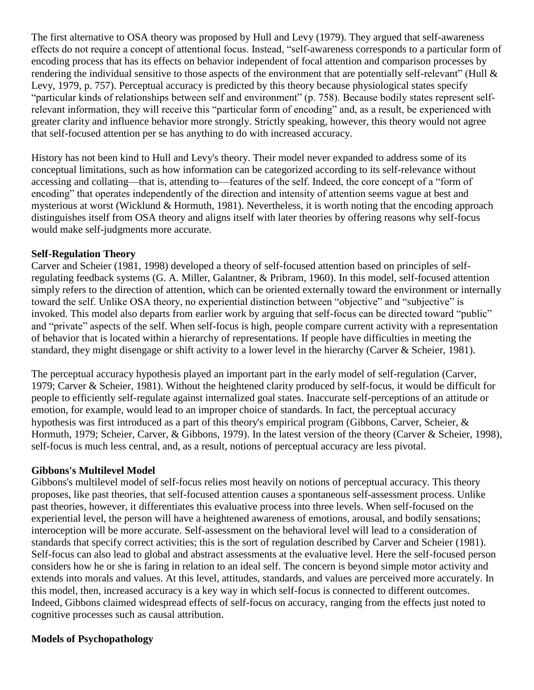The first alternative to OSA theory was proposed by [Hull and Levy \(1979\).](http://web.ebscohost.com/ehost/detail?vid=5&hid=5&sid=74c256d9-b1e5-48dd-af8e-d73e1e227db6%40sessionmgr11&bdata=JnNpdGU9ZWhvc3QtbGl2ZQ%3d%3d#c62) They argued that self-awareness effects do not require a concept of attentional focus. Instead, "self-awareness corresponds to a particular form of encoding process that has its effects on behavior independent of focal attention and comparison processes by rendering the individual sensitive to those aspects of the environment that are potentially self-relevant" (Hull  $\&$ [Levy, 1979,](http://web.ebscohost.com/ehost/detail?vid=5&hid=5&sid=74c256d9-b1e5-48dd-af8e-d73e1e227db6%40sessionmgr11&bdata=JnNpdGU9ZWhvc3QtbGl2ZQ%3d%3d#c62) p. 757). Perceptual accuracy is predicted by this theory because physiological states specify "particular kinds of relationships between self and environment" (p. 758). Because bodily states represent selfrelevant information, they will receive this "particular form of encoding" and, as a result, be experienced with greater clarity and influence behavior more strongly. Strictly speaking, however, this theory would not agree that self-focused attention per se has anything to do with increased accuracy.

History has not been kind to Hull and Levy's theory. Their model never expanded to address some of its conceptual limitations, such as how information can be categorized according to its self-relevance without accessing and collating—that is, attending to—features of the self. Indeed, the core concept of a "form of encoding" that operates independently of the direction and intensity of attention seems vague at best and mysterious at worst [\(Wicklund & Hormuth, 1981\)](http://web.ebscohost.com/ehost/detail?vid=5&hid=5&sid=74c256d9-b1e5-48dd-af8e-d73e1e227db6%40sessionmgr11&bdata=JnNpdGU9ZWhvc3QtbGl2ZQ%3d%3d#c131). Nevertheless, it is worth noting that the encoding approach distinguishes itself from OSA theory and aligns itself with later theories by offering reasons why self-focus would make self-judgments more accurate.

## **Self-Regulation Theory**

[Carver and Scheier \(1981,](http://web.ebscohost.com/ehost/detail?vid=5&hid=5&sid=74c256d9-b1e5-48dd-af8e-d73e1e227db6%40sessionmgr11&bdata=JnNpdGU9ZWhvc3QtbGl2ZQ%3d%3d#c21) [1998\)](http://web.ebscohost.com/ehost/detail?vid=5&hid=5&sid=74c256d9-b1e5-48dd-af8e-d73e1e227db6%40sessionmgr11&bdata=JnNpdGU9ZWhvc3QtbGl2ZQ%3d%3d#c22) developed a theory of self-focused attention based on principles of selfregulating feedback systems [\(G. A. Miller, Galantner, & Pribram, 1960\)](http://web.ebscohost.com/ehost/detail?vid=5&hid=5&sid=74c256d9-b1e5-48dd-af8e-d73e1e227db6%40sessionmgr11&bdata=JnNpdGU9ZWhvc3QtbGl2ZQ%3d%3d#c82). In this model, self-focused attention simply refers to the direction of attention, which can be oriented externally toward the environment or internally toward the self. Unlike OSA theory, no experiential distinction between "objective" and "subjective" is invoked. This model also departs from earlier work by arguing that self-focus can be directed toward "public" and "private" aspects of the self. When self-focus is high, people compare current activity with a representation of behavior that is located within a hierarchy of representations. If people have difficulties in meeting the standard, they might disengage or shift activity to a lower level in the hierarchy [\(Carver & Scheier, 1981\)](http://web.ebscohost.com/ehost/detail?vid=5&hid=5&sid=74c256d9-b1e5-48dd-af8e-d73e1e227db6%40sessionmgr11&bdata=JnNpdGU9ZWhvc3QtbGl2ZQ%3d%3d#c21).

The perceptual accuracy hypothesis played an important part in the early model of self-regulation [\(Carver,](http://web.ebscohost.com/ehost/detail?vid=5&hid=5&sid=74c256d9-b1e5-48dd-af8e-d73e1e227db6%40sessionmgr11&bdata=JnNpdGU9ZWhvc3QtbGl2ZQ%3d%3d#c18)  [1979;](http://web.ebscohost.com/ehost/detail?vid=5&hid=5&sid=74c256d9-b1e5-48dd-af8e-d73e1e227db6%40sessionmgr11&bdata=JnNpdGU9ZWhvc3QtbGl2ZQ%3d%3d#c18) [Carver & Scheier, 1981\)](http://web.ebscohost.com/ehost/detail?vid=5&hid=5&sid=74c256d9-b1e5-48dd-af8e-d73e1e227db6%40sessionmgr11&bdata=JnNpdGU9ZWhvc3QtbGl2ZQ%3d%3d#c21). Without the heightened clarity produced by self-focus, it would be difficult for people to efficiently self-regulate against internalized goal states. Inaccurate self-perceptions of an attitude or emotion, for example, would lead to an improper choice of standards. In fact, the perceptual accuracy hypothesis was first introduced as a part of this theory's empirical program [\(Gibbons, Carver, Scheier, &](http://web.ebscohost.com/ehost/detail?vid=5&hid=5&sid=74c256d9-b1e5-48dd-af8e-d73e1e227db6%40sessionmgr11&bdata=JnNpdGU9ZWhvc3QtbGl2ZQ%3d%3d#c52)  [Hormuth, 1979;](http://web.ebscohost.com/ehost/detail?vid=5&hid=5&sid=74c256d9-b1e5-48dd-af8e-d73e1e227db6%40sessionmgr11&bdata=JnNpdGU9ZWhvc3QtbGl2ZQ%3d%3d#c52) [Scheier, Carver, & Gibbons, 1979\)](http://web.ebscohost.com/ehost/detail?vid=5&hid=5&sid=74c256d9-b1e5-48dd-af8e-d73e1e227db6%40sessionmgr11&bdata=JnNpdGU9ZWhvc3QtbGl2ZQ%3d%3d#c106). In the latest version of the theory [\(Carver & Scheier, 1998\)](http://web.ebscohost.com/ehost/detail?vid=5&hid=5&sid=74c256d9-b1e5-48dd-af8e-d73e1e227db6%40sessionmgr11&bdata=JnNpdGU9ZWhvc3QtbGl2ZQ%3d%3d#c22), self-focus is much less central, and, as a result, notions of perceptual accuracy are less pivotal.

# **Gibbons's Multilevel Model**

Gibbons's multilevel model of self-focus relies most heavily on notions of perceptual accuracy. This theory proposes, like past theories, that self-focused attention causes a spontaneous self-assessment process. Unlike past theories, however, it differentiates this evaluative process into three levels. When self-focused on the experiential level, the person will have a heightened awareness of emotions, arousal, and bodily sensations; interoception will be more accurate. Self-assessment on the behavioral level will lead to a consideration of standards that specify correct activities; this is the sort of regulation described by [Carver and Scheier \(1981\).](http://web.ebscohost.com/ehost/detail?vid=5&hid=5&sid=74c256d9-b1e5-48dd-af8e-d73e1e227db6%40sessionmgr11&bdata=JnNpdGU9ZWhvc3QtbGl2ZQ%3d%3d#c21) Self-focus can also lead to global and abstract assessments at the evaluative level. Here the self-focused person considers how he or she is faring in relation to an ideal self. The concern is beyond simple motor activity and extends into morals and values. At this level, attitudes, standards, and values are perceived more accurately. In this model, then, increased accuracy is a key way in which self-focus is connected to different outcomes. Indeed, Gibbons claimed widespread effects of self-focus on accuracy, ranging from the effects just noted to cognitive processes such as causal attribution.

# **Models of Psychopathology**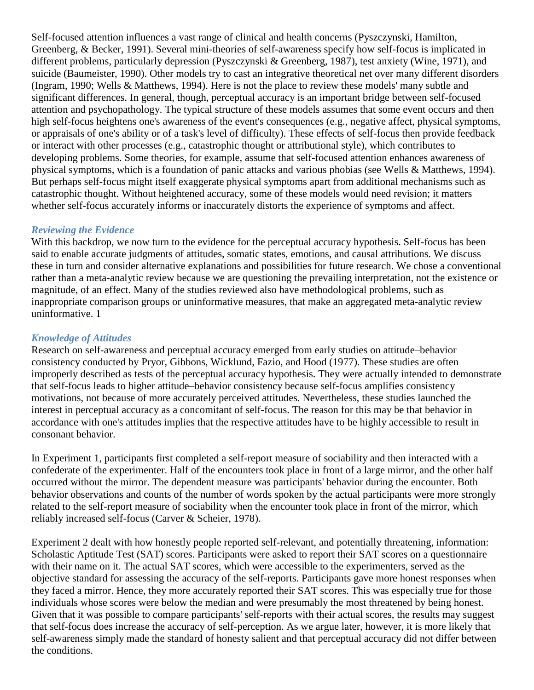Self-focused attention influences a vast range of clinical and health concerns [\(Pyszczynski, Hamilton,](http://web.ebscohost.com/ehost/detail?vid=5&hid=5&sid=74c256d9-b1e5-48dd-af8e-d73e1e227db6%40sessionmgr11&bdata=JnNpdGU9ZWhvc3QtbGl2ZQ%3d%3d#c97)  [Greenberg, & Becker, 1991\)](http://web.ebscohost.com/ehost/detail?vid=5&hid=5&sid=74c256d9-b1e5-48dd-af8e-d73e1e227db6%40sessionmgr11&bdata=JnNpdGU9ZWhvc3QtbGl2ZQ%3d%3d#c97). Several mini-theories of self-awareness specify how self-focus is implicated in different problems, particularly depression [\(Pyszczynski & Greenberg, 1987\)](http://web.ebscohost.com/ehost/detail?vid=5&hid=5&sid=74c256d9-b1e5-48dd-af8e-d73e1e227db6%40sessionmgr11&bdata=JnNpdGU9ZWhvc3QtbGl2ZQ%3d%3d#c96), test anxiety [\(Wine, 1971\)](http://web.ebscohost.com/ehost/detail?vid=5&hid=5&sid=74c256d9-b1e5-48dd-af8e-d73e1e227db6%40sessionmgr11&bdata=JnNpdGU9ZWhvc3QtbGl2ZQ%3d%3d#c133), and suicide [\(Baumeister, 1990\)](http://web.ebscohost.com/ehost/detail?vid=5&hid=5&sid=74c256d9-b1e5-48dd-af8e-d73e1e227db6%40sessionmgr11&bdata=JnNpdGU9ZWhvc3QtbGl2ZQ%3d%3d#c5). Other models try to cast an integrative theoretical net over many different disorders [\(Ingram, 1990;](http://web.ebscohost.com/ehost/detail?vid=5&hid=5&sid=74c256d9-b1e5-48dd-af8e-d73e1e227db6%40sessionmgr11&bdata=JnNpdGU9ZWhvc3QtbGl2ZQ%3d%3d#c65) [Wells & Matthews, 1994\)](http://web.ebscohost.com/ehost/detail?vid=5&hid=5&sid=74c256d9-b1e5-48dd-af8e-d73e1e227db6%40sessionmgr11&bdata=JnNpdGU9ZWhvc3QtbGl2ZQ%3d%3d#c126). Here is not the place to review these models' many subtle and significant differences. In general, though, perceptual accuracy is an important bridge between self-focused attention and psychopathology. The typical structure of these models assumes that some event occurs and then high self-focus heightens one's awareness of the event's consequences (e.g., negative affect, physical symptoms, or appraisals of one's ability or of a task's level of difficulty). These effects of self-focus then provide feedback or interact with other processes (e.g., catastrophic thought or attributional style), which contributes to developing problems. Some theories, for example, assume that self-focused attention enhances awareness of physical symptoms, which is a foundation of panic attacks and various phobias (see [Wells & Matthews, 1994\)](http://web.ebscohost.com/ehost/detail?vid=5&hid=5&sid=74c256d9-b1e5-48dd-af8e-d73e1e227db6%40sessionmgr11&bdata=JnNpdGU9ZWhvc3QtbGl2ZQ%3d%3d#c126). But perhaps self-focus might itself exaggerate physical symptoms apart from additional mechanisms such as catastrophic thought. Without heightened accuracy, some of these models would need revision; it matters whether self-focus accurately informs or inaccurately distorts the experience of symptoms and affect.

## *[Reviewing the Evidence](http://web.ebscohost.com/ehost/detail?vid=5&hid=5&sid=74c256d9-b1e5-48dd-af8e-d73e1e227db6%40sessionmgr11&bdata=JnNpdGU9ZWhvc3QtbGl2ZQ%3d%3d#toc)*

With this backdrop, we now turn to the evidence for the perceptual accuracy hypothesis. Self-focus has been said to enable accurate judgments of attitudes, somatic states, emotions, and causal attributions. We discuss these in turn and consider alternative explanations and possibilities for future research. We chose a conventional rather than a meta-analytic review because we are questioning the prevailing interpretation, not the existence or magnitude, of an effect. Many of the studies reviewed also have methodological problems, such as inappropriate comparison groups or uninformative measures, that make an aggregated meta-analytic review uninformative. [1](http://web.ebscohost.com/ehost/detail?vid=5&hid=5&sid=74c256d9-b1e5-48dd-af8e-d73e1e227db6%40sessionmgr11&bdata=JnNpdGU9ZWhvc3QtbGl2ZQ%3d%3d#fn1)

# *[Knowledge of Attitudes](http://web.ebscohost.com/ehost/detail?vid=5&hid=5&sid=74c256d9-b1e5-48dd-af8e-d73e1e227db6%40sessionmgr11&bdata=JnNpdGU9ZWhvc3QtbGl2ZQ%3d%3d#toc)*

Research on self-awareness and perceptual accuracy emerged from early studies on attitude–behavior consistency conducted by [Pryor, Gibbons, Wicklund, Fazio, and Hood \(1977\).](http://web.ebscohost.com/ehost/detail?vid=5&hid=5&sid=74c256d9-b1e5-48dd-af8e-d73e1e227db6%40sessionmgr11&bdata=JnNpdGU9ZWhvc3QtbGl2ZQ%3d%3d#c94) These studies are often improperly described as tests of the perceptual accuracy hypothesis. They were actually intended to demonstrate that self-focus leads to higher attitude–behavior consistency because self-focus amplifies consistency motivations, not because of more accurately perceived attitudes. Nevertheless, these studies launched the interest in perceptual accuracy as a concomitant of self-focus. The reason for this may be that behavior in accordance with one's attitudes implies that the respective attitudes have to be highly accessible to result in consonant behavior.

In Experiment 1, participants first completed a self-report measure of sociability and then interacted with a confederate of the experimenter. Half of the encounters took place in front of a large mirror, and the other half occurred without the mirror. The dependent measure was participants' behavior during the encounter. Both behavior observations and counts of the number of words spoken by the actual participants were more strongly related to the self-report measure of sociability when the encounter took place in front of the mirror, which reliably increased self-focus [\(Carver & Scheier, 1978\)](http://web.ebscohost.com/ehost/detail?vid=5&hid=5&sid=74c256d9-b1e5-48dd-af8e-d73e1e227db6%40sessionmgr11&bdata=JnNpdGU9ZWhvc3QtbGl2ZQ%3d%3d#c20).

Experiment 2 dealt with how honestly people reported self-relevant, and potentially threatening, information: Scholastic Aptitude Test (SAT) scores. Participants were asked to report their SAT scores on a questionnaire with their name on it. The actual SAT scores, which were accessible to the experimenters, served as the objective standard for assessing the accuracy of the self-reports. Participants gave more honest responses when they faced a mirror. Hence, they more accurately reported their SAT scores. This was especially true for those individuals whose scores were below the median and were presumably the most threatened by being honest. Given that it was possible to compare participants' self-reports with their actual scores, the results may suggest that self-focus does increase the accuracy of self-perception. As we argue later, however, it is more likely that self-awareness simply made the standard of honesty salient and that perceptual accuracy did not differ between the conditions.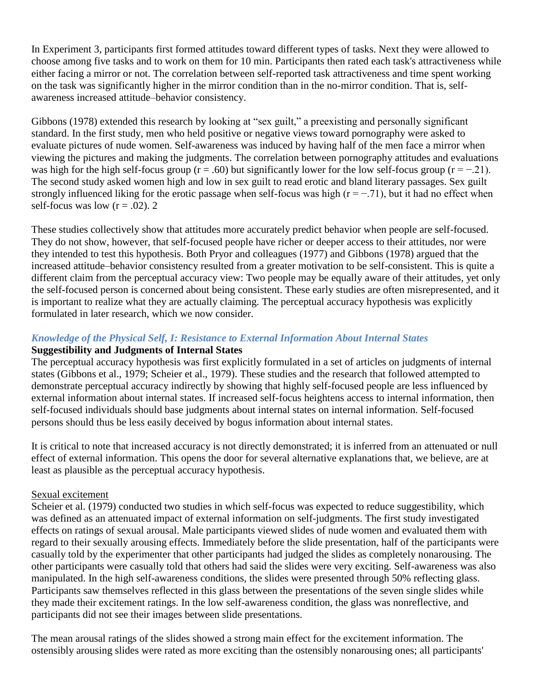In Experiment 3, participants first formed attitudes toward different types of tasks. Next they were allowed to choose among five tasks and to work on them for 10 min. Participants then rated each task's attractiveness while either facing a mirror or not. The correlation between self-reported task attractiveness and time spent working on the task was significantly higher in the mirror condition than in the no-mirror condition. That is, selfawareness increased attitude–behavior consistency.

[Gibbons \(1978\)](http://web.ebscohost.com/ehost/detail?vid=5&hid=5&sid=74c256d9-b1e5-48dd-af8e-d73e1e227db6%40sessionmgr11&bdata=JnNpdGU9ZWhvc3QtbGl2ZQ%3d%3d#c49) extended this research by looking at "sex guilt," a preexisting and personally significant standard. In the first study, men who held positive or negative views toward pornography were asked to evaluate pictures of nude women. Self-awareness was induced by having half of the men face a mirror when viewing the pictures and making the judgments. The correlation between pornography attitudes and evaluations was high for the high self-focus group ( $r = .60$ ) but significantly lower for the low self-focus group ( $r = -.21$ ). The second study asked women high and low in sex guilt to read erotic and bland literary passages. Sex guilt strongly influenced liking for the erotic passage when self-focus was high ( $r = -71$ ), but it had no effect when self-focus was low  $(r = .02)$ . [2](http://web.ebscohost.com/ehost/detail?vid=5&hid=5&sid=74c256d9-b1e5-48dd-af8e-d73e1e227db6%40sessionmgr11&bdata=JnNpdGU9ZWhvc3QtbGl2ZQ%3d%3d#fn2)

These studies collectively show that attitudes more accurately predict behavior when people are self-focused. They do not show, however, that self-focused people have richer or deeper access to their attitudes, nor were they intended to test this hypothesis. Both [Pryor and colleagues \(1977\)](http://web.ebscohost.com/ehost/detail?vid=5&hid=5&sid=74c256d9-b1e5-48dd-af8e-d73e1e227db6%40sessionmgr11&bdata=JnNpdGU9ZWhvc3QtbGl2ZQ%3d%3d#c94) and [Gibbons \(1978\)](http://web.ebscohost.com/ehost/detail?vid=5&hid=5&sid=74c256d9-b1e5-48dd-af8e-d73e1e227db6%40sessionmgr11&bdata=JnNpdGU9ZWhvc3QtbGl2ZQ%3d%3d#c49) argued that the increased attitude–behavior consistency resulted from a greater motivation to be self-consistent. This is quite a different claim from the perceptual accuracy view: Two people may be equally aware of their attitudes, yet only the self-focused person is concerned about being consistent. These early studies are often misrepresented, and it is important to realize what they are actually claiming. The perceptual accuracy hypothesis was explicitly formulated in later research, which we now consider.

# *[Knowledge of the Physical Self, I: Resistance to External Information About Internal States](http://web.ebscohost.com/ehost/detail?vid=5&hid=5&sid=74c256d9-b1e5-48dd-af8e-d73e1e227db6%40sessionmgr11&bdata=JnNpdGU9ZWhvc3QtbGl2ZQ%3d%3d#toc)* **Suggestibility and Judgments of Internal States**

The perceptual accuracy hypothesis was first explicitly formulated in a set of articles on judgments of internal states [\(Gibbons et al., 1979;](http://web.ebscohost.com/ehost/detail?vid=5&hid=5&sid=74c256d9-b1e5-48dd-af8e-d73e1e227db6%40sessionmgr11&bdata=JnNpdGU9ZWhvc3QtbGl2ZQ%3d%3d#c52) [Scheier et al., 1979\)](http://web.ebscohost.com/ehost/detail?vid=5&hid=5&sid=74c256d9-b1e5-48dd-af8e-d73e1e227db6%40sessionmgr11&bdata=JnNpdGU9ZWhvc3QtbGl2ZQ%3d%3d#c106). These studies and the research that followed attempted to demonstrate perceptual accuracy indirectly by showing that highly self-focused people are less influenced by external information about internal states. If increased self-focus heightens access to internal information, then self-focused individuals should base judgments about internal states on internal information. Self-focused persons should thus be less easily deceived by bogus information about internal states.

It is critical to note that increased accuracy is not directly demonstrated; it is inferred from an attenuated or null effect of external information. This opens the door for several alternative explanations that, we believe, are at least as plausible as the perceptual accuracy hypothesis.

# Sexual excitement

[Scheier et al. \(1979\)](http://web.ebscohost.com/ehost/detail?vid=5&hid=5&sid=74c256d9-b1e5-48dd-af8e-d73e1e227db6%40sessionmgr11&bdata=JnNpdGU9ZWhvc3QtbGl2ZQ%3d%3d#c106) conducted two studies in which self-focus was expected to reduce suggestibility, which was defined as an attenuated impact of external information on self-judgments. The first study investigated effects on ratings of sexual arousal. Male participants viewed slides of nude women and evaluated them with regard to their sexually arousing effects. Immediately before the slide presentation, half of the participants were casually told by the experimenter that other participants had judged the slides as completely nonarousing. The other participants were casually told that others had said the slides were very exciting. Self-awareness was also manipulated. In the high self-awareness conditions, the slides were presented through 50% reflecting glass. Participants saw themselves reflected in this glass between the presentations of the seven single slides while they made their excitement ratings. In the low self-awareness condition, the glass was nonreflective, and participants did not see their images between slide presentations.

The mean arousal ratings of the slides showed a strong main effect for the excitement information. The ostensibly arousing slides were rated as more exciting than the ostensibly nonarousing ones; all participants'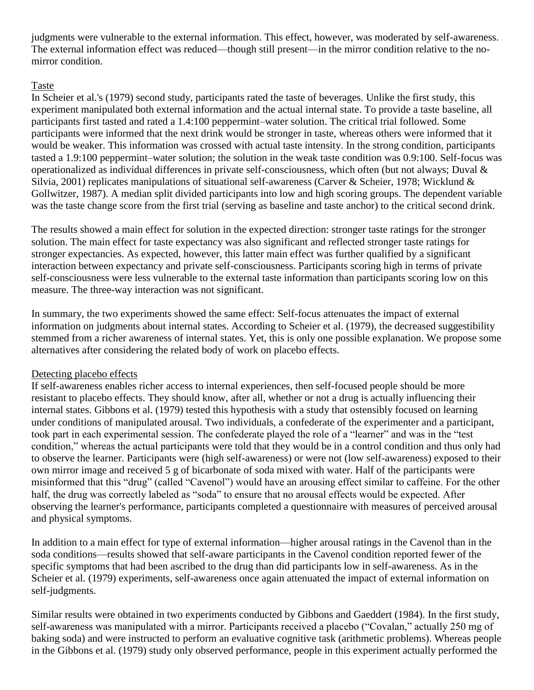judgments were vulnerable to the external information. This effect, however, was moderated by self-awareness. The external information effect was reduced—though still present—in the mirror condition relative to the nomirror condition.

## Taste

In [Scheier et al.'s \(1979\)](http://web.ebscohost.com/ehost/detail?vid=5&hid=5&sid=74c256d9-b1e5-48dd-af8e-d73e1e227db6%40sessionmgr11&bdata=JnNpdGU9ZWhvc3QtbGl2ZQ%3d%3d#c106) second study, participants rated the taste of beverages. Unlike the first study, this experiment manipulated both external information and the actual internal state. To provide a taste baseline, all participants first tasted and rated a 1.4:100 peppermint–water solution. The critical trial followed. Some participants were informed that the next drink would be stronger in taste, whereas others were informed that it would be weaker. This information was crossed with actual taste intensity. In the strong condition, participants tasted a 1.9:100 peppermint–water solution; the solution in the weak taste condition was 0.9:100. Self-focus was operationalized as individual differences in private self-consciousness, which often (but not always; [Duval &](http://web.ebscohost.com/ehost/detail?vid=5&hid=5&sid=74c256d9-b1e5-48dd-af8e-d73e1e227db6%40sessionmgr11&bdata=JnNpdGU9ZWhvc3QtbGl2ZQ%3d%3d#c34)  [Silvia, 2001\)](http://web.ebscohost.com/ehost/detail?vid=5&hid=5&sid=74c256d9-b1e5-48dd-af8e-d73e1e227db6%40sessionmgr11&bdata=JnNpdGU9ZWhvc3QtbGl2ZQ%3d%3d#c34) replicates manipulations of situational self-awareness [\(Carver & Scheier, 1978;](http://web.ebscohost.com/ehost/detail?vid=5&hid=5&sid=74c256d9-b1e5-48dd-af8e-d73e1e227db6%40sessionmgr11&bdata=JnNpdGU9ZWhvc3QtbGl2ZQ%3d%3d#c20) [Wicklund &](http://web.ebscohost.com/ehost/detail?vid=5&hid=5&sid=74c256d9-b1e5-48dd-af8e-d73e1e227db6%40sessionmgr11&bdata=JnNpdGU9ZWhvc3QtbGl2ZQ%3d%3d#c130)  [Gollwitzer, 1987\)](http://web.ebscohost.com/ehost/detail?vid=5&hid=5&sid=74c256d9-b1e5-48dd-af8e-d73e1e227db6%40sessionmgr11&bdata=JnNpdGU9ZWhvc3QtbGl2ZQ%3d%3d#c130). A median split divided participants into low and high scoring groups. The dependent variable was the taste change score from the first trial (serving as baseline and taste anchor) to the critical second drink.

The results showed a main effect for solution in the expected direction: stronger taste ratings for the stronger solution. The main effect for taste expectancy was also significant and reflected stronger taste ratings for stronger expectancies. As expected, however, this latter main effect was further qualified by a significant interaction between expectancy and private self-consciousness. Participants scoring high in terms of private self-consciousness were less vulnerable to the external taste information than participants scoring low on this measure. The three-way interaction was not significant.

In summary, the two experiments showed the same effect: Self-focus attenuates the impact of external information on judgments about internal states. According to [Scheier et al. \(1979\),](http://web.ebscohost.com/ehost/detail?vid=5&hid=5&sid=74c256d9-b1e5-48dd-af8e-d73e1e227db6%40sessionmgr11&bdata=JnNpdGU9ZWhvc3QtbGl2ZQ%3d%3d#c106) the decreased suggestibility stemmed from a richer awareness of internal states. Yet, this is only one possible explanation. We propose some alternatives after considering the related body of work on placebo effects.

#### Detecting placebo effects

If self-awareness enables richer access to internal experiences, then self-focused people should be more resistant to placebo effects. They should know, after all, whether or not a drug is actually influencing their internal states. [Gibbons et al. \(1979\)](http://web.ebscohost.com/ehost/detail?vid=5&hid=5&sid=74c256d9-b1e5-48dd-af8e-d73e1e227db6%40sessionmgr11&bdata=JnNpdGU9ZWhvc3QtbGl2ZQ%3d%3d#c52) tested this hypothesis with a study that ostensibly focused on learning under conditions of manipulated arousal. Two individuals, a confederate of the experimenter and a participant, took part in each experimental session. The confederate played the role of a "learner" and was in the "test condition," whereas the actual participants were told that they would be in a control condition and thus only had to observe the learner. Participants were (high self-awareness) or were not (low self-awareness) exposed to their own mirror image and received 5 g of bicarbonate of soda mixed with water. Half of the participants were misinformed that this "drug" (called "Cavenol") would have an arousing effect similar to caffeine. For the other half, the drug was correctly labeled as "soda" to ensure that no arousal effects would be expected. After observing the learner's performance, participants completed a questionnaire with measures of perceived arousal and physical symptoms.

In addition to a main effect for type of external information—higher arousal ratings in the Cavenol than in the soda conditions—results showed that self-aware participants in the Cavenol condition reported fewer of the specific symptoms that had been ascribed to the drug than did participants low in self-awareness. As in the [Scheier et al. \(1979\)](http://web.ebscohost.com/ehost/detail?vid=5&hid=5&sid=74c256d9-b1e5-48dd-af8e-d73e1e227db6%40sessionmgr11&bdata=JnNpdGU9ZWhvc3QtbGl2ZQ%3d%3d#c106) experiments, self-awareness once again attenuated the impact of external information on self-judgments.

Similar results were obtained in two experiments conducted by [Gibbons and Gaeddert \(1984\).](http://web.ebscohost.com/ehost/detail?vid=5&hid=5&sid=74c256d9-b1e5-48dd-af8e-d73e1e227db6%40sessionmgr11&bdata=JnNpdGU9ZWhvc3QtbGl2ZQ%3d%3d#c53) In the first study, self-awareness was manipulated with a mirror. Participants received a placebo ("Covalan," actually 250 mg of baking soda) and were instructed to perform an evaluative cognitive task (arithmetic problems). Whereas people in the [Gibbons et al. \(1979\)](http://web.ebscohost.com/ehost/detail?vid=5&hid=5&sid=74c256d9-b1e5-48dd-af8e-d73e1e227db6%40sessionmgr11&bdata=JnNpdGU9ZWhvc3QtbGl2ZQ%3d%3d#c52) study only observed performance, people in this experiment actually performed the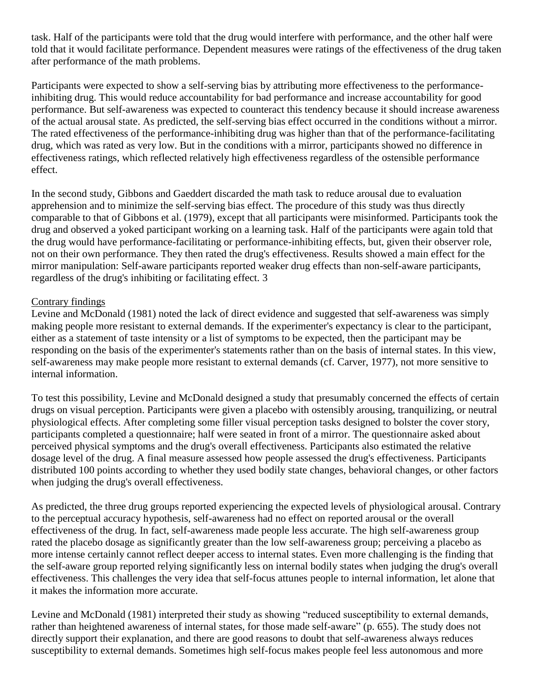task. Half of the participants were told that the drug would interfere with performance, and the other half were told that it would facilitate performance. Dependent measures were ratings of the effectiveness of the drug taken after performance of the math problems.

Participants were expected to show a self-serving bias by attributing more effectiveness to the performanceinhibiting drug. This would reduce accountability for bad performance and increase accountability for good performance. But self-awareness was expected to counteract this tendency because it should increase awareness of the actual arousal state. As predicted, the self-serving bias effect occurred in the conditions without a mirror. The rated effectiveness of the performance-inhibiting drug was higher than that of the performance-facilitating drug, which was rated as very low. But in the conditions with a mirror, participants showed no difference in effectiveness ratings, which reflected relatively high effectiveness regardless of the ostensible performance effect.

In the second study, Gibbons and Gaeddert discarded the math task to reduce arousal due to evaluation apprehension and to minimize the self-serving bias effect. The procedure of this study was thus directly comparable to that of [Gibbons et al. \(1979\),](http://web.ebscohost.com/ehost/detail?vid=5&hid=5&sid=74c256d9-b1e5-48dd-af8e-d73e1e227db6%40sessionmgr11&bdata=JnNpdGU9ZWhvc3QtbGl2ZQ%3d%3d#c52) except that all participants were misinformed. Participants took the drug and observed a yoked participant working on a learning task. Half of the participants were again told that the drug would have performance-facilitating or performance-inhibiting effects, but, given their observer role, not on their own performance. They then rated the drug's effectiveness. Results showed a main effect for the mirror manipulation: Self-aware participants reported weaker drug effects than non-self-aware participants, regardless of the drug's inhibiting or facilitating effect. [3](http://web.ebscohost.com/ehost/detail?vid=5&hid=5&sid=74c256d9-b1e5-48dd-af8e-d73e1e227db6%40sessionmgr11&bdata=JnNpdGU9ZWhvc3QtbGl2ZQ%3d%3d#fn3)

# Contrary findings

[Levine and McDonald \(1981\)](http://web.ebscohost.com/ehost/detail?vid=5&hid=5&sid=74c256d9-b1e5-48dd-af8e-d73e1e227db6%40sessionmgr11&bdata=JnNpdGU9ZWhvc3QtbGl2ZQ%3d%3d#c74) noted the lack of direct evidence and suggested that self-awareness was simply making people more resistant to external demands. If the experimenter's expectancy is clear to the participant, either as a statement of taste intensity or a list of symptoms to be expected, then the participant may be responding on the basis of the experimenter's statements rather than on the basis of internal states. In this view, self-awareness may make people more resistant to external demands (cf. [Carver, 1977\)](http://web.ebscohost.com/ehost/detail?vid=5&hid=5&sid=74c256d9-b1e5-48dd-af8e-d73e1e227db6%40sessionmgr11&bdata=JnNpdGU9ZWhvc3QtbGl2ZQ%3d%3d#c17), not more sensitive to internal information.

To test this possibility, Levine and McDonald designed a study that presumably concerned the effects of certain drugs on visual perception. Participants were given a placebo with ostensibly arousing, tranquilizing, or neutral physiological effects. After completing some filler visual perception tasks designed to bolster the cover story, participants completed a questionnaire; half were seated in front of a mirror. The questionnaire asked about perceived physical symptoms and the drug's overall effectiveness. Participants also estimated the relative dosage level of the drug. A final measure assessed how people assessed the drug's effectiveness. Participants distributed 100 points according to whether they used bodily state changes, behavioral changes, or other factors when judging the drug's overall effectiveness.

As predicted, the three drug groups reported experiencing the expected levels of physiological arousal. Contrary to the perceptual accuracy hypothesis, self-awareness had no effect on reported arousal or the overall effectiveness of the drug. In fact, self-awareness made people less accurate. The high self-awareness group rated the placebo dosage as significantly greater than the low self-awareness group; perceiving a placebo as more intense certainly cannot reflect deeper access to internal states. Even more challenging is the finding that the self-aware group reported relying significantly less on internal bodily states when judging the drug's overall effectiveness. This challenges the very idea that self-focus attunes people to internal information, let alone that it makes the information more accurate.

[Levine and McDonald \(1981\)](http://web.ebscohost.com/ehost/detail?vid=5&hid=5&sid=74c256d9-b1e5-48dd-af8e-d73e1e227db6%40sessionmgr11&bdata=JnNpdGU9ZWhvc3QtbGl2ZQ%3d%3d#c74) interpreted their study as showing "reduced susceptibility to external demands, rather than heightened awareness of internal states, for those made self-aware" (p. 655). The study does not directly support their explanation, and there are good reasons to doubt that self-awareness always reduces susceptibility to external demands. Sometimes high self-focus makes people feel less autonomous and more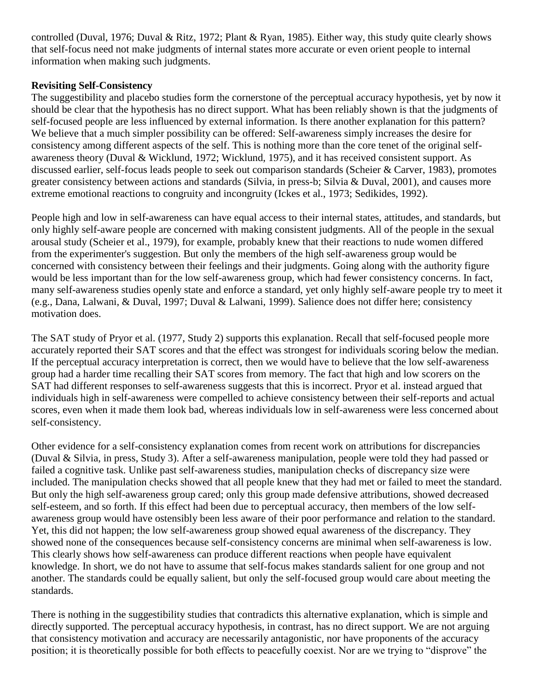controlled [\(Duval, 1976;](http://web.ebscohost.com/ehost/detail?vid=5&hid=5&sid=74c256d9-b1e5-48dd-af8e-d73e1e227db6%40sessionmgr11&bdata=JnNpdGU9ZWhvc3QtbGl2ZQ%3d%3d#c30) [Duval & Ritz, 1972;](http://web.ebscohost.com/ehost/detail?vid=5&hid=5&sid=74c256d9-b1e5-48dd-af8e-d73e1e227db6%40sessionmgr11&bdata=JnNpdGU9ZWhvc3QtbGl2ZQ%3d%3d#c33) [Plant & Ryan, 1985\)](http://web.ebscohost.com/ehost/detail?vid=5&hid=5&sid=74c256d9-b1e5-48dd-af8e-d73e1e227db6%40sessionmgr11&bdata=JnNpdGU9ZWhvc3QtbGl2ZQ%3d%3d#c92). Either way, this study quite clearly shows that self-focus need not make judgments of internal states more accurate or even orient people to internal information when making such judgments.

# **Revisiting Self-Consistency**

The suggestibility and placebo studies form the cornerstone of the perceptual accuracy hypothesis, yet by now it should be clear that the hypothesis has no direct support. What has been reliably shown is that the judgments of self-focused people are less influenced by external information. Is there another explanation for this pattern? We believe that a much simpler possibility can be offered: Self-awareness simply increases the desire for consistency among different aspects of the self. This is nothing more than the core tenet of the original selfawareness theory [\(Duval & Wicklund, 1972;](http://web.ebscohost.com/ehost/detail?vid=5&hid=5&sid=74c256d9-b1e5-48dd-af8e-d73e1e227db6%40sessionmgr11&bdata=JnNpdGU9ZWhvc3QtbGl2ZQ%3d%3d#c36) [Wicklund, 1975\)](http://web.ebscohost.com/ehost/detail?vid=5&hid=5&sid=74c256d9-b1e5-48dd-af8e-d73e1e227db6%40sessionmgr11&bdata=JnNpdGU9ZWhvc3QtbGl2ZQ%3d%3d#c128), and it has received consistent support. As discussed earlier, self-focus leads people to seek out comparison standards [\(Scheier & Carver, 1983\)](http://web.ebscohost.com/ehost/detail?vid=5&hid=5&sid=74c256d9-b1e5-48dd-af8e-d73e1e227db6%40sessionmgr11&bdata=JnNpdGU9ZWhvc3QtbGl2ZQ%3d%3d#c105), promotes greater consistency between actions and standards [\(Silvia, in press-b;](http://web.ebscohost.com/ehost/detail?vid=5&hid=5&sid=74c256d9-b1e5-48dd-af8e-d73e1e227db6%40sessionmgr11&bdata=JnNpdGU9ZWhvc3QtbGl2ZQ%3d%3d#c115) [Silvia & Duval, 2001\)](http://web.ebscohost.com/ehost/detail?vid=5&hid=5&sid=74c256d9-b1e5-48dd-af8e-d73e1e227db6%40sessionmgr11&bdata=JnNpdGU9ZWhvc3QtbGl2ZQ%3d%3d#c116), and causes more extreme emotional reactions to congruity and incongruity [\(Ickes et al., 1973;](http://web.ebscohost.com/ehost/detail?vid=5&hid=5&sid=74c256d9-b1e5-48dd-af8e-d73e1e227db6%40sessionmgr11&bdata=JnNpdGU9ZWhvc3QtbGl2ZQ%3d%3d#c63) [Sedikides, 1992\)](http://web.ebscohost.com/ehost/detail?vid=5&hid=5&sid=74c256d9-b1e5-48dd-af8e-d73e1e227db6%40sessionmgr11&bdata=JnNpdGU9ZWhvc3QtbGl2ZQ%3d%3d#c109).

People high and low in self-awareness can have equal access to their internal states, attitudes, and standards, but only highly self-aware people are concerned with making consistent judgments. All of the people in the sexual arousal study [\(Scheier et al., 1979\)](http://web.ebscohost.com/ehost/detail?vid=5&hid=5&sid=74c256d9-b1e5-48dd-af8e-d73e1e227db6%40sessionmgr11&bdata=JnNpdGU9ZWhvc3QtbGl2ZQ%3d%3d#c106), for example, probably knew that their reactions to nude women differed from the experimenter's suggestion. But only the members of the high self-awareness group would be concerned with consistency between their feelings and their judgments. Going along with the authority figure would be less important than for the low self-awareness group, which had fewer consistency concerns. In fact, many self-awareness studies openly state and enforce a standard, yet only highly self-aware people try to meet it (e.g., [Dana, Lalwani, & Duval, 1997;](http://web.ebscohost.com/ehost/detail?vid=5&hid=5&sid=74c256d9-b1e5-48dd-af8e-d73e1e227db6%40sessionmgr11&bdata=JnNpdGU9ZWhvc3QtbGl2ZQ%3d%3d#c27) [Duval & Lalwani, 1999\)](http://web.ebscohost.com/ehost/detail?vid=5&hid=5&sid=74c256d9-b1e5-48dd-af8e-d73e1e227db6%40sessionmgr11&bdata=JnNpdGU9ZWhvc3QtbGl2ZQ%3d%3d#c32). Salience does not differ here; consistency motivation does.

The SAT study of [Pryor et al. \(1977,](http://web.ebscohost.com/ehost/detail?vid=5&hid=5&sid=74c256d9-b1e5-48dd-af8e-d73e1e227db6%40sessionmgr11&bdata=JnNpdGU9ZWhvc3QtbGl2ZQ%3d%3d#c94) Study 2) supports this explanation. Recall that self-focused people more accurately reported their SAT scores and that the effect was strongest for individuals scoring below the median. If the perceptual accuracy interpretation is correct, then we would have to believe that the low self-awareness group had a harder time recalling their SAT scores from memory. The fact that high and low scorers on the SAT had different responses to self-awareness suggests that this is incorrect. Pryor et al. instead argued that individuals high in self-awareness were compelled to achieve consistency between their self-reports and actual scores, even when it made them look bad, whereas individuals low in self-awareness were less concerned about self-consistency.

Other evidence for a self-consistency explanation comes from recent work on attributions for discrepancies [\(Duval & Silvia, in press,](http://web.ebscohost.com/ehost/detail?vid=5&hid=5&sid=74c256d9-b1e5-48dd-af8e-d73e1e227db6%40sessionmgr11&bdata=JnNpdGU9ZWhvc3QtbGl2ZQ%3d%3d#c35) Study 3). After a self-awareness manipulation, people were told they had passed or failed a cognitive task. Unlike past self-awareness studies, manipulation checks of discrepancy size were included. The manipulation checks showed that all people knew that they had met or failed to meet the standard. But only the high self-awareness group cared; only this group made defensive attributions, showed decreased self-esteem, and so forth. If this effect had been due to perceptual accuracy, then members of the low selfawareness group would have ostensibly been less aware of their poor performance and relation to the standard. Yet, this did not happen; the low self-awareness group showed equal awareness of the discrepancy. They showed none of the consequences because self-consistency concerns are minimal when self-awareness is low. This clearly shows how self-awareness can produce different reactions when people have equivalent knowledge. In short, we do not have to assume that self-focus makes standards salient for one group and not another. The standards could be equally salient, but only the self-focused group would care about meeting the standards.

There is nothing in the suggestibility studies that contradicts this alternative explanation, which is simple and directly supported. The perceptual accuracy hypothesis, in contrast, has no direct support. We are not arguing that consistency motivation and accuracy are necessarily antagonistic, nor have proponents of the accuracy position; it is theoretically possible for both effects to peacefully coexist. Nor are we trying to "disprove" the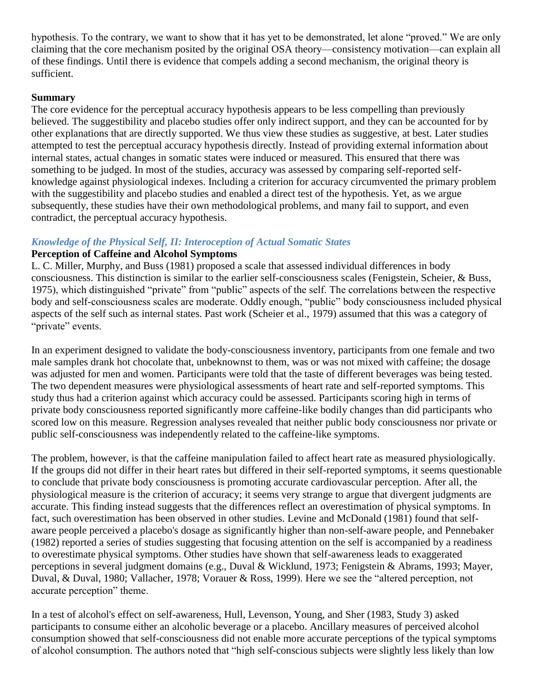hypothesis. To the contrary, we want to show that it has yet to be demonstrated, let alone "proved." We are only claiming that the core mechanism posited by the original OSA theory—consistency motivation—can explain all of these findings. Until there is evidence that compels adding a second mechanism, the original theory is sufficient.

## **Summary**

The core evidence for the perceptual accuracy hypothesis appears to be less compelling than previously believed. The suggestibility and placebo studies offer only indirect support, and they can be accounted for by other explanations that are directly supported. We thus view these studies as suggestive, at best. Later studies attempted to test the perceptual accuracy hypothesis directly. Instead of providing external information about internal states, actual changes in somatic states were induced or measured. This ensured that there was something to be judged. In most of the studies, accuracy was assessed by comparing self-reported selfknowledge against physiological indexes. Including a criterion for accuracy circumvented the primary problem with the suggestibility and placebo studies and enabled a direct test of the hypothesis. Yet, as we argue subsequently, these studies have their own methodological problems, and many fail to support, and even contradict, the perceptual accuracy hypothesis.

# *[Knowledge of the Physical Self, II: Interoception of Actual Somatic States](http://web.ebscohost.com/ehost/detail?vid=5&hid=5&sid=74c256d9-b1e5-48dd-af8e-d73e1e227db6%40sessionmgr11&bdata=JnNpdGU9ZWhvc3QtbGl2ZQ%3d%3d#toc)*

## **Perception of Caffeine and Alcohol Symptoms**

[L. C. Miller, Murphy, and Buss \(1981\)](http://web.ebscohost.com/ehost/detail?vid=5&hid=5&sid=74c256d9-b1e5-48dd-af8e-d73e1e227db6%40sessionmgr11&bdata=JnNpdGU9ZWhvc3QtbGl2ZQ%3d%3d#c84) proposed a scale that assessed individual differences in body consciousness. This distinction is similar to the earlier self-consciousness scales [\(Fenigstein, Scheier, & Buss,](http://web.ebscohost.com/ehost/detail?vid=5&hid=5&sid=74c256d9-b1e5-48dd-af8e-d73e1e227db6%40sessionmgr11&bdata=JnNpdGU9ZWhvc3QtbGl2ZQ%3d%3d#c43)  [1975\)](http://web.ebscohost.com/ehost/detail?vid=5&hid=5&sid=74c256d9-b1e5-48dd-af8e-d73e1e227db6%40sessionmgr11&bdata=JnNpdGU9ZWhvc3QtbGl2ZQ%3d%3d#c43), which distinguished "private" from "public" aspects of the self. The correlations between the respective body and self-consciousness scales are moderate. Oddly enough, "public" body consciousness included physical aspects of the self such as internal states. Past work [\(Scheier et al., 1979\)](http://web.ebscohost.com/ehost/detail?vid=5&hid=5&sid=74c256d9-b1e5-48dd-af8e-d73e1e227db6%40sessionmgr11&bdata=JnNpdGU9ZWhvc3QtbGl2ZQ%3d%3d#c106) assumed that this was a category of "private" events.

In an experiment designed to validate the body-consciousness inventory, participants from one female and two male samples drank hot chocolate that, unbeknownst to them, was or was not mixed with caffeine; the dosage was adjusted for men and women. Participants were told that the taste of different beverages was being tested. The two dependent measures were physiological assessments of heart rate and self-reported symptoms. This study thus had a criterion against which accuracy could be assessed. Participants scoring high in terms of private body consciousness reported significantly more caffeine-like bodily changes than did participants who scored low on this measure. Regression analyses revealed that neither public body consciousness nor private or public self-consciousness was independently related to the caffeine-like symptoms.

The problem, however, is that the caffeine manipulation failed to affect heart rate as measured physiologically. If the groups did not differ in their heart rates but differed in their self-reported symptoms, it seems questionable to conclude that private body consciousness is promoting accurate cardiovascular perception. After all, the physiological measure is the criterion of accuracy; it seems very strange to argue that divergent judgments are accurate. This finding instead suggests that the differences reflect an overestimation of physical symptoms. In fact, such overestimation has been observed in other studies. [Levine and McDonald \(1981\)](http://web.ebscohost.com/ehost/detail?vid=5&hid=5&sid=74c256d9-b1e5-48dd-af8e-d73e1e227db6%40sessionmgr11&bdata=JnNpdGU9ZWhvc3QtbGl2ZQ%3d%3d#c74) found that selfaware people perceived a placebo's dosage as significantly higher than non-self-aware people, and [Pennebaker](http://web.ebscohost.com/ehost/detail?vid=5&hid=5&sid=74c256d9-b1e5-48dd-af8e-d73e1e227db6%40sessionmgr11&bdata=JnNpdGU9ZWhvc3QtbGl2ZQ%3d%3d#c89)  [\(1982\)](http://web.ebscohost.com/ehost/detail?vid=5&hid=5&sid=74c256d9-b1e5-48dd-af8e-d73e1e227db6%40sessionmgr11&bdata=JnNpdGU9ZWhvc3QtbGl2ZQ%3d%3d#c89) reported a series of studies suggesting that focusing attention on the self is accompanied by a readiness to overestimate physical symptoms. Other studies have shown that self-awareness leads to exaggerated perceptions in several judgment domains (e.g., [Duval & Wicklund, 1973;](http://web.ebscohost.com/ehost/detail?vid=5&hid=5&sid=74c256d9-b1e5-48dd-af8e-d73e1e227db6%40sessionmgr11&bdata=JnNpdGU9ZWhvc3QtbGl2ZQ%3d%3d#c37) [Fenigstein & Abrams, 1993;](http://web.ebscohost.com/ehost/detail?vid=5&hid=5&sid=74c256d9-b1e5-48dd-af8e-d73e1e227db6%40sessionmgr11&bdata=JnNpdGU9ZWhvc3QtbGl2ZQ%3d%3d#c42) [Mayer,](http://web.ebscohost.com/ehost/detail?vid=5&hid=5&sid=74c256d9-b1e5-48dd-af8e-d73e1e227db6%40sessionmgr11&bdata=JnNpdGU9ZWhvc3QtbGl2ZQ%3d%3d#c79)  [Duval, & Duval, 1980;](http://web.ebscohost.com/ehost/detail?vid=5&hid=5&sid=74c256d9-b1e5-48dd-af8e-d73e1e227db6%40sessionmgr11&bdata=JnNpdGU9ZWhvc3QtbGl2ZQ%3d%3d#c79) [Vallacher, 1978;](http://web.ebscohost.com/ehost/detail?vid=5&hid=5&sid=74c256d9-b1e5-48dd-af8e-d73e1e227db6%40sessionmgr11&bdata=JnNpdGU9ZWhvc3QtbGl2ZQ%3d%3d#c120) [Vorauer & Ross, 1999\)](http://web.ebscohost.com/ehost/detail?vid=5&hid=5&sid=74c256d9-b1e5-48dd-af8e-d73e1e227db6%40sessionmgr11&bdata=JnNpdGU9ZWhvc3QtbGl2ZQ%3d%3d#c122). Here we see the "altered perception, not accurate perception" theme.

In a test of alcohol's effect on self-awareness, [Hull, Levenson, Young, and Sher \(1983,](http://web.ebscohost.com/ehost/detail?vid=5&hid=5&sid=74c256d9-b1e5-48dd-af8e-d73e1e227db6%40sessionmgr11&bdata=JnNpdGU9ZWhvc3QtbGl2ZQ%3d%3d#c61) Study 3) asked participants to consume either an alcoholic beverage or a placebo. Ancillary measures of perceived alcohol consumption showed that self-consciousness did not enable more accurate perceptions of the typical symptoms of alcohol consumption. The authors noted that "high self-conscious subjects were slightly less likely than low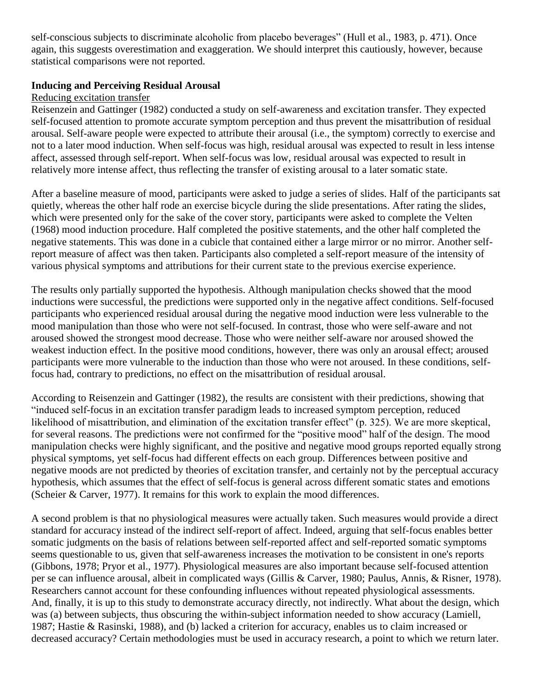self-conscious subjects to discriminate alcoholic from placebo beverages" [\(Hull et al., 1983,](http://web.ebscohost.com/ehost/detail?vid=5&hid=5&sid=74c256d9-b1e5-48dd-af8e-d73e1e227db6%40sessionmgr11&bdata=JnNpdGU9ZWhvc3QtbGl2ZQ%3d%3d#c61) p. 471). Once again, this suggests overestimation and exaggeration. We should interpret this cautiously, however, because statistical comparisons were not reported.

## **Inducing and Perceiving Residual Arousal**

## Reducing excitation transfer

[Reisenzein and Gattinger \(1982\)](http://web.ebscohost.com/ehost/detail?vid=5&hid=5&sid=74c256d9-b1e5-48dd-af8e-d73e1e227db6%40sessionmgr11&bdata=JnNpdGU9ZWhvc3QtbGl2ZQ%3d%3d#c100) conducted a study on self-awareness and excitation transfer. They expected self-focused attention to promote accurate symptom perception and thus prevent the misattribution of residual arousal. Self-aware people were expected to attribute their arousal (i.e., the symptom) correctly to exercise and not to a later mood induction. When self-focus was high, residual arousal was expected to result in less intense affect, assessed through self-report. When self-focus was low, residual arousal was expected to result in relatively more intense affect, thus reflecting the transfer of existing arousal to a later somatic state.

After a baseline measure of mood, participants were asked to judge a series of slides. Half of the participants sat quietly, whereas the other half rode an exercise bicycle during the slide presentations. After rating the slides, which were presented only for the sake of the cover story, participants were asked to complete the [Velten](http://web.ebscohost.com/ehost/detail?vid=5&hid=5&sid=74c256d9-b1e5-48dd-af8e-d73e1e227db6%40sessionmgr11&bdata=JnNpdGU9ZWhvc3QtbGl2ZQ%3d%3d#c121)  [\(1968\)](http://web.ebscohost.com/ehost/detail?vid=5&hid=5&sid=74c256d9-b1e5-48dd-af8e-d73e1e227db6%40sessionmgr11&bdata=JnNpdGU9ZWhvc3QtbGl2ZQ%3d%3d#c121) mood induction procedure. Half completed the positive statements, and the other half completed the negative statements. This was done in a cubicle that contained either a large mirror or no mirror. Another selfreport measure of affect was then taken. Participants also completed a self-report measure of the intensity of various physical symptoms and attributions for their current state to the previous exercise experience.

The results only partially supported the hypothesis. Although manipulation checks showed that the mood inductions were successful, the predictions were supported only in the negative affect conditions. Self-focused participants who experienced residual arousal during the negative mood induction were less vulnerable to the mood manipulation than those who were not self-focused. In contrast, those who were self-aware and not aroused showed the strongest mood decrease. Those who were neither self-aware nor aroused showed the weakest induction effect. In the positive mood conditions, however, there was only an arousal effect; aroused participants were more vulnerable to the induction than those who were not aroused. In these conditions, selffocus had, contrary to predictions, no effect on the misattribution of residual arousal.

According to [Reisenzein and Gattinger \(1982\),](http://web.ebscohost.com/ehost/detail?vid=5&hid=5&sid=74c256d9-b1e5-48dd-af8e-d73e1e227db6%40sessionmgr11&bdata=JnNpdGU9ZWhvc3QtbGl2ZQ%3d%3d#c100) the results are consistent with their predictions, showing that ―induced self-focus in an excitation transfer paradigm leads to increased symptom perception, reduced likelihood of misattribution, and elimination of the excitation transfer effect" (p. 325). We are more skeptical, for several reasons. The predictions were not confirmed for the "positive mood" half of the design. The mood manipulation checks were highly significant, and the positive and negative mood groups reported equally strong physical symptoms, yet self-focus had different effects on each group. Differences between positive and negative moods are not predicted by theories of excitation transfer, and certainly not by the perceptual accuracy hypothesis, which assumes that the effect of self-focus is general across different somatic states and emotions [\(Scheier & Carver, 1977\)](http://web.ebscohost.com/ehost/detail?vid=5&hid=5&sid=74c256d9-b1e5-48dd-af8e-d73e1e227db6%40sessionmgr11&bdata=JnNpdGU9ZWhvc3QtbGl2ZQ%3d%3d#c104). It remains for this work to explain the mood differences.

A second problem is that no physiological measures were actually taken. Such measures would provide a direct standard for accuracy instead of the indirect self-report of affect. Indeed, arguing that self-focus enables better somatic judgments on the basis of relations between self-reported affect and self-reported somatic symptoms seems questionable to us, given that self-awareness increases the motivation to be consistent in one's reports [\(Gibbons, 1978;](http://web.ebscohost.com/ehost/detail?vid=5&hid=5&sid=74c256d9-b1e5-48dd-af8e-d73e1e227db6%40sessionmgr11&bdata=JnNpdGU9ZWhvc3QtbGl2ZQ%3d%3d#c49) [Pryor et al., 1977\)](http://web.ebscohost.com/ehost/detail?vid=5&hid=5&sid=74c256d9-b1e5-48dd-af8e-d73e1e227db6%40sessionmgr11&bdata=JnNpdGU9ZWhvc3QtbGl2ZQ%3d%3d#c94). Physiological measures are also important because self-focused attention per se can influence arousal, albeit in complicated ways [\(Gillis & Carver, 1980;](http://web.ebscohost.com/ehost/detail?vid=5&hid=5&sid=74c256d9-b1e5-48dd-af8e-d73e1e227db6%40sessionmgr11&bdata=JnNpdGU9ZWhvc3QtbGl2ZQ%3d%3d#c55) [Paulus, Annis, & Risner, 1978\)](http://web.ebscohost.com/ehost/detail?vid=5&hid=5&sid=74c256d9-b1e5-48dd-af8e-d73e1e227db6%40sessionmgr11&bdata=JnNpdGU9ZWhvc3QtbGl2ZQ%3d%3d#c87). Researchers cannot account for these confounding influences without repeated physiological assessments. And, finally, it is up to this study to demonstrate accuracy directly, not indirectly. What about the design, which was (a) between subjects, thus obscuring the within-subject information needed to show accuracy (Lamiell, [1987;](http://web.ebscohost.com/ehost/detail?vid=5&hid=5&sid=74c256d9-b1e5-48dd-af8e-d73e1e227db6%40sessionmgr11&bdata=JnNpdGU9ZWhvc3QtbGl2ZQ%3d%3d#c72) [Hastie & Rasinski, 1988\)](http://web.ebscohost.com/ehost/detail?vid=5&hid=5&sid=74c256d9-b1e5-48dd-af8e-d73e1e227db6%40sessionmgr11&bdata=JnNpdGU9ZWhvc3QtbGl2ZQ%3d%3d#c59), and (b) lacked a criterion for accuracy, enables us to claim increased or decreased accuracy? Certain methodologies must be used in accuracy research, a point to which we return later.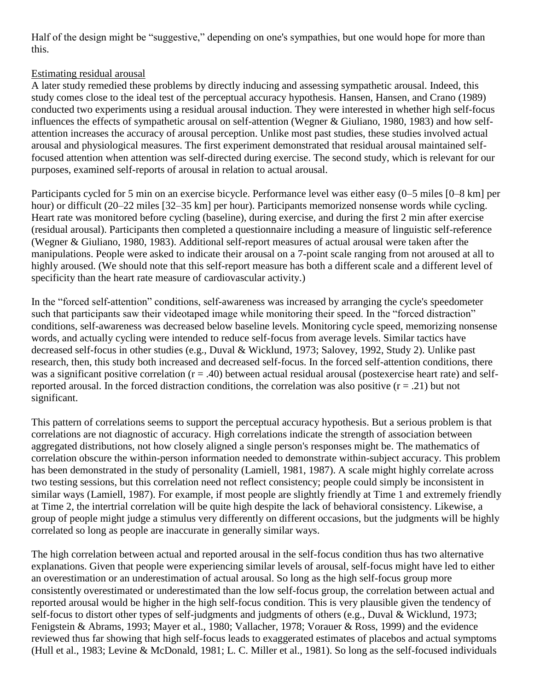Half of the design might be "suggestive," depending on one's sympathies, but one would hope for more than this.

# Estimating residual arousal

A later study remedied these problems by directly inducing and assessing sympathetic arousal. Indeed, this study comes close to the ideal test of the perceptual accuracy hypothesis. [Hansen, Hansen, and Crano \(1989\)](http://web.ebscohost.com/ehost/detail?vid=5&hid=5&sid=74c256d9-b1e5-48dd-af8e-d73e1e227db6%40sessionmgr11&bdata=JnNpdGU9ZWhvc3QtbGl2ZQ%3d%3d#c57) conducted two experiments using a residual arousal induction. They were interested in whether high self-focus influences the effects of sympathetic arousal on self-attention [\(Wegner & Giuliano, 1980,](http://web.ebscohost.com/ehost/detail?vid=5&hid=5&sid=74c256d9-b1e5-48dd-af8e-d73e1e227db6%40sessionmgr11&bdata=JnNpdGU9ZWhvc3QtbGl2ZQ%3d%3d#c123) [1983\)](http://web.ebscohost.com/ehost/detail?vid=5&hid=5&sid=74c256d9-b1e5-48dd-af8e-d73e1e227db6%40sessionmgr11&bdata=JnNpdGU9ZWhvc3QtbGl2ZQ%3d%3d#c124) and how selfattention increases the accuracy of arousal perception. Unlike most past studies, these studies involved actual arousal and physiological measures. The first experiment demonstrated that residual arousal maintained selffocused attention when attention was self-directed during exercise. The second study, which is relevant for our purposes, examined self-reports of arousal in relation to actual arousal.

Participants cycled for 5 min on an exercise bicycle. Performance level was either easy (0–5 miles [0–8 km] per hour) or difficult (20–22 miles [32–35 km] per hour). Participants memorized nonsense words while cycling. Heart rate was monitored before cycling (baseline), during exercise, and during the first 2 min after exercise (residual arousal). Participants then completed a questionnaire including a measure of linguistic self-reference [\(Wegner & Giuliano, 1980,](http://web.ebscohost.com/ehost/detail?vid=5&hid=5&sid=74c256d9-b1e5-48dd-af8e-d73e1e227db6%40sessionmgr11&bdata=JnNpdGU9ZWhvc3QtbGl2ZQ%3d%3d#c123) [1983\)](http://web.ebscohost.com/ehost/detail?vid=5&hid=5&sid=74c256d9-b1e5-48dd-af8e-d73e1e227db6%40sessionmgr11&bdata=JnNpdGU9ZWhvc3QtbGl2ZQ%3d%3d#c124). Additional self-report measures of actual arousal were taken after the manipulations. People were asked to indicate their arousal on a 7-point scale ranging from not aroused at all to highly aroused. (We should note that this self-report measure has both a different scale and a different level of specificity than the heart rate measure of cardiovascular activity.)

In the "forced self-attention" conditions, self-awareness was increased by arranging the cycle's speedometer such that participants saw their videotaped image while monitoring their speed. In the "forced distraction" conditions, self-awareness was decreased below baseline levels. Monitoring cycle speed, memorizing nonsense words, and actually cycling were intended to reduce self-focus from average levels. Similar tactics have decreased self-focus in other studies (e.g., [Duval & Wicklund, 1973;](http://web.ebscohost.com/ehost/detail?vid=5&hid=5&sid=74c256d9-b1e5-48dd-af8e-d73e1e227db6%40sessionmgr11&bdata=JnNpdGU9ZWhvc3QtbGl2ZQ%3d%3d#c37) [Salovey, 1992,](http://web.ebscohost.com/ehost/detail?vid=5&hid=5&sid=74c256d9-b1e5-48dd-af8e-d73e1e227db6%40sessionmgr11&bdata=JnNpdGU9ZWhvc3QtbGl2ZQ%3d%3d#c102) Study 2). Unlike past research, then, this study both increased and decreased self-focus. In the forced self-attention conditions, there was a significant positive correlation  $(r = .40)$  between actual residual arousal (postexercise heart rate) and selfreported arousal. In the forced distraction conditions, the correlation was also positive  $(r = .21)$  but not significant.

This pattern of correlations seems to support the perceptual accuracy hypothesis. But a serious problem is that correlations are not diagnostic of accuracy. High correlations indicate the strength of association between aggregated distributions, not how closely aligned a single person's responses might be. The mathematics of correlation obscure the within-person information needed to demonstrate within-subject accuracy. This problem has been demonstrated in the study of personality [\(Lamiell, 1981,](http://web.ebscohost.com/ehost/detail?vid=5&hid=5&sid=74c256d9-b1e5-48dd-af8e-d73e1e227db6%40sessionmgr11&bdata=JnNpdGU9ZWhvc3QtbGl2ZQ%3d%3d#c71) [1987\)](http://web.ebscohost.com/ehost/detail?vid=5&hid=5&sid=74c256d9-b1e5-48dd-af8e-d73e1e227db6%40sessionmgr11&bdata=JnNpdGU9ZWhvc3QtbGl2ZQ%3d%3d#c72). A scale might highly correlate across two testing sessions, but this correlation need not reflect consistency; people could simply be inconsistent in similar ways [\(Lamiell, 1987\)](http://web.ebscohost.com/ehost/detail?vid=5&hid=5&sid=74c256d9-b1e5-48dd-af8e-d73e1e227db6%40sessionmgr11&bdata=JnNpdGU9ZWhvc3QtbGl2ZQ%3d%3d#c72). For example, if most people are slightly friendly at Time 1 and extremely friendly at Time 2, the intertrial correlation will be quite high despite the lack of behavioral consistency. Likewise, a group of people might judge a stimulus very differently on different occasions, but the judgments will be highly correlated so long as people are inaccurate in generally similar ways.

The high correlation between actual and reported arousal in the self-focus condition thus has two alternative explanations. Given that people were experiencing similar levels of arousal, self-focus might have led to either an overestimation or an underestimation of actual arousal. So long as the high self-focus group more consistently overestimated or underestimated than the low self-focus group, the correlation between actual and reported arousal would be higher in the high self-focus condition. This is very plausible given the tendency of self-focus to distort other types of self-judgments and judgments of others (e.g., [Duval & Wicklund, 1973;](http://web.ebscohost.com/ehost/detail?vid=5&hid=5&sid=74c256d9-b1e5-48dd-af8e-d73e1e227db6%40sessionmgr11&bdata=JnNpdGU9ZWhvc3QtbGl2ZQ%3d%3d#c37) [Fenigstein & Abrams, 1993;](http://web.ebscohost.com/ehost/detail?vid=5&hid=5&sid=74c256d9-b1e5-48dd-af8e-d73e1e227db6%40sessionmgr11&bdata=JnNpdGU9ZWhvc3QtbGl2ZQ%3d%3d#c42) [Mayer et al., 1980;](http://web.ebscohost.com/ehost/detail?vid=5&hid=5&sid=74c256d9-b1e5-48dd-af8e-d73e1e227db6%40sessionmgr11&bdata=JnNpdGU9ZWhvc3QtbGl2ZQ%3d%3d#c79) [Vallacher, 1978;](http://web.ebscohost.com/ehost/detail?vid=5&hid=5&sid=74c256d9-b1e5-48dd-af8e-d73e1e227db6%40sessionmgr11&bdata=JnNpdGU9ZWhvc3QtbGl2ZQ%3d%3d#c120) [Vorauer & Ross, 1999\)](http://web.ebscohost.com/ehost/detail?vid=5&hid=5&sid=74c256d9-b1e5-48dd-af8e-d73e1e227db6%40sessionmgr11&bdata=JnNpdGU9ZWhvc3QtbGl2ZQ%3d%3d#c122) and the evidence reviewed thus far showing that high self-focus leads to exaggerated estimates of placebos and actual symptoms [\(Hull et al., 1983;](http://web.ebscohost.com/ehost/detail?vid=5&hid=5&sid=74c256d9-b1e5-48dd-af8e-d73e1e227db6%40sessionmgr11&bdata=JnNpdGU9ZWhvc3QtbGl2ZQ%3d%3d#c61) [Levine & McDonald, 1981;](http://web.ebscohost.com/ehost/detail?vid=5&hid=5&sid=74c256d9-b1e5-48dd-af8e-d73e1e227db6%40sessionmgr11&bdata=JnNpdGU9ZWhvc3QtbGl2ZQ%3d%3d#c74) [L. C. Miller et al., 1981\)](http://web.ebscohost.com/ehost/detail?vid=5&hid=5&sid=74c256d9-b1e5-48dd-af8e-d73e1e227db6%40sessionmgr11&bdata=JnNpdGU9ZWhvc3QtbGl2ZQ%3d%3d#c84). So long as the self-focused individuals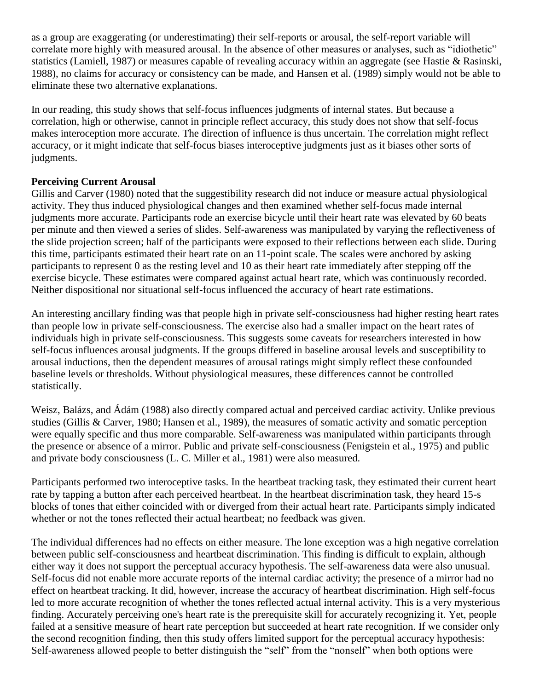as a group are exaggerating (or underestimating) their self-reports or arousal, the self-report variable will correlate more highly with measured arousal. In the absence of other measures or analyses, such as "idiothetic" statistics [\(Lamiell, 1987\)](http://web.ebscohost.com/ehost/detail?vid=5&hid=5&sid=74c256d9-b1e5-48dd-af8e-d73e1e227db6%40sessionmgr11&bdata=JnNpdGU9ZWhvc3QtbGl2ZQ%3d%3d#c72) or measures capable of revealing accuracy within an aggregate (see [Hastie & Rasinski,](http://web.ebscohost.com/ehost/detail?vid=5&hid=5&sid=74c256d9-b1e5-48dd-af8e-d73e1e227db6%40sessionmgr11&bdata=JnNpdGU9ZWhvc3QtbGl2ZQ%3d%3d#c59)  [1988\)](http://web.ebscohost.com/ehost/detail?vid=5&hid=5&sid=74c256d9-b1e5-48dd-af8e-d73e1e227db6%40sessionmgr11&bdata=JnNpdGU9ZWhvc3QtbGl2ZQ%3d%3d#c59), no claims for accuracy or consistency can be made, and [Hansen et al. \(1989\)](http://web.ebscohost.com/ehost/detail?vid=5&hid=5&sid=74c256d9-b1e5-48dd-af8e-d73e1e227db6%40sessionmgr11&bdata=JnNpdGU9ZWhvc3QtbGl2ZQ%3d%3d#c57) simply would not be able to eliminate these two alternative explanations.

In our reading, this study shows that self-focus influences judgments of internal states. But because a correlation, high or otherwise, cannot in principle reflect accuracy, this study does not show that self-focus makes interoception more accurate. The direction of influence is thus uncertain. The correlation might reflect accuracy, or it might indicate that self-focus biases interoceptive judgments just as it biases other sorts of judgments.

# **Perceiving Current Arousal**

[Gillis and Carver \(1980\)](http://web.ebscohost.com/ehost/detail?vid=5&hid=5&sid=74c256d9-b1e5-48dd-af8e-d73e1e227db6%40sessionmgr11&bdata=JnNpdGU9ZWhvc3QtbGl2ZQ%3d%3d#c55) noted that the suggestibility research did not induce or measure actual physiological activity. They thus induced physiological changes and then examined whether self-focus made internal judgments more accurate. Participants rode an exercise bicycle until their heart rate was elevated by 60 beats per minute and then viewed a series of slides. Self-awareness was manipulated by varying the reflectiveness of the slide projection screen; half of the participants were exposed to their reflections between each slide. During this time, participants estimated their heart rate on an 11-point scale. The scales were anchored by asking participants to represent 0 as the resting level and 10 as their heart rate immediately after stepping off the exercise bicycle. These estimates were compared against actual heart rate, which was continuously recorded. Neither dispositional nor situational self-focus influenced the accuracy of heart rate estimations.

An interesting ancillary finding was that people high in private self-consciousness had higher resting heart rates than people low in private self-consciousness. The exercise also had a smaller impact on the heart rates of individuals high in private self-consciousness. This suggests some caveats for researchers interested in how self-focus influences arousal judgments. If the groups differed in baseline arousal levels and susceptibility to arousal inductions, then the dependent measures of arousal ratings might simply reflect these confounded baseline levels or thresholds. Without physiological measures, these differences cannot be controlled statistically.

[Weisz, Balázs, and Ádám \(1988\)](http://web.ebscohost.com/ehost/detail?vid=5&hid=5&sid=74c256d9-b1e5-48dd-af8e-d73e1e227db6%40sessionmgr11&bdata=JnNpdGU9ZWhvc3QtbGl2ZQ%3d%3d#c125) also directly compared actual and perceived cardiac activity. Unlike previous studies [\(Gillis & Carver, 1980;](http://web.ebscohost.com/ehost/detail?vid=5&hid=5&sid=74c256d9-b1e5-48dd-af8e-d73e1e227db6%40sessionmgr11&bdata=JnNpdGU9ZWhvc3QtbGl2ZQ%3d%3d#c55) [Hansen et al., 1989\)](http://web.ebscohost.com/ehost/detail?vid=5&hid=5&sid=74c256d9-b1e5-48dd-af8e-d73e1e227db6%40sessionmgr11&bdata=JnNpdGU9ZWhvc3QtbGl2ZQ%3d%3d#c57), the measures of somatic activity and somatic perception were equally specific and thus more comparable. Self-awareness was manipulated within participants through the presence or absence of a mirror. Public and private self-consciousness [\(Fenigstein et al., 1975\)](http://web.ebscohost.com/ehost/detail?vid=5&hid=5&sid=74c256d9-b1e5-48dd-af8e-d73e1e227db6%40sessionmgr11&bdata=JnNpdGU9ZWhvc3QtbGl2ZQ%3d%3d#c43) and public and private body consciousness [\(L. C. Miller et al., 1981\)](http://web.ebscohost.com/ehost/detail?vid=5&hid=5&sid=74c256d9-b1e5-48dd-af8e-d73e1e227db6%40sessionmgr11&bdata=JnNpdGU9ZWhvc3QtbGl2ZQ%3d%3d#c84) were also measured.

Participants performed two interoceptive tasks. In the heartbeat tracking task, they estimated their current heart rate by tapping a button after each perceived heartbeat. In the heartbeat discrimination task, they heard 15-s blocks of tones that either coincided with or diverged from their actual heart rate. Participants simply indicated whether or not the tones reflected their actual heartbeat; no feedback was given.

The individual differences had no effects on either measure. The lone exception was a high negative correlation between public self-consciousness and heartbeat discrimination. This finding is difficult to explain, although either way it does not support the perceptual accuracy hypothesis. The self-awareness data were also unusual. Self-focus did not enable more accurate reports of the internal cardiac activity; the presence of a mirror had no effect on heartbeat tracking. It did, however, increase the accuracy of heartbeat discrimination. High self-focus led to more accurate recognition of whether the tones reflected actual internal activity. This is a very mysterious finding. Accurately perceiving one's heart rate is the prerequisite skill for accurately recognizing it. Yet, people failed at a sensitive measure of heart rate perception but succeeded at heart rate recognition. If we consider only the second recognition finding, then this study offers limited support for the perceptual accuracy hypothesis: Self-awareness allowed people to better distinguish the "self" from the "nonself" when both options were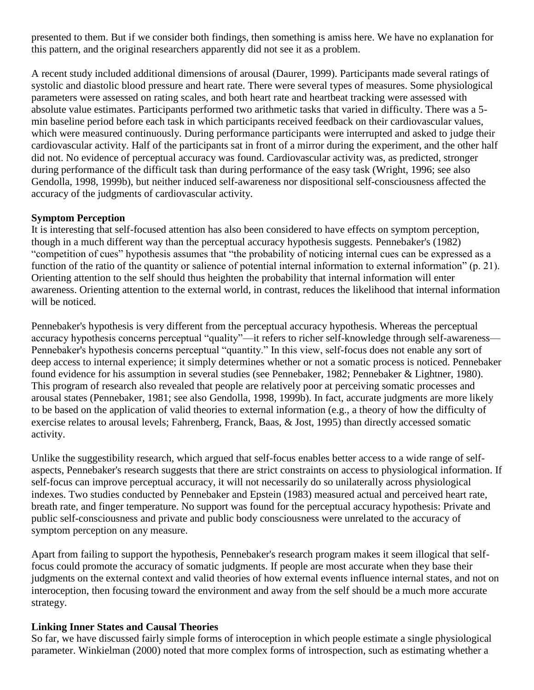presented to them. But if we consider both findings, then something is amiss here. We have no explanation for this pattern, and the original researchers apparently did not see it as a problem.

A recent study included additional dimensions of arousal [\(Daurer, 1999\)](http://web.ebscohost.com/ehost/detail?vid=5&hid=5&sid=74c256d9-b1e5-48dd-af8e-d73e1e227db6%40sessionmgr11&bdata=JnNpdGU9ZWhvc3QtbGl2ZQ%3d%3d#c28). Participants made several ratings of systolic and diastolic blood pressure and heart rate. There were several types of measures. Some physiological parameters were assessed on rating scales, and both heart rate and heartbeat tracking were assessed with absolute value estimates. Participants performed two arithmetic tasks that varied in difficulty. There was a 5 min baseline period before each task in which participants received feedback on their cardiovascular values, which were measured continuously. During performance participants were interrupted and asked to judge their cardiovascular activity. Half of the participants sat in front of a mirror during the experiment, and the other half did not. No evidence of perceptual accuracy was found. Cardiovascular activity was, as predicted, stronger during performance of the difficult task than during performance of the easy task [\(Wright, 1996;](http://web.ebscohost.com/ehost/detail?vid=5&hid=5&sid=74c256d9-b1e5-48dd-af8e-d73e1e227db6%40sessionmgr11&bdata=JnNpdGU9ZWhvc3QtbGl2ZQ%3d%3d#c136) see also [Gendolla, 1998,](http://web.ebscohost.com/ehost/detail?vid=5&hid=5&sid=74c256d9-b1e5-48dd-af8e-d73e1e227db6%40sessionmgr11&bdata=JnNpdGU9ZWhvc3QtbGl2ZQ%3d%3d#c45) [1999b\)](http://web.ebscohost.com/ehost/detail?vid=5&hid=5&sid=74c256d9-b1e5-48dd-af8e-d73e1e227db6%40sessionmgr11&bdata=JnNpdGU9ZWhvc3QtbGl2ZQ%3d%3d#c47), but neither induced self-awareness nor dispositional self-consciousness affected the accuracy of the judgments of cardiovascular activity.

# **Symptom Perception**

It is interesting that self-focused attention has also been considered to have effects on symptom perception, though in a much different way than the perceptual accuracy hypothesis suggests. [Pennebaker's \(1982\)](http://web.ebscohost.com/ehost/detail?vid=5&hid=5&sid=74c256d9-b1e5-48dd-af8e-d73e1e227db6%40sessionmgr11&bdata=JnNpdGU9ZWhvc3QtbGl2ZQ%3d%3d#c89) "competition of cues" hypothesis assumes that "the probability of noticing internal cues can be expressed as a function of the ratio of the quantity or salience of potential internal information to external information" (p. 21). Orienting attention to the self should thus heighten the probability that internal information will enter awareness. Orienting attention to the external world, in contrast, reduces the likelihood that internal information will be noticed.

Pennebaker's hypothesis is very different from the perceptual accuracy hypothesis. Whereas the perceptual accuracy hypothesis concerns perceptual "quality"—it refers to richer self-knowledge through self-awareness— Pennebaker's hypothesis concerns perceptual "quantity." In this view, self-focus does not enable any sort of deep access to internal experience; it simply determines whether or not a somatic process is noticed. Pennebaker found evidence for his assumption in several studies (see [Pennebaker, 1982;](http://web.ebscohost.com/ehost/detail?vid=5&hid=5&sid=74c256d9-b1e5-48dd-af8e-d73e1e227db6%40sessionmgr11&bdata=JnNpdGU9ZWhvc3QtbGl2ZQ%3d%3d#c89) [Pennebaker & Lightner, 1980\)](http://web.ebscohost.com/ehost/detail?vid=5&hid=5&sid=74c256d9-b1e5-48dd-af8e-d73e1e227db6%40sessionmgr11&bdata=JnNpdGU9ZWhvc3QtbGl2ZQ%3d%3d#c91). This program of research also revealed that people are relatively poor at perceiving somatic processes and arousal states [\(Pennebaker, 1981;](http://web.ebscohost.com/ehost/detail?vid=5&hid=5&sid=74c256d9-b1e5-48dd-af8e-d73e1e227db6%40sessionmgr11&bdata=JnNpdGU9ZWhvc3QtbGl2ZQ%3d%3d#c88) see also [Gendolla, 1998,](http://web.ebscohost.com/ehost/detail?vid=5&hid=5&sid=74c256d9-b1e5-48dd-af8e-d73e1e227db6%40sessionmgr11&bdata=JnNpdGU9ZWhvc3QtbGl2ZQ%3d%3d#c45) [1999b\)](http://web.ebscohost.com/ehost/detail?vid=5&hid=5&sid=74c256d9-b1e5-48dd-af8e-d73e1e227db6%40sessionmgr11&bdata=JnNpdGU9ZWhvc3QtbGl2ZQ%3d%3d#c47). In fact, accurate judgments are more likely to be based on the application of valid theories to external information (e.g., a theory of how the difficulty of exercise relates to arousal levels; [Fahrenberg, Franck, Baas, & Jost, 1995\)](http://web.ebscohost.com/ehost/detail?vid=5&hid=5&sid=74c256d9-b1e5-48dd-af8e-d73e1e227db6%40sessionmgr11&bdata=JnNpdGU9ZWhvc3QtbGl2ZQ%3d%3d#c40) than directly accessed somatic activity.

Unlike the suggestibility research, which argued that self-focus enables better access to a wide range of selfaspects, Pennebaker's research suggests that there are strict constraints on access to physiological information. If self-focus can improve perceptual accuracy, it will not necessarily do so unilaterally across physiological indexes. Two studies conducted by [Pennebaker and Epstein \(1983\)](http://web.ebscohost.com/ehost/detail?vid=5&hid=5&sid=74c256d9-b1e5-48dd-af8e-d73e1e227db6%40sessionmgr11&bdata=JnNpdGU9ZWhvc3QtbGl2ZQ%3d%3d#c90) measured actual and perceived heart rate, breath rate, and finger temperature. No support was found for the perceptual accuracy hypothesis: Private and public self-consciousness and private and public body consciousness were unrelated to the accuracy of symptom perception on any measure.

Apart from failing to support the hypothesis, Pennebaker's research program makes it seem illogical that selffocus could promote the accuracy of somatic judgments. If people are most accurate when they base their judgments on the external context and valid theories of how external events influence internal states, and not on interoception, then focusing toward the environment and away from the self should be a much more accurate strategy.

#### **Linking Inner States and Causal Theories**

So far, we have discussed fairly simple forms of interoception in which people estimate a single physiological parameter. [Winkielman \(2000\)](http://web.ebscohost.com/ehost/detail?vid=5&hid=5&sid=74c256d9-b1e5-48dd-af8e-d73e1e227db6%40sessionmgr11&bdata=JnNpdGU9ZWhvc3QtbGl2ZQ%3d%3d#c134) noted that more complex forms of introspection, such as estimating whether a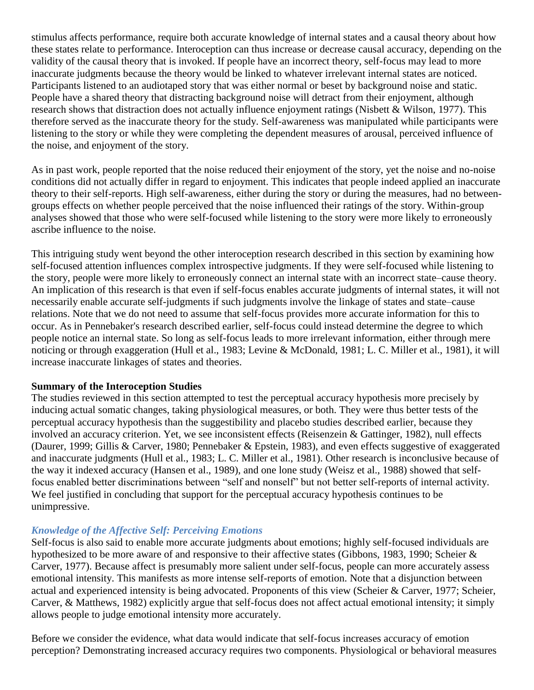stimulus affects performance, require both accurate knowledge of internal states and a causal theory about how these states relate to performance. Interoception can thus increase or decrease causal accuracy, depending on the validity of the causal theory that is invoked. If people have an incorrect theory, self-focus may lead to more inaccurate judgments because the theory would be linked to whatever irrelevant internal states are noticed. Participants listened to an audiotaped story that was either normal or beset by background noise and static. People have a shared theory that distracting background noise will detract from their enjoyment, although research shows that distraction does not actually influence enjoyment ratings [\(Nisbett & Wilson, 1977\)](http://web.ebscohost.com/ehost/detail?vid=5&hid=5&sid=74c256d9-b1e5-48dd-af8e-d73e1e227db6%40sessionmgr11&bdata=JnNpdGU9ZWhvc3QtbGl2ZQ%3d%3d#c85). This therefore served as the inaccurate theory for the study. Self-awareness was manipulated while participants were listening to the story or while they were completing the dependent measures of arousal, perceived influence of the noise, and enjoyment of the story.

As in past work, people reported that the noise reduced their enjoyment of the story, yet the noise and no-noise conditions did not actually differ in regard to enjoyment. This indicates that people indeed applied an inaccurate theory to their self-reports. High self-awareness, either during the story or during the measures, had no betweengroups effects on whether people perceived that the noise influenced their ratings of the story. Within-group analyses showed that those who were self-focused while listening to the story were more likely to erroneously ascribe influence to the noise.

This intriguing study went beyond the other interoception research described in this section by examining how self-focused attention influences complex introspective judgments. If they were self-focused while listening to the story, people were more likely to erroneously connect an internal state with an incorrect state–cause theory. An implication of this research is that even if self-focus enables accurate judgments of internal states, it will not necessarily enable accurate self-judgments if such judgments involve the linkage of states and state–cause relations. Note that we do not need to assume that self-focus provides more accurate information for this to occur. As in Pennebaker's research described earlier, self-focus could instead determine the degree to which people notice an internal state. So long as self-focus leads to more irrelevant information, either through mere noticing or through exaggeration [\(Hull et al., 1983;](http://web.ebscohost.com/ehost/detail?vid=5&hid=5&sid=74c256d9-b1e5-48dd-af8e-d73e1e227db6%40sessionmgr11&bdata=JnNpdGU9ZWhvc3QtbGl2ZQ%3d%3d#c61) [Levine & McDonald, 1981;](http://web.ebscohost.com/ehost/detail?vid=5&hid=5&sid=74c256d9-b1e5-48dd-af8e-d73e1e227db6%40sessionmgr11&bdata=JnNpdGU9ZWhvc3QtbGl2ZQ%3d%3d#c74) [L. C. Miller et al., 1981\)](http://web.ebscohost.com/ehost/detail?vid=5&hid=5&sid=74c256d9-b1e5-48dd-af8e-d73e1e227db6%40sessionmgr11&bdata=JnNpdGU9ZWhvc3QtbGl2ZQ%3d%3d#c84), it will increase inaccurate linkages of states and theories.

#### **Summary of the Interoception Studies**

The studies reviewed in this section attempted to test the perceptual accuracy hypothesis more precisely by inducing actual somatic changes, taking physiological measures, or both. They were thus better tests of the perceptual accuracy hypothesis than the suggestibility and placebo studies described earlier, because they involved an accuracy criterion. Yet, we see inconsistent effects [\(Reisenzein & Gattinger, 1982\)](http://web.ebscohost.com/ehost/detail?vid=5&hid=5&sid=74c256d9-b1e5-48dd-af8e-d73e1e227db6%40sessionmgr11&bdata=JnNpdGU9ZWhvc3QtbGl2ZQ%3d%3d#c100), null effects [\(Daurer, 1999;](http://web.ebscohost.com/ehost/detail?vid=5&hid=5&sid=74c256d9-b1e5-48dd-af8e-d73e1e227db6%40sessionmgr11&bdata=JnNpdGU9ZWhvc3QtbGl2ZQ%3d%3d#c28) [Gillis & Carver, 1980;](http://web.ebscohost.com/ehost/detail?vid=5&hid=5&sid=74c256d9-b1e5-48dd-af8e-d73e1e227db6%40sessionmgr11&bdata=JnNpdGU9ZWhvc3QtbGl2ZQ%3d%3d#c55) [Pennebaker & Epstein, 1983\)](http://web.ebscohost.com/ehost/detail?vid=5&hid=5&sid=74c256d9-b1e5-48dd-af8e-d73e1e227db6%40sessionmgr11&bdata=JnNpdGU9ZWhvc3QtbGl2ZQ%3d%3d#c90), and even effects suggestive of exaggerated and inaccurate judgments [\(Hull et al., 1983;](http://web.ebscohost.com/ehost/detail?vid=5&hid=5&sid=74c256d9-b1e5-48dd-af8e-d73e1e227db6%40sessionmgr11&bdata=JnNpdGU9ZWhvc3QtbGl2ZQ%3d%3d#c61) [L. C. Miller et al., 1981\)](http://web.ebscohost.com/ehost/detail?vid=5&hid=5&sid=74c256d9-b1e5-48dd-af8e-d73e1e227db6%40sessionmgr11&bdata=JnNpdGU9ZWhvc3QtbGl2ZQ%3d%3d#c84). Other research is inconclusive because of the way it indexed accuracy [\(Hansen et al., 1989\)](http://web.ebscohost.com/ehost/detail?vid=5&hid=5&sid=74c256d9-b1e5-48dd-af8e-d73e1e227db6%40sessionmgr11&bdata=JnNpdGU9ZWhvc3QtbGl2ZQ%3d%3d#c57), and one lone study [\(Weisz et al., 1988\)](http://web.ebscohost.com/ehost/detail?vid=5&hid=5&sid=74c256d9-b1e5-48dd-af8e-d73e1e227db6%40sessionmgr11&bdata=JnNpdGU9ZWhvc3QtbGl2ZQ%3d%3d#c125) showed that selffocus enabled better discriminations between "self and nonself" but not better self-reports of internal activity. We feel justified in concluding that support for the perceptual accuracy hypothesis continues to be unimpressive.

# *[Knowledge of the Affective Self: Perceiving Emotions](http://web.ebscohost.com/ehost/detail?vid=5&hid=5&sid=74c256d9-b1e5-48dd-af8e-d73e1e227db6%40sessionmgr11&bdata=JnNpdGU9ZWhvc3QtbGl2ZQ%3d%3d#toc)*

Self-focus is also said to enable more accurate judgments about emotions; highly self-focused individuals are hypothesized to be more aware of and responsive to their affective states [\(Gibbons, 1983,](http://web.ebscohost.com/ehost/detail?vid=5&hid=5&sid=74c256d9-b1e5-48dd-af8e-d73e1e227db6%40sessionmgr11&bdata=JnNpdGU9ZWhvc3QtbGl2ZQ%3d%3d#c50) [1990;](http://web.ebscohost.com/ehost/detail?vid=5&hid=5&sid=74c256d9-b1e5-48dd-af8e-d73e1e227db6%40sessionmgr11&bdata=JnNpdGU9ZWhvc3QtbGl2ZQ%3d%3d#c51) [Scheier &](http://web.ebscohost.com/ehost/detail?vid=5&hid=5&sid=74c256d9-b1e5-48dd-af8e-d73e1e227db6%40sessionmgr11&bdata=JnNpdGU9ZWhvc3QtbGl2ZQ%3d%3d#c104)  [Carver, 1977\)](http://web.ebscohost.com/ehost/detail?vid=5&hid=5&sid=74c256d9-b1e5-48dd-af8e-d73e1e227db6%40sessionmgr11&bdata=JnNpdGU9ZWhvc3QtbGl2ZQ%3d%3d#c104). Because affect is presumably more salient under self-focus, people can more accurately assess emotional intensity. This manifests as more intense self-reports of emotion. Note that a disjunction between actual and experienced intensity is being advocated. Proponents of this view [\(Scheier & Carver, 1977;](http://web.ebscohost.com/ehost/detail?vid=5&hid=5&sid=74c256d9-b1e5-48dd-af8e-d73e1e227db6%40sessionmgr11&bdata=JnNpdGU9ZWhvc3QtbGl2ZQ%3d%3d#c104) [Scheier,](http://web.ebscohost.com/ehost/detail?vid=5&hid=5&sid=74c256d9-b1e5-48dd-af8e-d73e1e227db6%40sessionmgr11&bdata=JnNpdGU9ZWhvc3QtbGl2ZQ%3d%3d#c108)  [Carver, & Matthews, 1982\)](http://web.ebscohost.com/ehost/detail?vid=5&hid=5&sid=74c256d9-b1e5-48dd-af8e-d73e1e227db6%40sessionmgr11&bdata=JnNpdGU9ZWhvc3QtbGl2ZQ%3d%3d#c108) explicitly argue that self-focus does not affect actual emotional intensity; it simply allows people to judge emotional intensity more accurately.

Before we consider the evidence, what data would indicate that self-focus increases accuracy of emotion perception? Demonstrating increased accuracy requires two components. Physiological or behavioral measures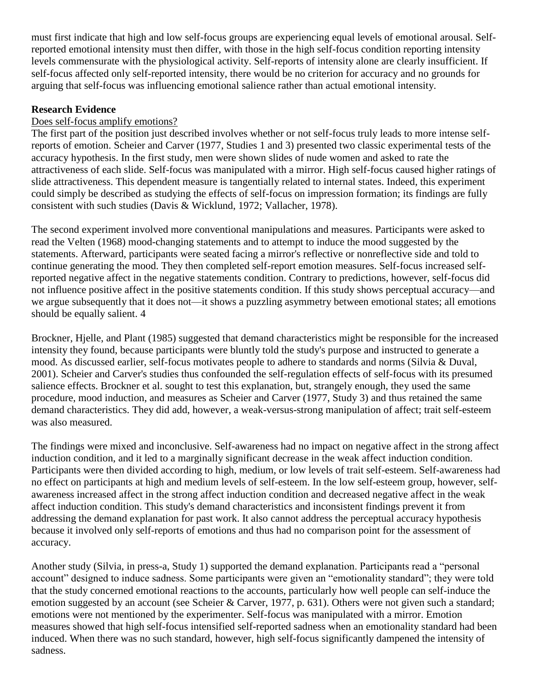must first indicate that high and low self-focus groups are experiencing equal levels of emotional arousal. Selfreported emotional intensity must then differ, with those in the high self-focus condition reporting intensity levels commensurate with the physiological activity. Self-reports of intensity alone are clearly insufficient. If self-focus affected only self-reported intensity, there would be no criterion for accuracy and no grounds for arguing that self-focus was influencing emotional salience rather than actual emotional intensity.

# **Research Evidence**

# Does self-focus amplify emotions?

The first part of the position just described involves whether or not self-focus truly leads to more intense selfreports of emotion. [Scheier and Carver \(1977,](http://web.ebscohost.com/ehost/detail?vid=5&hid=5&sid=74c256d9-b1e5-48dd-af8e-d73e1e227db6%40sessionmgr11&bdata=JnNpdGU9ZWhvc3QtbGl2ZQ%3d%3d#c104) Studies 1 and 3) presented two classic experimental tests of the accuracy hypothesis. In the first study, men were shown slides of nude women and asked to rate the attractiveness of each slide. Self-focus was manipulated with a mirror. High self-focus caused higher ratings of slide attractiveness. This dependent measure is tangentially related to internal states. Indeed, this experiment could simply be described as studying the effects of self-focus on impression formation; its findings are fully consistent with such studies [\(Davis & Wicklund, 1972;](http://web.ebscohost.com/ehost/detail?vid=5&hid=5&sid=74c256d9-b1e5-48dd-af8e-d73e1e227db6%40sessionmgr11&bdata=JnNpdGU9ZWhvc3QtbGl2ZQ%3d%3d#c29) [Vallacher, 1978\)](http://web.ebscohost.com/ehost/detail?vid=5&hid=5&sid=74c256d9-b1e5-48dd-af8e-d73e1e227db6%40sessionmgr11&bdata=JnNpdGU9ZWhvc3QtbGl2ZQ%3d%3d#c120).

The second experiment involved more conventional manipulations and measures. Participants were asked to read the [Velten \(1968\)](http://web.ebscohost.com/ehost/detail?vid=5&hid=5&sid=74c256d9-b1e5-48dd-af8e-d73e1e227db6%40sessionmgr11&bdata=JnNpdGU9ZWhvc3QtbGl2ZQ%3d%3d#c121) mood-changing statements and to attempt to induce the mood suggested by the statements. Afterward, participants were seated facing a mirror's reflective or nonreflective side and told to continue generating the mood. They then completed self-report emotion measures. Self-focus increased selfreported negative affect in the negative statements condition. Contrary to predictions, however, self-focus did not influence positive affect in the positive statements condition. If this study shows perceptual accuracy—and we argue subsequently that it does not—it shows a puzzling asymmetry between emotional states; all emotions should be equally salient. [4](http://web.ebscohost.com/ehost/detail?vid=5&hid=5&sid=74c256d9-b1e5-48dd-af8e-d73e1e227db6%40sessionmgr11&bdata=JnNpdGU9ZWhvc3QtbGl2ZQ%3d%3d#fn4)

[Brockner, Hjelle, and Plant \(1985\)](http://web.ebscohost.com/ehost/detail?vid=5&hid=5&sid=74c256d9-b1e5-48dd-af8e-d73e1e227db6%40sessionmgr11&bdata=JnNpdGU9ZWhvc3QtbGl2ZQ%3d%3d#c12) suggested that demand characteristics might be responsible for the increased intensity they found, because participants were bluntly told the study's purpose and instructed to generate a mood. As discussed earlier, self-focus motivates people to adhere to standards and norms [\(Silvia & Duval,](http://web.ebscohost.com/ehost/detail?vid=5&hid=5&sid=74c256d9-b1e5-48dd-af8e-d73e1e227db6%40sessionmgr11&bdata=JnNpdGU9ZWhvc3QtbGl2ZQ%3d%3d#c116)  [2001\)](http://web.ebscohost.com/ehost/detail?vid=5&hid=5&sid=74c256d9-b1e5-48dd-af8e-d73e1e227db6%40sessionmgr11&bdata=JnNpdGU9ZWhvc3QtbGl2ZQ%3d%3d#c116). Scheier and Carver's studies thus confounded the self-regulation effects of self-focus with its presumed salience effects. Brockner et al. sought to test this explanation, but, strangely enough, they used the same procedure, mood induction, and measures as [Scheier and Carver \(1977,](http://web.ebscohost.com/ehost/detail?vid=5&hid=5&sid=74c256d9-b1e5-48dd-af8e-d73e1e227db6%40sessionmgr11&bdata=JnNpdGU9ZWhvc3QtbGl2ZQ%3d%3d#c104) Study 3) and thus retained the same demand characteristics. They did add, however, a weak-versus-strong manipulation of affect; trait self-esteem was also measured.

The findings were mixed and inconclusive. Self-awareness had no impact on negative affect in the strong affect induction condition, and it led to a marginally significant decrease in the weak affect induction condition. Participants were then divided according to high, medium, or low levels of trait self-esteem. Self-awareness had no effect on participants at high and medium levels of self-esteem. In the low self-esteem group, however, selfawareness increased affect in the strong affect induction condition and decreased negative affect in the weak affect induction condition. This study's demand characteristics and inconsistent findings prevent it from addressing the demand explanation for past work. It also cannot address the perceptual accuracy hypothesis because it involved only self-reports of emotions and thus had no comparison point for the assessment of accuracy.

Another study [\(Silvia, in press-a,](http://web.ebscohost.com/ehost/detail?vid=5&hid=5&sid=74c256d9-b1e5-48dd-af8e-d73e1e227db6%40sessionmgr11&bdata=JnNpdGU9ZWhvc3QtbGl2ZQ%3d%3d#c114) Study 1) supported the demand explanation. Participants read a "personal account" designed to induce sadness. Some participants were given an "emotionality standard"; they were told that the study concerned emotional reactions to the accounts, particularly how well people can self-induce the emotion suggested by an account (see [Scheier & Carver, 1977,](http://web.ebscohost.com/ehost/detail?vid=5&hid=5&sid=74c256d9-b1e5-48dd-af8e-d73e1e227db6%40sessionmgr11&bdata=JnNpdGU9ZWhvc3QtbGl2ZQ%3d%3d#c104) p. 631). Others were not given such a standard; emotions were not mentioned by the experimenter. Self-focus was manipulated with a mirror. Emotion measures showed that high self-focus intensified self-reported sadness when an emotionality standard had been induced. When there was no such standard, however, high self-focus significantly dampened the intensity of sadness.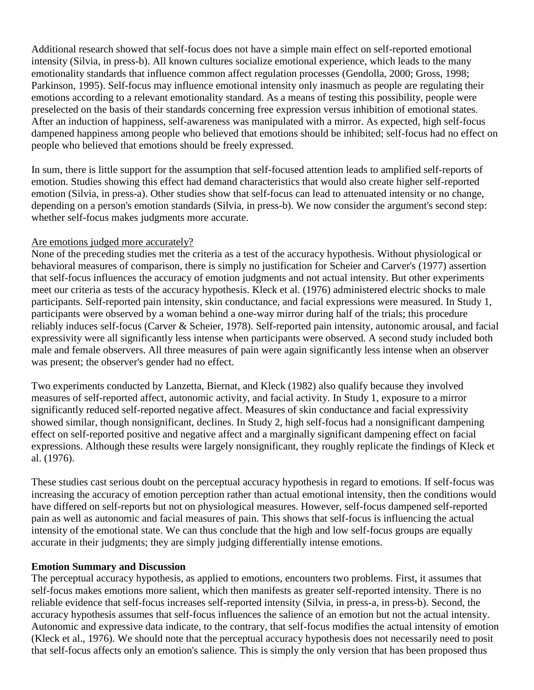Additional research showed that self-focus does not have a simple main effect on self-reported emotional intensity [\(Silvia, in press-b\)](http://web.ebscohost.com/ehost/detail?vid=5&hid=5&sid=74c256d9-b1e5-48dd-af8e-d73e1e227db6%40sessionmgr11&bdata=JnNpdGU9ZWhvc3QtbGl2ZQ%3d%3d#c115). All known cultures socialize emotional experience, which leads to the many emotionality standards that influence common affect regulation processes [\(Gendolla, 2000;](http://web.ebscohost.com/ehost/detail?vid=5&hid=5&sid=74c256d9-b1e5-48dd-af8e-d73e1e227db6%40sessionmgr11&bdata=JnNpdGU9ZWhvc3QtbGl2ZQ%3d%3d#c48) [Gross, 1998;](http://web.ebscohost.com/ehost/detail?vid=5&hid=5&sid=74c256d9-b1e5-48dd-af8e-d73e1e227db6%40sessionmgr11&bdata=JnNpdGU9ZWhvc3QtbGl2ZQ%3d%3d#c56) [Parkinson, 1995\)](http://web.ebscohost.com/ehost/detail?vid=5&hid=5&sid=74c256d9-b1e5-48dd-af8e-d73e1e227db6%40sessionmgr11&bdata=JnNpdGU9ZWhvc3QtbGl2ZQ%3d%3d#c86). Self-focus may influence emotional intensity only inasmuch as people are regulating their emotions according to a relevant emotionality standard. As a means of testing this possibility, people were preselected on the basis of their standards concerning free expression versus inhibition of emotional states. After an induction of happiness, self-awareness was manipulated with a mirror. As expected, high self-focus dampened happiness among people who believed that emotions should be inhibited; self-focus had no effect on people who believed that emotions should be freely expressed.

In sum, there is little support for the assumption that self-focused attention leads to amplified self-reports of emotion. Studies showing this effect had demand characteristics that would also create higher self-reported emotion [\(Silvia, in press-a\)](http://web.ebscohost.com/ehost/detail?vid=5&hid=5&sid=74c256d9-b1e5-48dd-af8e-d73e1e227db6%40sessionmgr11&bdata=JnNpdGU9ZWhvc3QtbGl2ZQ%3d%3d#c114). Other studies show that self-focus can lead to attenuated intensity or no change, depending on a person's emotion standards [\(Silvia, in press-b\)](http://web.ebscohost.com/ehost/detail?vid=5&hid=5&sid=74c256d9-b1e5-48dd-af8e-d73e1e227db6%40sessionmgr11&bdata=JnNpdGU9ZWhvc3QtbGl2ZQ%3d%3d#c115). We now consider the argument's second step: whether self-focus makes judgments more accurate.

## Are emotions judged more accurately?

None of the preceding studies met the criteria as a test of the accuracy hypothesis. Without physiological or behavioral measures of comparison, there is simply no justification for [Scheier and Carver's \(1977\)](http://web.ebscohost.com/ehost/detail?vid=5&hid=5&sid=74c256d9-b1e5-48dd-af8e-d73e1e227db6%40sessionmgr11&bdata=JnNpdGU9ZWhvc3QtbGl2ZQ%3d%3d#c104) assertion that self-focus influences the accuracy of emotion judgments and not actual intensity. But other experiments meet our criteria as tests of the accuracy hypothesis. [Kleck et al. \(1976\)](http://web.ebscohost.com/ehost/detail?vid=5&hid=5&sid=74c256d9-b1e5-48dd-af8e-d73e1e227db6%40sessionmgr11&bdata=JnNpdGU9ZWhvc3QtbGl2ZQ%3d%3d#c70) administered electric shocks to male participants. Self-reported pain intensity, skin conductance, and facial expressions were measured. In Study 1, participants were observed by a woman behind a one-way mirror during half of the trials; this procedure reliably induces self-focus [\(Carver & Scheier, 1978\)](http://web.ebscohost.com/ehost/detail?vid=5&hid=5&sid=74c256d9-b1e5-48dd-af8e-d73e1e227db6%40sessionmgr11&bdata=JnNpdGU9ZWhvc3QtbGl2ZQ%3d%3d#c20). Self-reported pain intensity, autonomic arousal, and facial expressivity were all significantly less intense when participants were observed. A second study included both male and female observers. All three measures of pain were again significantly less intense when an observer was present; the observer's gender had no effect.

Two experiments conducted by [Lanzetta, Biernat, and Kleck \(1982\)](http://web.ebscohost.com/ehost/detail?vid=5&hid=5&sid=74c256d9-b1e5-48dd-af8e-d73e1e227db6%40sessionmgr11&bdata=JnNpdGU9ZWhvc3QtbGl2ZQ%3d%3d#c73) also qualify because they involved measures of self-reported affect, autonomic activity, and facial activity. In Study 1, exposure to a mirror significantly reduced self-reported negative affect. Measures of skin conductance and facial expressivity showed similar, though nonsignificant, declines. In Study 2, high self-focus had a nonsignificant dampening effect on self-reported positive and negative affect and a marginally significant dampening effect on facial expressions. Although these results were largely nonsignificant, they roughly replicate the findings of [Kleck et](http://web.ebscohost.com/ehost/detail?vid=5&hid=5&sid=74c256d9-b1e5-48dd-af8e-d73e1e227db6%40sessionmgr11&bdata=JnNpdGU9ZWhvc3QtbGl2ZQ%3d%3d#c70)  [al. \(1976\).](http://web.ebscohost.com/ehost/detail?vid=5&hid=5&sid=74c256d9-b1e5-48dd-af8e-d73e1e227db6%40sessionmgr11&bdata=JnNpdGU9ZWhvc3QtbGl2ZQ%3d%3d#c70)

These studies cast serious doubt on the perceptual accuracy hypothesis in regard to emotions. If self-focus was increasing the accuracy of emotion perception rather than actual emotional intensity, then the conditions would have differed on self-reports but not on physiological measures. However, self-focus dampened self-reported pain as well as autonomic and facial measures of pain. This shows that self-focus is influencing the actual intensity of the emotional state. We can thus conclude that the high and low self-focus groups are equally accurate in their judgments; they are simply judging differentially intense emotions.

#### **Emotion Summary and Discussion**

The perceptual accuracy hypothesis, as applied to emotions, encounters two problems. First, it assumes that self-focus makes emotions more salient, which then manifests as greater self-reported intensity. There is no reliable evidence that self-focus increases self-reported intensity [\(Silvia, in press-a,](http://web.ebscohost.com/ehost/detail?vid=5&hid=5&sid=74c256d9-b1e5-48dd-af8e-d73e1e227db6%40sessionmgr11&bdata=JnNpdGU9ZWhvc3QtbGl2ZQ%3d%3d#c114) [in press-b\)](http://web.ebscohost.com/ehost/detail?vid=5&hid=5&sid=74c256d9-b1e5-48dd-af8e-d73e1e227db6%40sessionmgr11&bdata=JnNpdGU9ZWhvc3QtbGl2ZQ%3d%3d#c115). Second, the accuracy hypothesis assumes that self-focus influences the salience of an emotion but not the actual intensity. Autonomic and expressive data indicate, to the contrary, that self-focus modifies the actual intensity of emotion [\(Kleck et al., 1976\)](http://web.ebscohost.com/ehost/detail?vid=5&hid=5&sid=74c256d9-b1e5-48dd-af8e-d73e1e227db6%40sessionmgr11&bdata=JnNpdGU9ZWhvc3QtbGl2ZQ%3d%3d#c70). We should note that the perceptual accuracy hypothesis does not necessarily need to posit that self-focus affects only an emotion's salience. This is simply the only version that has been proposed thus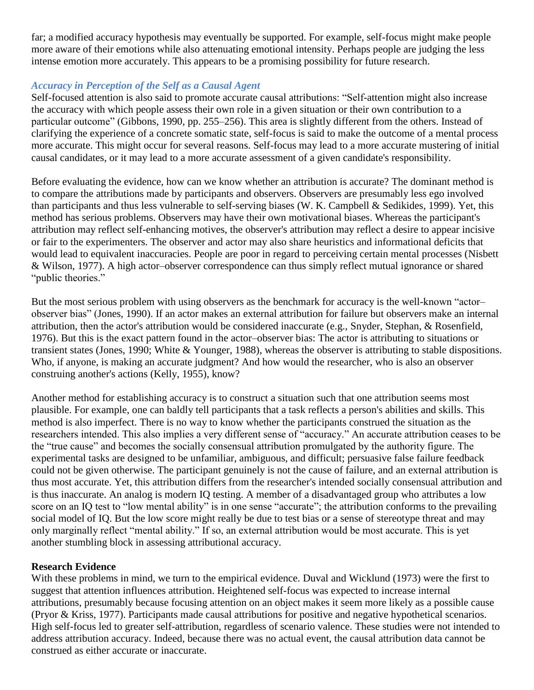far; a modified accuracy hypothesis may eventually be supported. For example, self-focus might make people more aware of their emotions while also attenuating emotional intensity. Perhaps people are judging the less intense emotion more accurately. This appears to be a promising possibility for future research.

# *[Accuracy in Perception of the Self as a Causal Agent](http://web.ebscohost.com/ehost/detail?vid=5&hid=5&sid=74c256d9-b1e5-48dd-af8e-d73e1e227db6%40sessionmgr11&bdata=JnNpdGU9ZWhvc3QtbGl2ZQ%3d%3d#toc)*

Self-focused attention is also said to promote accurate causal attributions: "Self-attention might also increase the accuracy with which people assess their own role in a given situation or their own contribution to a particular outcome" [\(Gibbons, 1990,](http://web.ebscohost.com/ehost/detail?vid=5&hid=5&sid=74c256d9-b1e5-48dd-af8e-d73e1e227db6%40sessionmgr11&bdata=JnNpdGU9ZWhvc3QtbGl2ZQ%3d%3d#c51) pp. 255–256). This area is slightly different from the others. Instead of clarifying the experience of a concrete somatic state, self-focus is said to make the outcome of a mental process more accurate. This might occur for several reasons. Self-focus may lead to a more accurate mustering of initial causal candidates, or it may lead to a more accurate assessment of a given candidate's responsibility.

Before evaluating the evidence, how can we know whether an attribution is accurate? The dominant method is to compare the attributions made by participants and observers. Observers are presumably less ego involved than participants and thus less vulnerable to self-serving biases [\(W. K. Campbell & Sedikides, 1999\)](http://web.ebscohost.com/ehost/detail?vid=5&hid=5&sid=74c256d9-b1e5-48dd-af8e-d73e1e227db6%40sessionmgr11&bdata=JnNpdGU9ZWhvc3QtbGl2ZQ%3d%3d#c16). Yet, this method has serious problems. Observers may have their own motivational biases. Whereas the participant's attribution may reflect self-enhancing motives, the observer's attribution may reflect a desire to appear incisive or fair to the experimenters. The observer and actor may also share heuristics and informational deficits that would lead to equivalent inaccuracies. People are poor in regard to perceiving certain mental processes [\(Nisbett](http://web.ebscohost.com/ehost/detail?vid=5&hid=5&sid=74c256d9-b1e5-48dd-af8e-d73e1e227db6%40sessionmgr11&bdata=JnNpdGU9ZWhvc3QtbGl2ZQ%3d%3d#c85)  [& Wilson, 1977\)](http://web.ebscohost.com/ehost/detail?vid=5&hid=5&sid=74c256d9-b1e5-48dd-af8e-d73e1e227db6%40sessionmgr11&bdata=JnNpdGU9ZWhvc3QtbGl2ZQ%3d%3d#c85). A high actor–observer correspondence can thus simply reflect mutual ignorance or shared "public theories."

But the most serious problem with using observers as the benchmark for accuracy is the well-known "actorobserver bias‖ [\(Jones, 1990\)](http://web.ebscohost.com/ehost/detail?vid=5&hid=5&sid=74c256d9-b1e5-48dd-af8e-d73e1e227db6%40sessionmgr11&bdata=JnNpdGU9ZWhvc3QtbGl2ZQ%3d%3d#c66). If an actor makes an external attribution for failure but observers make an internal attribution, then the actor's attribution would be considered inaccurate (e.g., [Snyder, Stephan, & Rosenfield,](http://web.ebscohost.com/ehost/detail?vid=5&hid=5&sid=74c256d9-b1e5-48dd-af8e-d73e1e227db6%40sessionmgr11&bdata=JnNpdGU9ZWhvc3QtbGl2ZQ%3d%3d#c117)  [1976\)](http://web.ebscohost.com/ehost/detail?vid=5&hid=5&sid=74c256d9-b1e5-48dd-af8e-d73e1e227db6%40sessionmgr11&bdata=JnNpdGU9ZWhvc3QtbGl2ZQ%3d%3d#c117). But this is the exact pattern found in the actor–observer bias: The actor is attributing to situations or transient states [\(Jones, 1990;](http://web.ebscohost.com/ehost/detail?vid=5&hid=5&sid=74c256d9-b1e5-48dd-af8e-d73e1e227db6%40sessionmgr11&bdata=JnNpdGU9ZWhvc3QtbGl2ZQ%3d%3d#c66) [White & Younger, 1988\)](http://web.ebscohost.com/ehost/detail?vid=5&hid=5&sid=74c256d9-b1e5-48dd-af8e-d73e1e227db6%40sessionmgr11&bdata=JnNpdGU9ZWhvc3QtbGl2ZQ%3d%3d#c127), whereas the observer is attributing to stable dispositions. Who, if anyone, is making an accurate judgment? And how would the researcher, who is also an observer construing another's actions [\(Kelly, 1955\)](http://web.ebscohost.com/ehost/detail?vid=5&hid=5&sid=74c256d9-b1e5-48dd-af8e-d73e1e227db6%40sessionmgr11&bdata=JnNpdGU9ZWhvc3QtbGl2ZQ%3d%3d#c68), know?

Another method for establishing accuracy is to construct a situation such that one attribution seems most plausible. For example, one can baldly tell participants that a task reflects a person's abilities and skills. This method is also imperfect. There is no way to know whether the participants construed the situation as the researchers intended. This also implies a very different sense of "accuracy." An accurate attribution ceases to be the "true cause" and becomes the socially consensual attribution promulgated by the authority figure. The experimental tasks are designed to be unfamiliar, ambiguous, and difficult; persuasive false failure feedback could not be given otherwise. The participant genuinely is not the cause of failure, and an external attribution is thus most accurate. Yet, this attribution differs from the researcher's intended socially consensual attribution and is thus inaccurate. An analog is modern IQ testing. A member of a disadvantaged group who attributes a low score on an IQ test to "low mental ability" is in one sense "accurate"; the attribution conforms to the prevailing social model of IQ. But the low score might really be due to test bias or a sense of stereotype threat and may only marginally reflect "mental ability." If so, an external attribution would be most accurate. This is yet another stumbling block in assessing attributional accuracy.

# **Research Evidence**

With these problems in mind, we turn to the empirical evidence. [Duval and Wicklund \(1973\)](http://web.ebscohost.com/ehost/detail?vid=5&hid=5&sid=74c256d9-b1e5-48dd-af8e-d73e1e227db6%40sessionmgr11&bdata=JnNpdGU9ZWhvc3QtbGl2ZQ%3d%3d#c37) were the first to suggest that attention influences attribution. Heightened self-focus was expected to increase internal attributions, presumably because focusing attention on an object makes it seem more likely as a possible cause [\(Pryor & Kriss, 1977\)](http://web.ebscohost.com/ehost/detail?vid=5&hid=5&sid=74c256d9-b1e5-48dd-af8e-d73e1e227db6%40sessionmgr11&bdata=JnNpdGU9ZWhvc3QtbGl2ZQ%3d%3d#c95). Participants made causal attributions for positive and negative hypothetical scenarios. High self-focus led to greater self-attribution, regardless of scenario valence. These studies were not intended to address attribution accuracy. Indeed, because there was no actual event, the causal attribution data cannot be construed as either accurate or inaccurate.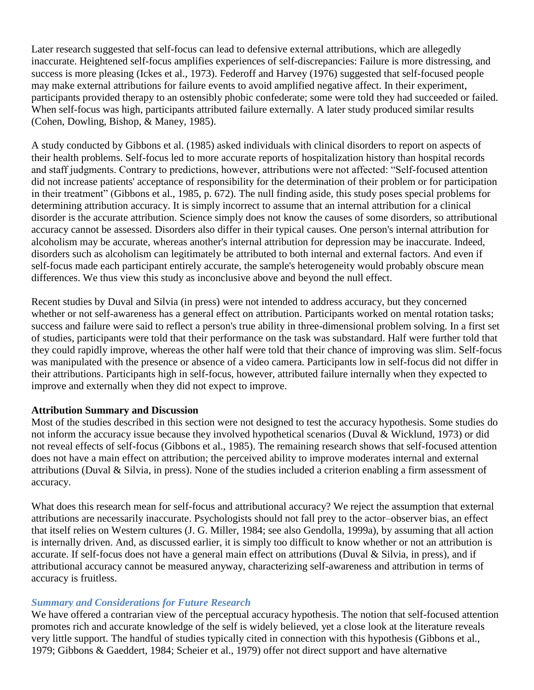Later research suggested that self-focus can lead to defensive external attributions, which are allegedly inaccurate. Heightened self-focus amplifies experiences of self-discrepancies: Failure is more distressing, and success is more pleasing [\(Ickes et al., 1973\)](http://web.ebscohost.com/ehost/detail?vid=5&hid=5&sid=74c256d9-b1e5-48dd-af8e-d73e1e227db6%40sessionmgr11&bdata=JnNpdGU9ZWhvc3QtbGl2ZQ%3d%3d#c63). [Federoff and Harvey \(1976\)](http://web.ebscohost.com/ehost/detail?vid=5&hid=5&sid=74c256d9-b1e5-48dd-af8e-d73e1e227db6%40sessionmgr11&bdata=JnNpdGU9ZWhvc3QtbGl2ZQ%3d%3d#c41) suggested that self-focused people may make external attributions for failure events to avoid amplified negative affect. In their experiment, participants provided therapy to an ostensibly phobic confederate; some were told they had succeeded or failed. When self-focus was high, participants attributed failure externally. A later study produced similar results [\(Cohen, Dowling, Bishop, & Maney, 1985\)](http://web.ebscohost.com/ehost/detail?vid=5&hid=5&sid=74c256d9-b1e5-48dd-af8e-d73e1e227db6%40sessionmgr11&bdata=JnNpdGU9ZWhvc3QtbGl2ZQ%3d%3d#c23).

A study conducted by [Gibbons et al. \(1985\)](http://web.ebscohost.com/ehost/detail?vid=5&hid=5&sid=74c256d9-b1e5-48dd-af8e-d73e1e227db6%40sessionmgr11&bdata=JnNpdGU9ZWhvc3QtbGl2ZQ%3d%3d#c54) asked individuals with clinical disorders to report on aspects of their health problems. Self-focus led to more accurate reports of hospitalization history than hospital records and staff judgments. Contrary to predictions, however, attributions were not affected: "Self-focused attention did not increase patients' acceptance of responsibility for the determination of their problem or for participation in their treatment" [\(Gibbons et al., 1985,](http://web.ebscohost.com/ehost/detail?vid=5&hid=5&sid=74c256d9-b1e5-48dd-af8e-d73e1e227db6%40sessionmgr11&bdata=JnNpdGU9ZWhvc3QtbGl2ZQ%3d%3d#c54) p. 672). The null finding aside, this study poses special problems for determining attribution accuracy. It is simply incorrect to assume that an internal attribution for a clinical disorder is the accurate attribution. Science simply does not know the causes of some disorders, so attributional accuracy cannot be assessed. Disorders also differ in their typical causes. One person's internal attribution for alcoholism may be accurate, whereas another's internal attribution for depression may be inaccurate. Indeed, disorders such as alcoholism can legitimately be attributed to both internal and external factors. And even if self-focus made each participant entirely accurate, the sample's heterogeneity would probably obscure mean differences. We thus view this study as inconclusive above and beyond the null effect.

Recent studies by [Duval and Silvia \(in press\)](http://web.ebscohost.com/ehost/detail?vid=5&hid=5&sid=74c256d9-b1e5-48dd-af8e-d73e1e227db6%40sessionmgr11&bdata=JnNpdGU9ZWhvc3QtbGl2ZQ%3d%3d#c35) were not intended to address accuracy, but they concerned whether or not self-awareness has a general effect on attribution. Participants worked on mental rotation tasks; success and failure were said to reflect a person's true ability in three-dimensional problem solving. In a first set of studies, participants were told that their performance on the task was substandard. Half were further told that they could rapidly improve, whereas the other half were told that their chance of improving was slim. Self-focus was manipulated with the presence or absence of a video camera. Participants low in self-focus did not differ in their attributions. Participants high in self-focus, however, attributed failure internally when they expected to improve and externally when they did not expect to improve.

#### **Attribution Summary and Discussion**

Most of the studies described in this section were not designed to test the accuracy hypothesis. Some studies do not inform the accuracy issue because they involved hypothetical scenarios [\(Duval & Wicklund, 1973\)](http://web.ebscohost.com/ehost/detail?vid=5&hid=5&sid=74c256d9-b1e5-48dd-af8e-d73e1e227db6%40sessionmgr11&bdata=JnNpdGU9ZWhvc3QtbGl2ZQ%3d%3d#c37) or did not reveal effects of self-focus [\(Gibbons et al., 1985\)](http://web.ebscohost.com/ehost/detail?vid=5&hid=5&sid=74c256d9-b1e5-48dd-af8e-d73e1e227db6%40sessionmgr11&bdata=JnNpdGU9ZWhvc3QtbGl2ZQ%3d%3d#c54). The remaining research shows that self-focused attention does not have a main effect on attribution; the perceived ability to improve moderates internal and external attributions [\(Duval & Silvia, in press\)](http://web.ebscohost.com/ehost/detail?vid=5&hid=5&sid=74c256d9-b1e5-48dd-af8e-d73e1e227db6%40sessionmgr11&bdata=JnNpdGU9ZWhvc3QtbGl2ZQ%3d%3d#c35). None of the studies included a criterion enabling a firm assessment of accuracy.

What does this research mean for self-focus and attributional accuracy? We reject the assumption that external attributions are necessarily inaccurate. Psychologists should not fall prey to the actor–observer bias, an effect that itself relies on Western cultures [\(J. G. Miller, 1984;](http://web.ebscohost.com/ehost/detail?vid=5&hid=5&sid=74c256d9-b1e5-48dd-af8e-d73e1e227db6%40sessionmgr11&bdata=JnNpdGU9ZWhvc3QtbGl2ZQ%3d%3d#c83) see also [Gendolla, 1999a\)](http://web.ebscohost.com/ehost/detail?vid=5&hid=5&sid=74c256d9-b1e5-48dd-af8e-d73e1e227db6%40sessionmgr11&bdata=JnNpdGU9ZWhvc3QtbGl2ZQ%3d%3d#c46), by assuming that all action is internally driven. And, as discussed earlier, it is simply too difficult to know whether or not an attribution is accurate. If self-focus does not have a general main effect on attributions [\(Duval & Silvia, in press\)](http://web.ebscohost.com/ehost/detail?vid=5&hid=5&sid=74c256d9-b1e5-48dd-af8e-d73e1e227db6%40sessionmgr11&bdata=JnNpdGU9ZWhvc3QtbGl2ZQ%3d%3d#c35), and if attributional accuracy cannot be measured anyway, characterizing self-awareness and attribution in terms of accuracy is fruitless.

#### *[Summary and Considerations for Future Research](http://web.ebscohost.com/ehost/detail?vid=5&hid=5&sid=74c256d9-b1e5-48dd-af8e-d73e1e227db6%40sessionmgr11&bdata=JnNpdGU9ZWhvc3QtbGl2ZQ%3d%3d#toc)*

We have offered a contrarian view of the perceptual accuracy hypothesis. The notion that self-focused attention promotes rich and accurate knowledge of the self is widely believed, yet a close look at the literature reveals very little support. The handful of studies typically cited in connection with this hypothesis [\(Gibbons et al.,](http://web.ebscohost.com/ehost/detail?vid=5&hid=5&sid=74c256d9-b1e5-48dd-af8e-d73e1e227db6%40sessionmgr11&bdata=JnNpdGU9ZWhvc3QtbGl2ZQ%3d%3d#c52)  [1979;](http://web.ebscohost.com/ehost/detail?vid=5&hid=5&sid=74c256d9-b1e5-48dd-af8e-d73e1e227db6%40sessionmgr11&bdata=JnNpdGU9ZWhvc3QtbGl2ZQ%3d%3d#c52) [Gibbons & Gaeddert, 1984;](http://web.ebscohost.com/ehost/detail?vid=5&hid=5&sid=74c256d9-b1e5-48dd-af8e-d73e1e227db6%40sessionmgr11&bdata=JnNpdGU9ZWhvc3QtbGl2ZQ%3d%3d#c53) [Scheier et al., 1979\)](http://web.ebscohost.com/ehost/detail?vid=5&hid=5&sid=74c256d9-b1e5-48dd-af8e-d73e1e227db6%40sessionmgr11&bdata=JnNpdGU9ZWhvc3QtbGl2ZQ%3d%3d#c106) offer not direct support and have alternative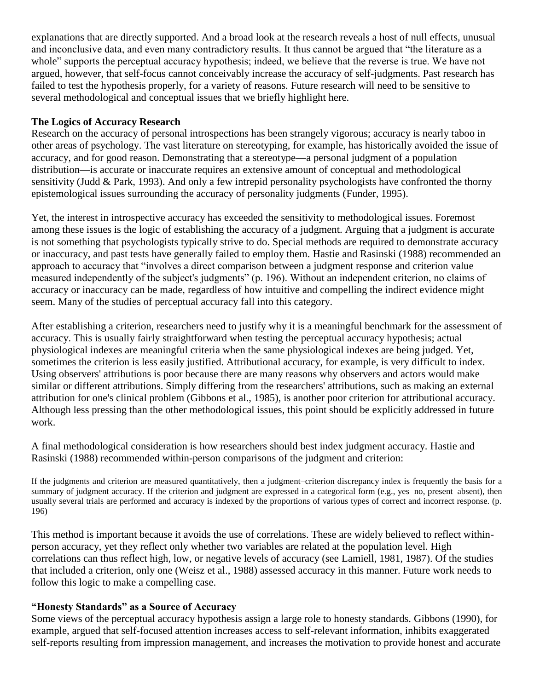explanations that are directly supported. And a broad look at the research reveals a host of null effects, unusual and inconclusive data, and even many contradictory results. It thus cannot be argued that "the literature as a whole" supports the perceptual accuracy hypothesis; indeed, we believe that the reverse is true. We have not argued, however, that self-focus cannot conceivably increase the accuracy of self-judgments. Past research has failed to test the hypothesis properly, for a variety of reasons. Future research will need to be sensitive to several methodological and conceptual issues that we briefly highlight here.

## **The Logics of Accuracy Research**

Research on the accuracy of personal introspections has been strangely vigorous; accuracy is nearly taboo in other areas of psychology. The vast literature on stereotyping, for example, has historically avoided the issue of accuracy, and for good reason. Demonstrating that a stereotype—a personal judgment of a population distribution—is accurate or inaccurate requires an extensive amount of conceptual and methodological sensitivity [\(Judd & Park, 1993\)](http://web.ebscohost.com/ehost/detail?vid=5&hid=5&sid=74c256d9-b1e5-48dd-af8e-d73e1e227db6%40sessionmgr11&bdata=JnNpdGU9ZWhvc3QtbGl2ZQ%3d%3d#c67). And only a few intrepid personality psychologists have confronted the thorny epistemological issues surrounding the accuracy of personality judgments [\(Funder, 1995\)](http://web.ebscohost.com/ehost/detail?vid=5&hid=5&sid=74c256d9-b1e5-48dd-af8e-d73e1e227db6%40sessionmgr11&bdata=JnNpdGU9ZWhvc3QtbGl2ZQ%3d%3d#c44).

Yet, the interest in introspective accuracy has exceeded the sensitivity to methodological issues. Foremost among these issues is the logic of establishing the accuracy of a judgment. Arguing that a judgment is accurate is not something that psychologists typically strive to do. Special methods are required to demonstrate accuracy or inaccuracy, and past tests have generally failed to employ them. [Hastie and Rasinski \(1988\)](http://web.ebscohost.com/ehost/detail?vid=5&hid=5&sid=74c256d9-b1e5-48dd-af8e-d73e1e227db6%40sessionmgr11&bdata=JnNpdGU9ZWhvc3QtbGl2ZQ%3d%3d#c59) recommended an approach to accuracy that "involves a direct comparison between a judgment response and criterion value measured independently of the subject's judgments" (p. 196). Without an independent criterion, no claims of accuracy or inaccuracy can be made, regardless of how intuitive and compelling the indirect evidence might seem. Many of the studies of perceptual accuracy fall into this category.

After establishing a criterion, researchers need to justify why it is a meaningful benchmark for the assessment of accuracy. This is usually fairly straightforward when testing the perceptual accuracy hypothesis; actual physiological indexes are meaningful criteria when the same physiological indexes are being judged. Yet, sometimes the criterion is less easily justified. Attributional accuracy, for example, is very difficult to index. Using observers' attributions is poor because there are many reasons why observers and actors would make similar or different attributions. Simply differing from the researchers' attributions, such as making an external attribution for one's clinical problem [\(Gibbons et al., 1985\)](http://web.ebscohost.com/ehost/detail?vid=5&hid=5&sid=74c256d9-b1e5-48dd-af8e-d73e1e227db6%40sessionmgr11&bdata=JnNpdGU9ZWhvc3QtbGl2ZQ%3d%3d#c54), is another poor criterion for attributional accuracy. Although less pressing than the other methodological issues, this point should be explicitly addressed in future work.

A final methodological consideration is how researchers should best index judgment accuracy. [Hastie and](http://web.ebscohost.com/ehost/detail?vid=5&hid=5&sid=74c256d9-b1e5-48dd-af8e-d73e1e227db6%40sessionmgr11&bdata=JnNpdGU9ZWhvc3QtbGl2ZQ%3d%3d#c59)  [Rasinski \(1988\)](http://web.ebscohost.com/ehost/detail?vid=5&hid=5&sid=74c256d9-b1e5-48dd-af8e-d73e1e227db6%40sessionmgr11&bdata=JnNpdGU9ZWhvc3QtbGl2ZQ%3d%3d#c59) recommended within-person comparisons of the judgment and criterion:

If the judgments and criterion are measured quantitatively, then a judgment–criterion discrepancy index is frequently the basis for a summary of judgment accuracy. If the criterion and judgment are expressed in a categorical form (e.g., yes–no, present–absent), then usually several trials are performed and accuracy is indexed by the proportions of various types of correct and incorrect response. (p. 196)

This method is important because it avoids the use of correlations. These are widely believed to reflect withinperson accuracy, yet they reflect only whether two variables are related at the population level. High correlations can thus reflect high, low, or negative levels of accuracy (see [Lamiell, 1981,](http://web.ebscohost.com/ehost/detail?vid=5&hid=5&sid=74c256d9-b1e5-48dd-af8e-d73e1e227db6%40sessionmgr11&bdata=JnNpdGU9ZWhvc3QtbGl2ZQ%3d%3d#c71) [1987\)](http://web.ebscohost.com/ehost/detail?vid=5&hid=5&sid=74c256d9-b1e5-48dd-af8e-d73e1e227db6%40sessionmgr11&bdata=JnNpdGU9ZWhvc3QtbGl2ZQ%3d%3d#c72). Of the studies that included a criterion, only one [\(Weisz et al., 1988\)](http://web.ebscohost.com/ehost/detail?vid=5&hid=5&sid=74c256d9-b1e5-48dd-af8e-d73e1e227db6%40sessionmgr11&bdata=JnNpdGU9ZWhvc3QtbGl2ZQ%3d%3d#c125) assessed accuracy in this manner. Future work needs to follow this logic to make a compelling case.

# **"Honesty Standards" as a Source of Accuracy**

Some views of the perceptual accuracy hypothesis assign a large role to honesty standards. [Gibbons \(1990\),](http://web.ebscohost.com/ehost/detail?vid=5&hid=5&sid=74c256d9-b1e5-48dd-af8e-d73e1e227db6%40sessionmgr11&bdata=JnNpdGU9ZWhvc3QtbGl2ZQ%3d%3d#c51) for example, argued that self-focused attention increases access to self-relevant information, inhibits exaggerated self-reports resulting from impression management, and increases the motivation to provide honest and accurate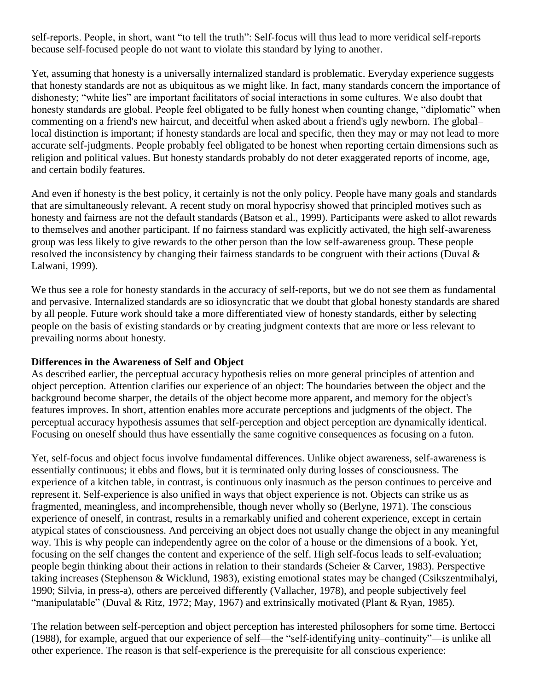self-reports. People, in short, want "to tell the truth": Self-focus will thus lead to more veridical self-reports because self-focused people do not want to violate this standard by lying to another.

Yet, assuming that honesty is a universally internalized standard is problematic. Everyday experience suggests that honesty standards are not as ubiquitous as we might like. In fact, many standards concern the importance of dishonesty; "white lies" are important facilitators of social interactions in some cultures. We also doubt that honesty standards are global. People feel obligated to be fully honest when counting change, "diplomatic" when commenting on a friend's new haircut, and deceitful when asked about a friend's ugly newborn. The global– local distinction is important; if honesty standards are local and specific, then they may or may not lead to more accurate self-judgments. People probably feel obligated to be honest when reporting certain dimensions such as religion and political values. But honesty standards probably do not deter exaggerated reports of income, age, and certain bodily features.

And even if honesty is the best policy, it certainly is not the only policy. People have many goals and standards that are simultaneously relevant. A recent study on moral hypocrisy showed that principled motives such as honesty and fairness are not the default standards [\(Batson et al., 1999\)](http://web.ebscohost.com/ehost/detail?vid=5&hid=5&sid=74c256d9-b1e5-48dd-af8e-d73e1e227db6%40sessionmgr11&bdata=JnNpdGU9ZWhvc3QtbGl2ZQ%3d%3d#c4). Participants were asked to allot rewards to themselves and another participant. If no fairness standard was explicitly activated, the high self-awareness group was less likely to give rewards to the other person than the low self-awareness group. These people resolved the inconsistency by changing their fairness standards to be congruent with their actions [\(Duval &](http://web.ebscohost.com/ehost/detail?vid=5&hid=5&sid=74c256d9-b1e5-48dd-af8e-d73e1e227db6%40sessionmgr11&bdata=JnNpdGU9ZWhvc3QtbGl2ZQ%3d%3d#c32)  [Lalwani, 1999\)](http://web.ebscohost.com/ehost/detail?vid=5&hid=5&sid=74c256d9-b1e5-48dd-af8e-d73e1e227db6%40sessionmgr11&bdata=JnNpdGU9ZWhvc3QtbGl2ZQ%3d%3d#c32).

We thus see a role for honesty standards in the accuracy of self-reports, but we do not see them as fundamental and pervasive. Internalized standards are so idiosyncratic that we doubt that global honesty standards are shared by all people. Future work should take a more differentiated view of honesty standards, either by selecting people on the basis of existing standards or by creating judgment contexts that are more or less relevant to prevailing norms about honesty.

# **Differences in the Awareness of Self and Object**

As described earlier, the perceptual accuracy hypothesis relies on more general principles of attention and object perception. Attention clarifies our experience of an object: The boundaries between the object and the background become sharper, the details of the object become more apparent, and memory for the object's features improves. In short, attention enables more accurate perceptions and judgments of the object. The perceptual accuracy hypothesis assumes that self-perception and object perception are dynamically identical. Focusing on oneself should thus have essentially the same cognitive consequences as focusing on a futon.

Yet, self-focus and object focus involve fundamental differences. Unlike object awareness, self-awareness is essentially continuous; it ebbs and flows, but it is terminated only during losses of consciousness. The experience of a kitchen table, in contrast, is continuous only inasmuch as the person continues to perceive and represent it. Self-experience is also unified in ways that object experience is not. Objects can strike us as fragmented, meaningless, and incomprehensible, though never wholly so [\(Berlyne, 1971\)](http://web.ebscohost.com/ehost/detail?vid=5&hid=5&sid=74c256d9-b1e5-48dd-af8e-d73e1e227db6%40sessionmgr11&bdata=JnNpdGU9ZWhvc3QtbGl2ZQ%3d%3d#c8). The conscious experience of oneself, in contrast, results in a remarkably unified and coherent experience, except in certain atypical states of consciousness. And perceiving an object does not usually change the object in any meaningful way. This is why people can independently agree on the color of a house or the dimensions of a book. Yet, focusing on the self changes the content and experience of the self. High self-focus leads to self-evaluation; people begin thinking about their actions in relation to their standards [\(Scheier & Carver, 1983\)](http://web.ebscohost.com/ehost/detail?vid=5&hid=5&sid=74c256d9-b1e5-48dd-af8e-d73e1e227db6%40sessionmgr11&bdata=JnNpdGU9ZWhvc3QtbGl2ZQ%3d%3d#c105). Perspective taking increases [\(Stephenson & Wicklund, 1983\)](http://web.ebscohost.com/ehost/detail?vid=5&hid=5&sid=74c256d9-b1e5-48dd-af8e-d73e1e227db6%40sessionmgr11&bdata=JnNpdGU9ZWhvc3QtbGl2ZQ%3d%3d#c118), existing emotional states may be changed [\(Csikszentmihalyi,](http://web.ebscohost.com/ehost/detail?vid=5&hid=5&sid=74c256d9-b1e5-48dd-af8e-d73e1e227db6%40sessionmgr11&bdata=JnNpdGU9ZWhvc3QtbGl2ZQ%3d%3d#c26)  [1990;](http://web.ebscohost.com/ehost/detail?vid=5&hid=5&sid=74c256d9-b1e5-48dd-af8e-d73e1e227db6%40sessionmgr11&bdata=JnNpdGU9ZWhvc3QtbGl2ZQ%3d%3d#c26) [Silvia, in press-a\)](http://web.ebscohost.com/ehost/detail?vid=5&hid=5&sid=74c256d9-b1e5-48dd-af8e-d73e1e227db6%40sessionmgr11&bdata=JnNpdGU9ZWhvc3QtbGl2ZQ%3d%3d#c114), others are perceived differently [\(Vallacher, 1978\)](http://web.ebscohost.com/ehost/detail?vid=5&hid=5&sid=74c256d9-b1e5-48dd-af8e-d73e1e227db6%40sessionmgr11&bdata=JnNpdGU9ZWhvc3QtbGl2ZQ%3d%3d#c120), and people subjectively feel "manipulatable" [\(Duval & Ritz, 1972;](http://web.ebscohost.com/ehost/detail?vid=5&hid=5&sid=74c256d9-b1e5-48dd-af8e-d73e1e227db6%40sessionmgr11&bdata=JnNpdGU9ZWhvc3QtbGl2ZQ%3d%3d#c33) [May, 1967\)](http://web.ebscohost.com/ehost/detail?vid=5&hid=5&sid=74c256d9-b1e5-48dd-af8e-d73e1e227db6%40sessionmgr11&bdata=JnNpdGU9ZWhvc3QtbGl2ZQ%3d%3d#c78) and extrinsically motivated [\(Plant & Ryan, 1985\)](http://web.ebscohost.com/ehost/detail?vid=5&hid=5&sid=74c256d9-b1e5-48dd-af8e-d73e1e227db6%40sessionmgr11&bdata=JnNpdGU9ZWhvc3QtbGl2ZQ%3d%3d#c92).

The relation between self-perception and object perception has interested philosophers for some time. [Bertocci](http://web.ebscohost.com/ehost/detail?vid=5&hid=5&sid=74c256d9-b1e5-48dd-af8e-d73e1e227db6%40sessionmgr11&bdata=JnNpdGU9ZWhvc3QtbGl2ZQ%3d%3d#c10)  [\(1988\),](http://web.ebscohost.com/ehost/detail?vid=5&hid=5&sid=74c256d9-b1e5-48dd-af8e-d73e1e227db6%40sessionmgr11&bdata=JnNpdGU9ZWhvc3QtbGl2ZQ%3d%3d#c10) for example, argued that our experience of self—the "self-identifying unity–continuity"—is unlike all other experience. The reason is that self-experience is the prerequisite for all conscious experience: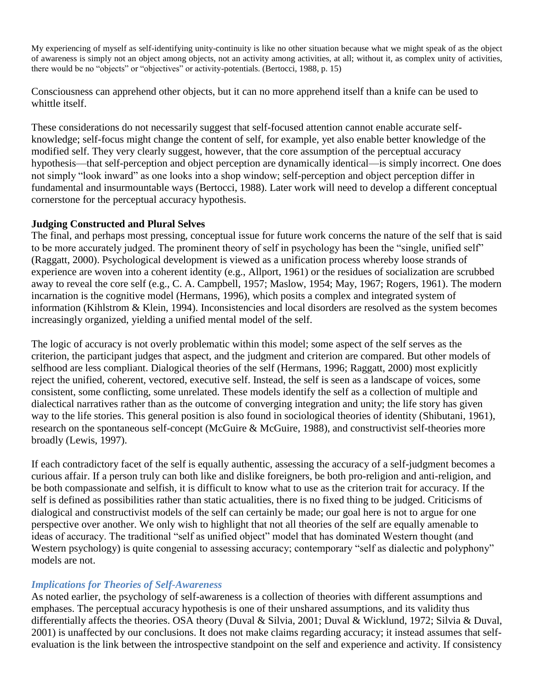My experiencing of myself as self-identifying unity-continuity is like no other situation because what we might speak of as the object of awareness is simply not an object among objects, not an activity among activities, at all; without it, as complex unity of activities, there would be no "objects" or "objectives" or activity-potentials. [\(Bertocci, 1988,](http://web.ebscohost.com/ehost/detail?vid=5&hid=5&sid=74c256d9-b1e5-48dd-af8e-d73e1e227db6%40sessionmgr11&bdata=JnNpdGU9ZWhvc3QtbGl2ZQ%3d%3d#c10) p. 15)

Consciousness can apprehend other objects, but it can no more apprehend itself than a knife can be used to whittle itself.

These considerations do not necessarily suggest that self-focused attention cannot enable accurate selfknowledge; self-focus might change the content of self, for example, yet also enable better knowledge of the modified self. They very clearly suggest, however, that the core assumption of the perceptual accuracy hypothesis—that self-perception and object perception are dynamically identical—is simply incorrect. One does not simply "look inward" as one looks into a shop window; self-perception and object perception differ in fundamental and insurmountable ways [\(Bertocci, 1988\)](http://web.ebscohost.com/ehost/detail?vid=5&hid=5&sid=74c256d9-b1e5-48dd-af8e-d73e1e227db6%40sessionmgr11&bdata=JnNpdGU9ZWhvc3QtbGl2ZQ%3d%3d#c10). Later work will need to develop a different conceptual cornerstone for the perceptual accuracy hypothesis.

# **Judging Constructed and Plural Selves**

The final, and perhaps most pressing, conceptual issue for future work concerns the nature of the self that is said to be more accurately judged. The prominent theory of self in psychology has been the "single, unified self" [\(Raggatt, 2000\)](http://web.ebscohost.com/ehost/detail?vid=5&hid=5&sid=74c256d9-b1e5-48dd-af8e-d73e1e227db6%40sessionmgr11&bdata=JnNpdGU9ZWhvc3QtbGl2ZQ%3d%3d#c98). Psychological development is viewed as a unification process whereby loose strands of experience are woven into a coherent identity (e.g., [Allport, 1961\)](http://web.ebscohost.com/ehost/detail?vid=5&hid=5&sid=74c256d9-b1e5-48dd-af8e-d73e1e227db6%40sessionmgr11&bdata=JnNpdGU9ZWhvc3QtbGl2ZQ%3d%3d#c1) or the residues of socialization are scrubbed away to reveal the core self (e.g., [C. A. Campbell, 1957;](http://web.ebscohost.com/ehost/detail?vid=5&hid=5&sid=74c256d9-b1e5-48dd-af8e-d73e1e227db6%40sessionmgr11&bdata=JnNpdGU9ZWhvc3QtbGl2ZQ%3d%3d#c14) [Maslow, 1954;](http://web.ebscohost.com/ehost/detail?vid=5&hid=5&sid=74c256d9-b1e5-48dd-af8e-d73e1e227db6%40sessionmgr11&bdata=JnNpdGU9ZWhvc3QtbGl2ZQ%3d%3d#c77) [May, 1967;](http://web.ebscohost.com/ehost/detail?vid=5&hid=5&sid=74c256d9-b1e5-48dd-af8e-d73e1e227db6%40sessionmgr11&bdata=JnNpdGU9ZWhvc3QtbGl2ZQ%3d%3d#c78) [Rogers, 1961\)](http://web.ebscohost.com/ehost/detail?vid=5&hid=5&sid=74c256d9-b1e5-48dd-af8e-d73e1e227db6%40sessionmgr11&bdata=JnNpdGU9ZWhvc3QtbGl2ZQ%3d%3d#c101). The modern incarnation is the cognitive model [\(Hermans, 1996\)](http://web.ebscohost.com/ehost/detail?vid=5&hid=5&sid=74c256d9-b1e5-48dd-af8e-d73e1e227db6%40sessionmgr11&bdata=JnNpdGU9ZWhvc3QtbGl2ZQ%3d%3d#c60), which posits a complex and integrated system of information [\(Kihlstrom & Klein, 1994\)](http://web.ebscohost.com/ehost/detail?vid=5&hid=5&sid=74c256d9-b1e5-48dd-af8e-d73e1e227db6%40sessionmgr11&bdata=JnNpdGU9ZWhvc3QtbGl2ZQ%3d%3d#c69). Inconsistencies and local disorders are resolved as the system becomes increasingly organized, yielding a unified mental model of the self.

The logic of accuracy is not overly problematic within this model; some aspect of the self serves as the criterion, the participant judges that aspect, and the judgment and criterion are compared. But other models of selfhood are less compliant. Dialogical theories of the self [\(Hermans, 1996;](http://web.ebscohost.com/ehost/detail?vid=5&hid=5&sid=74c256d9-b1e5-48dd-af8e-d73e1e227db6%40sessionmgr11&bdata=JnNpdGU9ZWhvc3QtbGl2ZQ%3d%3d#c60) [Raggatt, 2000\)](http://web.ebscohost.com/ehost/detail?vid=5&hid=5&sid=74c256d9-b1e5-48dd-af8e-d73e1e227db6%40sessionmgr11&bdata=JnNpdGU9ZWhvc3QtbGl2ZQ%3d%3d#c98) most explicitly reject the unified, coherent, vectored, executive self. Instead, the self is seen as a landscape of voices, some consistent, some conflicting, some unrelated. These models identify the self as a collection of multiple and dialectical narratives rather than as the outcome of converging integration and unity; the life story has given way to the life stories. This general position is also found in sociological theories of identity [\(Shibutani, 1961\)](http://web.ebscohost.com/ehost/detail?vid=5&hid=5&sid=74c256d9-b1e5-48dd-af8e-d73e1e227db6%40sessionmgr11&bdata=JnNpdGU9ZWhvc3QtbGl2ZQ%3d%3d#c111), research on the spontaneous self-concept [\(McGuire & McGuire, 1988\)](http://web.ebscohost.com/ehost/detail?vid=5&hid=5&sid=74c256d9-b1e5-48dd-af8e-d73e1e227db6%40sessionmgr11&bdata=JnNpdGU9ZWhvc3QtbGl2ZQ%3d%3d#c80), and constructivist self-theories more broadly [\(Lewis, 1997\)](http://web.ebscohost.com/ehost/detail?vid=5&hid=5&sid=74c256d9-b1e5-48dd-af8e-d73e1e227db6%40sessionmgr11&bdata=JnNpdGU9ZWhvc3QtbGl2ZQ%3d%3d#c75).

If each contradictory facet of the self is equally authentic, assessing the accuracy of a self-judgment becomes a curious affair. If a person truly can both like and dislike foreigners, be both pro-religion and anti-religion, and be both compassionate and selfish, it is difficult to know what to use as the criterion trait for accuracy. If the self is defined as possibilities rather than static actualities, there is no fixed thing to be judged. Criticisms of dialogical and constructivist models of the self can certainly be made; our goal here is not to argue for one perspective over another. We only wish to highlight that not all theories of the self are equally amenable to ideas of accuracy. The traditional "self as unified object" model that has dominated Western thought (and Western psychology) is quite congenial to assessing accuracy; contemporary "self as dialectic and polyphony" models are not.

# *[Implications for Theories of Self-Awareness](http://web.ebscohost.com/ehost/detail?vid=5&hid=5&sid=74c256d9-b1e5-48dd-af8e-d73e1e227db6%40sessionmgr11&bdata=JnNpdGU9ZWhvc3QtbGl2ZQ%3d%3d#toc)*

As noted earlier, the psychology of self-awareness is a collection of theories with different assumptions and emphases. The perceptual accuracy hypothesis is one of their unshared assumptions, and its validity thus differentially affects the theories. OSA theory [\(Duval & Silvia, 2001;](http://web.ebscohost.com/ehost/detail?vid=5&hid=5&sid=74c256d9-b1e5-48dd-af8e-d73e1e227db6%40sessionmgr11&bdata=JnNpdGU9ZWhvc3QtbGl2ZQ%3d%3d#c34) [Duval & Wicklund, 1972;](http://web.ebscohost.com/ehost/detail?vid=5&hid=5&sid=74c256d9-b1e5-48dd-af8e-d73e1e227db6%40sessionmgr11&bdata=JnNpdGU9ZWhvc3QtbGl2ZQ%3d%3d#c36) [Silvia & Duval,](http://web.ebscohost.com/ehost/detail?vid=5&hid=5&sid=74c256d9-b1e5-48dd-af8e-d73e1e227db6%40sessionmgr11&bdata=JnNpdGU9ZWhvc3QtbGl2ZQ%3d%3d#c116)  [2001\)](http://web.ebscohost.com/ehost/detail?vid=5&hid=5&sid=74c256d9-b1e5-48dd-af8e-d73e1e227db6%40sessionmgr11&bdata=JnNpdGU9ZWhvc3QtbGl2ZQ%3d%3d#c116) is unaffected by our conclusions. It does not make claims regarding accuracy; it instead assumes that selfevaluation is the link between the introspective standpoint on the self and experience and activity. If consistency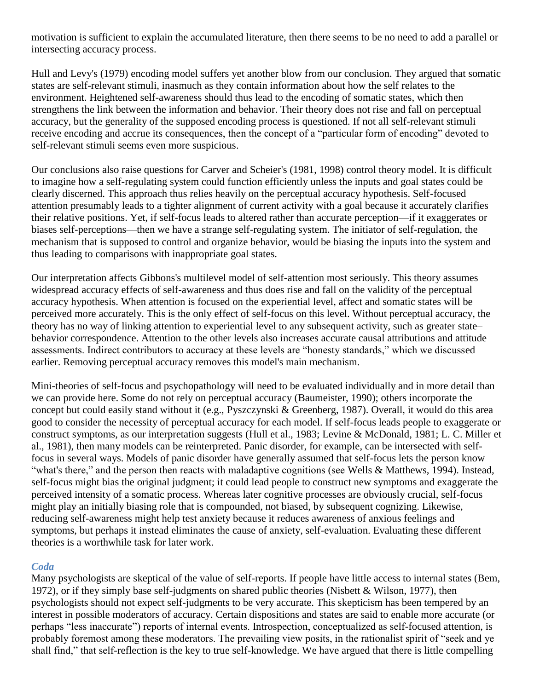motivation is sufficient to explain the accumulated literature, then there seems to be no need to add a parallel or intersecting accuracy process.

[Hull and Levy's \(1979\)](http://web.ebscohost.com/ehost/detail?vid=5&hid=5&sid=74c256d9-b1e5-48dd-af8e-d73e1e227db6%40sessionmgr11&bdata=JnNpdGU9ZWhvc3QtbGl2ZQ%3d%3d#c62) encoding model suffers yet another blow from our conclusion. They argued that somatic states are self-relevant stimuli, inasmuch as they contain information about how the self relates to the environment. Heightened self-awareness should thus lead to the encoding of somatic states, which then strengthens the link between the information and behavior. Their theory does not rise and fall on perceptual accuracy, but the generality of the supposed encoding process is questioned. If not all self-relevant stimuli receive encoding and accrue its consequences, then the concept of a "particular form of encoding" devoted to self-relevant stimuli seems even more suspicious.

Our conclusions also raise questions for [Carver and Scheier's \(1981,](http://web.ebscohost.com/ehost/detail?vid=5&hid=5&sid=74c256d9-b1e5-48dd-af8e-d73e1e227db6%40sessionmgr11&bdata=JnNpdGU9ZWhvc3QtbGl2ZQ%3d%3d#c21) [1998\)](http://web.ebscohost.com/ehost/detail?vid=5&hid=5&sid=74c256d9-b1e5-48dd-af8e-d73e1e227db6%40sessionmgr11&bdata=JnNpdGU9ZWhvc3QtbGl2ZQ%3d%3d#c22) control theory model. It is difficult to imagine how a self-regulating system could function efficiently unless the inputs and goal states could be clearly discerned. This approach thus relies heavily on the perceptual accuracy hypothesis. Self-focused attention presumably leads to a tighter alignment of current activity with a goal because it accurately clarifies their relative positions. Yet, if self-focus leads to altered rather than accurate perception—if it exaggerates or biases self-perceptions—then we have a strange self-regulating system. The initiator of self-regulation, the mechanism that is supposed to control and organize behavior, would be biasing the inputs into the system and thus leading to comparisons with inappropriate goal states.

Our interpretation affects Gibbons's multilevel model of self-attention most seriously. This theory assumes widespread accuracy effects of self-awareness and thus does rise and fall on the validity of the perceptual accuracy hypothesis. When attention is focused on the experiential level, affect and somatic states will be perceived more accurately. This is the only effect of self-focus on this level. Without perceptual accuracy, the theory has no way of linking attention to experiential level to any subsequent activity, such as greater state– behavior correspondence. Attention to the other levels also increases accurate causal attributions and attitude assessments. Indirect contributors to accuracy at these levels are "honesty standards," which we discussed earlier. Removing perceptual accuracy removes this model's main mechanism.

Mini-theories of self-focus and psychopathology will need to be evaluated individually and in more detail than we can provide here. Some do not rely on perceptual accuracy [\(Baumeister, 1990\)](http://web.ebscohost.com/ehost/detail?vid=5&hid=5&sid=74c256d9-b1e5-48dd-af8e-d73e1e227db6%40sessionmgr11&bdata=JnNpdGU9ZWhvc3QtbGl2ZQ%3d%3d#c5); others incorporate the concept but could easily stand without it (e.g., [Pyszczynski & Greenberg, 1987\)](http://web.ebscohost.com/ehost/detail?vid=5&hid=5&sid=74c256d9-b1e5-48dd-af8e-d73e1e227db6%40sessionmgr11&bdata=JnNpdGU9ZWhvc3QtbGl2ZQ%3d%3d#c96). Overall, it would do this area good to consider the necessity of perceptual accuracy for each model. If self-focus leads people to exaggerate or construct symptoms, as our interpretation suggests [\(Hull et al., 1983;](http://web.ebscohost.com/ehost/detail?vid=5&hid=5&sid=74c256d9-b1e5-48dd-af8e-d73e1e227db6%40sessionmgr11&bdata=JnNpdGU9ZWhvc3QtbGl2ZQ%3d%3d#c61) [Levine & McDonald, 1981;](http://web.ebscohost.com/ehost/detail?vid=5&hid=5&sid=74c256d9-b1e5-48dd-af8e-d73e1e227db6%40sessionmgr11&bdata=JnNpdGU9ZWhvc3QtbGl2ZQ%3d%3d#c74) [L. C. Miller et](http://web.ebscohost.com/ehost/detail?vid=5&hid=5&sid=74c256d9-b1e5-48dd-af8e-d73e1e227db6%40sessionmgr11&bdata=JnNpdGU9ZWhvc3QtbGl2ZQ%3d%3d#c84)  [al., 1981\)](http://web.ebscohost.com/ehost/detail?vid=5&hid=5&sid=74c256d9-b1e5-48dd-af8e-d73e1e227db6%40sessionmgr11&bdata=JnNpdGU9ZWhvc3QtbGl2ZQ%3d%3d#c84), then many models can be reinterpreted. Panic disorder, for example, can be intersected with selffocus in several ways. Models of panic disorder have generally assumed that self-focus lets the person know "what's there," and the person then reacts with maladaptive cognitions (see [Wells & Matthews, 1994\)](http://web.ebscohost.com/ehost/detail?vid=5&hid=5&sid=74c256d9-b1e5-48dd-af8e-d73e1e227db6%40sessionmgr11&bdata=JnNpdGU9ZWhvc3QtbGl2ZQ%3d%3d#c126). Instead, self-focus might bias the original judgment; it could lead people to construct new symptoms and exaggerate the perceived intensity of a somatic process. Whereas later cognitive processes are obviously crucial, self-focus might play an initially biasing role that is compounded, not biased, by subsequent cognizing. Likewise, reducing self-awareness might help test anxiety because it reduces awareness of anxious feelings and symptoms, but perhaps it instead eliminates the cause of anxiety, self-evaluation. Evaluating these different theories is a worthwhile task for later work.

# *[Coda](http://web.ebscohost.com/ehost/detail?vid=5&hid=5&sid=74c256d9-b1e5-48dd-af8e-d73e1e227db6%40sessionmgr11&bdata=JnNpdGU9ZWhvc3QtbGl2ZQ%3d%3d#toc)*

Many psychologists are skeptical of the value of self-reports. If people have little access to internal states [\(Bem,](http://web.ebscohost.com/ehost/detail?vid=5&hid=5&sid=74c256d9-b1e5-48dd-af8e-d73e1e227db6%40sessionmgr11&bdata=JnNpdGU9ZWhvc3QtbGl2ZQ%3d%3d#c6)  [1972\)](http://web.ebscohost.com/ehost/detail?vid=5&hid=5&sid=74c256d9-b1e5-48dd-af8e-d73e1e227db6%40sessionmgr11&bdata=JnNpdGU9ZWhvc3QtbGl2ZQ%3d%3d#c6), or if they simply base self-judgments on shared public theories [\(Nisbett & Wilson, 1977\)](http://web.ebscohost.com/ehost/detail?vid=5&hid=5&sid=74c256d9-b1e5-48dd-af8e-d73e1e227db6%40sessionmgr11&bdata=JnNpdGU9ZWhvc3QtbGl2ZQ%3d%3d#c85), then psychologists should not expect self-judgments to be very accurate. This skepticism has been tempered by an interest in possible moderators of accuracy. Certain dispositions and states are said to enable more accurate (or perhaps "less inaccurate") reports of internal events. Introspection, conceptualized as self-focused attention, is probably foremost among these moderators. The prevailing view posits, in the rationalist spirit of "seek and ye shall find," that self-reflection is the key to true self-knowledge. We have argued that there is little compelling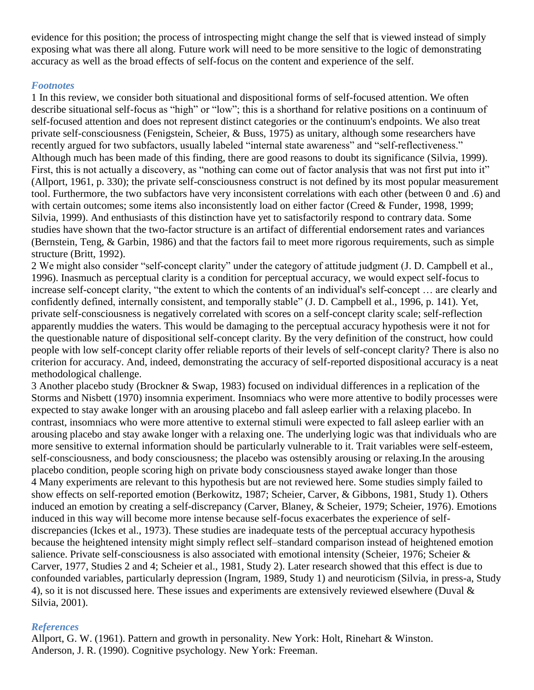evidence for this position; the process of introspecting might change the self that is viewed instead of simply exposing what was there all along. Future work will need to be more sensitive to the logic of demonstrating accuracy as well as the broad effects of self-focus on the content and experience of the self.

## *[Footnotes](http://web.ebscohost.com/ehost/detail?vid=5&hid=5&sid=74c256d9-b1e5-48dd-af8e-d73e1e227db6%40sessionmgr11&bdata=JnNpdGU9ZWhvc3QtbGl2ZQ%3d%3d#toc)*

[1](http://web.ebscohost.com/ehost/detail?vid=5&hid=5&sid=74c256d9-b1e5-48dd-af8e-d73e1e227db6%40sessionmgr11&bdata=JnNpdGU9ZWhvc3QtbGl2ZQ%3d%3d#b-fn1) In this review, we consider both situational and dispositional forms of self-focused attention. We often describe situational self-focus as "high" or "low"; this is a shorthand for relative positions on a continuum of self-focused attention and does not represent distinct categories or the continuum's endpoints. We also treat private self-consciousness [\(Fenigstein, Scheier, & Buss, 1975\)](http://web.ebscohost.com/ehost/detail?vid=5&hid=5&sid=74c256d9-b1e5-48dd-af8e-d73e1e227db6%40sessionmgr11&bdata=JnNpdGU9ZWhvc3QtbGl2ZQ%3d%3d#c43) as unitary, although some researchers have recently argued for two subfactors, usually labeled "internal state awareness" and "self-reflectiveness." Although much has been made of this finding, there are good reasons to doubt its significance [\(Silvia, 1999\)](http://web.ebscohost.com/ehost/detail?vid=5&hid=5&sid=74c256d9-b1e5-48dd-af8e-d73e1e227db6%40sessionmgr11&bdata=JnNpdGU9ZWhvc3QtbGl2ZQ%3d%3d#c112). First, this is not actually a discovery, as "nothing can come out of factor analysis that was not first put into it" [\(Allport, 1961,](http://web.ebscohost.com/ehost/detail?vid=5&hid=5&sid=74c256d9-b1e5-48dd-af8e-d73e1e227db6%40sessionmgr11&bdata=JnNpdGU9ZWhvc3QtbGl2ZQ%3d%3d#c1) p. 330); the private self-consciousness construct is not defined by its most popular measurement tool. Furthermore, the two subfactors have very inconsistent correlations with each other (between 0 and .6) and with certain outcomes; some items also inconsistently load on either factor [\(Creed & Funder, 1998,](http://web.ebscohost.com/ehost/detail?vid=5&hid=5&sid=74c256d9-b1e5-48dd-af8e-d73e1e227db6%40sessionmgr11&bdata=JnNpdGU9ZWhvc3QtbGl2ZQ%3d%3d#c24) [1999;](http://web.ebscohost.com/ehost/detail?vid=5&hid=5&sid=74c256d9-b1e5-48dd-af8e-d73e1e227db6%40sessionmgr11&bdata=JnNpdGU9ZWhvc3QtbGl2ZQ%3d%3d#c25) [Silvia, 1999\)](http://web.ebscohost.com/ehost/detail?vid=5&hid=5&sid=74c256d9-b1e5-48dd-af8e-d73e1e227db6%40sessionmgr11&bdata=JnNpdGU9ZWhvc3QtbGl2ZQ%3d%3d#c112). And enthusiasts of this distinction have yet to satisfactorily respond to contrary data. Some studies have shown that the two-factor structure is an artifact of differential endorsement rates and variances [\(Bernstein, Teng, & Garbin, 1986\)](http://web.ebscohost.com/ehost/detail?vid=5&hid=5&sid=74c256d9-b1e5-48dd-af8e-d73e1e227db6%40sessionmgr11&bdata=JnNpdGU9ZWhvc3QtbGl2ZQ%3d%3d#c9) and that the factors fail to meet more rigorous requirements, such as simple structure [\(Britt, 1992\)](http://web.ebscohost.com/ehost/detail?vid=5&hid=5&sid=74c256d9-b1e5-48dd-af8e-d73e1e227db6%40sessionmgr11&bdata=JnNpdGU9ZWhvc3QtbGl2ZQ%3d%3d#c11).

[2](http://web.ebscohost.com/ehost/detail?vid=5&hid=5&sid=74c256d9-b1e5-48dd-af8e-d73e1e227db6%40sessionmgr11&bdata=JnNpdGU9ZWhvc3QtbGl2ZQ%3d%3d#b-fn2) We might also consider "self-concept clarity" under the category of attitude judgment (J. D. Campbell et al., [1996\)](http://web.ebscohost.com/ehost/detail?vid=5&hid=5&sid=74c256d9-b1e5-48dd-af8e-d73e1e227db6%40sessionmgr11&bdata=JnNpdGU9ZWhvc3QtbGl2ZQ%3d%3d#c15). Inasmuch as perceptual clarity is a condition for perceptual accuracy, we would expect self-focus to increase self-concept clarity, "the extent to which the contents of an individual's self-concept ... are clearly and confidently defined, internally consistent, and temporally stable" [\(J. D. Campbell et al., 1996,](http://web.ebscohost.com/ehost/detail?vid=5&hid=5&sid=74c256d9-b1e5-48dd-af8e-d73e1e227db6%40sessionmgr11&bdata=JnNpdGU9ZWhvc3QtbGl2ZQ%3d%3d#c15) p. 141). Yet, private self-consciousness is negatively correlated with scores on a self-concept clarity scale; self-reflection apparently muddies the waters. This would be damaging to the perceptual accuracy hypothesis were it not for the questionable nature of dispositional self-concept clarity. By the very definition of the construct, how could people with low self-concept clarity offer reliable reports of their levels of self-concept clarity? There is also no criterion for accuracy. And, indeed, demonstrating the accuracy of self-reported dispositional accuracy is a neat methodological challenge.

[3](http://web.ebscohost.com/ehost/detail?vid=5&hid=5&sid=74c256d9-b1e5-48dd-af8e-d73e1e227db6%40sessionmgr11&bdata=JnNpdGU9ZWhvc3QtbGl2ZQ%3d%3d#b-fn3) Another placebo study [\(Brockner & Swap, 1983\)](http://web.ebscohost.com/ehost/detail?vid=5&hid=5&sid=74c256d9-b1e5-48dd-af8e-d73e1e227db6%40sessionmgr11&bdata=JnNpdGU9ZWhvc3QtbGl2ZQ%3d%3d#c13) focused on individual differences in a replication of the [Storms and Nisbett \(1970\)](http://web.ebscohost.com/ehost/detail?vid=5&hid=5&sid=74c256d9-b1e5-48dd-af8e-d73e1e227db6%40sessionmgr11&bdata=JnNpdGU9ZWhvc3QtbGl2ZQ%3d%3d#c119) insomnia experiment. Insomniacs who were more attentive to bodily processes were expected to stay awake longer with an arousing placebo and fall asleep earlier with a relaxing placebo. In contrast, insomniacs who were more attentive to external stimuli were expected to fall asleep earlier with an arousing placebo and stay awake longer with a relaxing one. The underlying logic was that individuals who are more sensitive to external information should be particularly vulnerable to it. Trait variables were self-esteem, self-consciousness, and body consciousness; the placebo was ostensibly arousing or relaxing.In the arousing placebo condition, people scoring high on private body consciousness stayed awake longer than those [4](http://web.ebscohost.com/ehost/detail?vid=5&hid=5&sid=74c256d9-b1e5-48dd-af8e-d73e1e227db6%40sessionmgr11&bdata=JnNpdGU9ZWhvc3QtbGl2ZQ%3d%3d#b-fn4) Many experiments are relevant to this hypothesis but are not reviewed here. Some studies simply failed to show effects on self-reported emotion [\(Berkowitz, 1987;](http://web.ebscohost.com/ehost/detail?vid=5&hid=5&sid=74c256d9-b1e5-48dd-af8e-d73e1e227db6%40sessionmgr11&bdata=JnNpdGU9ZWhvc3QtbGl2ZQ%3d%3d#c7) [Scheier, Carver, & Gibbons, 1981,](http://web.ebscohost.com/ehost/detail?vid=5&hid=5&sid=74c256d9-b1e5-48dd-af8e-d73e1e227db6%40sessionmgr11&bdata=JnNpdGU9ZWhvc3QtbGl2ZQ%3d%3d#c107) Study 1). Others induced an emotion by creating a self-discrepancy [\(Carver, Blaney, & Scheier, 1979;](http://web.ebscohost.com/ehost/detail?vid=5&hid=5&sid=74c256d9-b1e5-48dd-af8e-d73e1e227db6%40sessionmgr11&bdata=JnNpdGU9ZWhvc3QtbGl2ZQ%3d%3d#c19) [Scheier, 1976\)](http://web.ebscohost.com/ehost/detail?vid=5&hid=5&sid=74c256d9-b1e5-48dd-af8e-d73e1e227db6%40sessionmgr11&bdata=JnNpdGU9ZWhvc3QtbGl2ZQ%3d%3d#c103). Emotions induced in this way will become more intense because self-focus exacerbates the experience of selfdiscrepancies [\(Ickes et al., 1973\)](http://web.ebscohost.com/ehost/detail?vid=5&hid=5&sid=74c256d9-b1e5-48dd-af8e-d73e1e227db6%40sessionmgr11&bdata=JnNpdGU9ZWhvc3QtbGl2ZQ%3d%3d#c63). These studies are inadequate tests of the perceptual accuracy hypothesis because the heightened intensity might simply reflect self–standard comparison instead of heightened emotion salience. Private self-consciousness is also associated with emotional intensity [\(Scheier, 1976;](http://web.ebscohost.com/ehost/detail?vid=5&hid=5&sid=74c256d9-b1e5-48dd-af8e-d73e1e227db6%40sessionmgr11&bdata=JnNpdGU9ZWhvc3QtbGl2ZQ%3d%3d#c103) Scheier & [Carver, 1977,](http://web.ebscohost.com/ehost/detail?vid=5&hid=5&sid=74c256d9-b1e5-48dd-af8e-d73e1e227db6%40sessionmgr11&bdata=JnNpdGU9ZWhvc3QtbGl2ZQ%3d%3d#c104) Studies 2 and 4; [Scheier et al., 1981,](http://web.ebscohost.com/ehost/detail?vid=5&hid=5&sid=74c256d9-b1e5-48dd-af8e-d73e1e227db6%40sessionmgr11&bdata=JnNpdGU9ZWhvc3QtbGl2ZQ%3d%3d#c107) Study 2). Later research showed that this effect is due to confounded variables, particularly depression [\(Ingram, 1989,](http://web.ebscohost.com/ehost/detail?vid=5&hid=5&sid=74c256d9-b1e5-48dd-af8e-d73e1e227db6%40sessionmgr11&bdata=JnNpdGU9ZWhvc3QtbGl2ZQ%3d%3d#c64) Study 1) and neuroticism [\(Silvia, in press-a,](http://web.ebscohost.com/ehost/detail?vid=5&hid=5&sid=74c256d9-b1e5-48dd-af8e-d73e1e227db6%40sessionmgr11&bdata=JnNpdGU9ZWhvc3QtbGl2ZQ%3d%3d#c114) Study 4), so it is not discussed here. These issues and experiments are extensively reviewed elsewhere [\(Duval &](http://web.ebscohost.com/ehost/detail?vid=5&hid=5&sid=74c256d9-b1e5-48dd-af8e-d73e1e227db6%40sessionmgr11&bdata=JnNpdGU9ZWhvc3QtbGl2ZQ%3d%3d#c34)  [Silvia, 2001\)](http://web.ebscohost.com/ehost/detail?vid=5&hid=5&sid=74c256d9-b1e5-48dd-af8e-d73e1e227db6%40sessionmgr11&bdata=JnNpdGU9ZWhvc3QtbGl2ZQ%3d%3d#c34).

# *[References](http://web.ebscohost.com/ehost/detail?vid=5&hid=5&sid=74c256d9-b1e5-48dd-af8e-d73e1e227db6%40sessionmgr11&bdata=JnNpdGU9ZWhvc3QtbGl2ZQ%3d%3d#toc)*

Allport, G. W. (1961). Pattern and growth in personality. New York: Holt, Rinehart & Winston. Anderson, J. R. (1990). Cognitive psychology. New York: Freeman.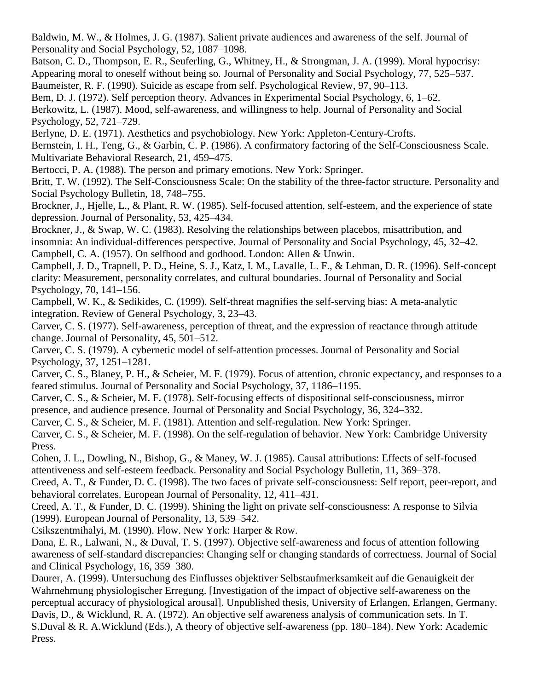Baldwin, M. W., & Holmes, J. G. (1987). Salient private audiences and awareness of the self. Journal of Personality and Social Psychology, 52, 1087–1098.

Batson, C. D., Thompson, E. R., Seuferling, G., Whitney, H., & Strongman, J. A. (1999). Moral hypocrisy: Appearing moral to oneself without being so. Journal of Personality and Social Psychology, 77, 525–537. Baumeister, R. F. (1990). Suicide as escape from self. Psychological Review, 97, 90–113.

Bem, D. J. (1972). Self perception theory. Advances in Experimental Social Psychology, 6, 1–62. Berkowitz, L. (1987). Mood, self-awareness, and willingness to help. Journal of Personality and Social Psychology, 52, 721–729.

Berlyne, D. E. (1971). Aesthetics and psychobiology. New York: Appleton-Century-Crofts.

Bernstein, I. H., Teng, G., & Garbin, C. P. (1986). A confirmatory factoring of the Self-Consciousness Scale. Multivariate Behavioral Research, 21, 459–475.

Bertocci, P. A. (1988). The person and primary emotions. New York: Springer.

Britt, T. W. (1992). The Self-Consciousness Scale: On the stability of the three-factor structure. Personality and Social Psychology Bulletin, 18, 748–755.

Brockner, J., Hjelle, L., & Plant, R. W. (1985). Self-focused attention, self-esteem, and the experience of state depression. Journal of Personality, 53, 425–434.

Brockner, J., & Swap, W. C. (1983). Resolving the relationships between placebos, misattribution, and insomnia: An individual-differences perspective. Journal of Personality and Social Psychology, 45, 32–42. Campbell, C. A. (1957). On selfhood and godhood. London: Allen & Unwin.

Campbell, J. D., Trapnell, P. D., Heine, S. J., Katz, I. M., Lavalle, L. F., & Lehman, D. R. (1996). Self-concept clarity: Measurement, personality correlates, and cultural boundaries. Journal of Personality and Social Psychology, 70, 141–156.

Campbell, W. K., & Sedikides, C. (1999). Self-threat magnifies the self-serving bias: A meta-analytic integration. Review of General Psychology, 3, 23–43.

Carver, C. S. (1977). Self-awareness, perception of threat, and the expression of reactance through attitude change. Journal of Personality, 45, 501–512.

Carver, C. S. (1979). A cybernetic model of self-attention processes. Journal of Personality and Social Psychology, 37, 1251–1281.

Carver, C. S., Blaney, P. H., & Scheier, M. F. (1979). Focus of attention, chronic expectancy, and responses to a feared stimulus. Journal of Personality and Social Psychology, 37, 1186–1195.

Carver, C. S., & Scheier, M. F. (1978). Self-focusing effects of dispositional self-consciousness, mirror presence, and audience presence. Journal of Personality and Social Psychology, 36, 324–332.

Carver, C. S., & Scheier, M. F. (1981). Attention and self-regulation. New York: Springer.

Carver, C. S., & Scheier, M. F. (1998). On the self-regulation of behavior. New York: Cambridge University Press.

Cohen, J. L., Dowling, N., Bishop, G., & Maney, W. J. (1985). Causal attributions: Effects of self-focused attentiveness and self-esteem feedback. Personality and Social Psychology Bulletin, 11, 369–378.

Creed, A. T., & Funder, D. C. (1998). The two faces of private self-consciousness: Self report, peer-report, and behavioral correlates. European Journal of Personality, 12, 411–431.

Creed, A. T., & Funder, D. C. (1999). Shining the light on private self-consciousness: A response to Silvia (1999). European Journal of Personality, 13, 539–542.

Csikszentmihalyi, M. (1990). Flow. New York: Harper & Row.

Dana, E. R., Lalwani, N., & Duval, T. S. (1997). Objective self-awareness and focus of attention following awareness of self-standard discrepancies: Changing self or changing standards of correctness. Journal of Social and Clinical Psychology, 16, 359–380.

Daurer, A. (1999). Untersuchung des Einflusses objektiver Selbstaufmerksamkeit auf die Genauigkeit der Wahrnehmung physiologischer Erregung. [Investigation of the impact of objective self-awareness on the perceptual accuracy of physiological arousal]. Unpublished thesis, University of Erlangen, Erlangen, Germany. Davis, D., & Wicklund, R. A. (1972). An objective self awareness analysis of communication sets. In T. S.Duval & R. A.Wicklund (Eds.), A theory of objective self-awareness (pp. 180–184). New York: Academic Press.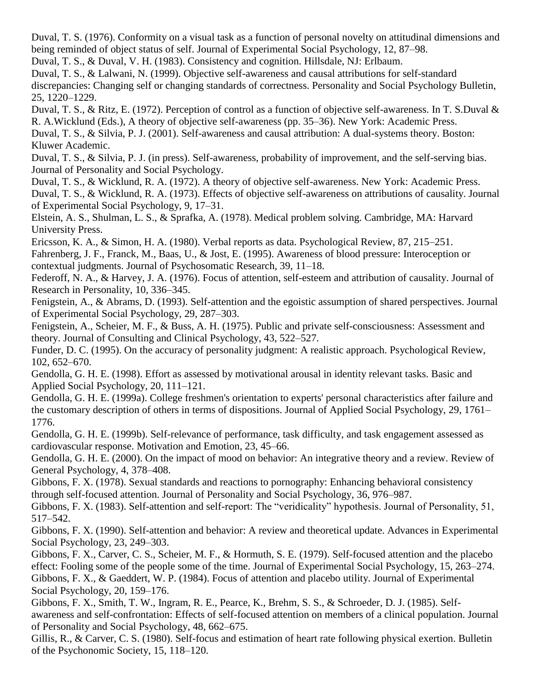Duval, T. S. (1976). Conformity on a visual task as a function of personal novelty on attitudinal dimensions and being reminded of object status of self. Journal of Experimental Social Psychology, 12, 87–98.

Duval, T. S., & Duval, V. H. (1983). Consistency and cognition. Hillsdale, NJ: Erlbaum.

Duval, T. S., & Lalwani, N. (1999). Objective self-awareness and causal attributions for self-standard discrepancies: Changing self or changing standards of correctness. Personality and Social Psychology Bulletin, 25, 1220–1229.

Duval, T. S., & Ritz, E. (1972). Perception of control as a function of objective self-awareness. In T. S.Duval & R. A.Wicklund (Eds.), A theory of objective self-awareness (pp. 35–36). New York: Academic Press.

Duval, T. S., & Silvia, P. J. (2001). Self-awareness and causal attribution: A dual-systems theory. Boston: Kluwer Academic.

Duval, T. S., & Silvia, P. J. (in press). Self-awareness, probability of improvement, and the self-serving bias. Journal of Personality and Social Psychology.

Duval, T. S., & Wicklund, R. A. (1972). A theory of objective self-awareness. New York: Academic Press. Duval, T. S., & Wicklund, R. A. (1973). Effects of objective self-awareness on attributions of causality. Journal of Experimental Social Psychology, 9, 17–31.

Elstein, A. S., Shulman, L. S., & Sprafka, A. (1978). Medical problem solving. Cambridge, MA: Harvard University Press.

Ericsson, K. A., & Simon, H. A. (1980). Verbal reports as data. Psychological Review, 87, 215–251. Fahrenberg, J. F., Franck, M., Baas, U., & Jost, E. (1995). Awareness of blood pressure: Interoception or contextual judgments. Journal of Psychosomatic Research, 39, 11–18.

Federoff, N. A., & Harvey, J. A. (1976). Focus of attention, self-esteem and attribution of causality. Journal of Research in Personality, 10, 336–345.

Fenigstein, A., & Abrams, D. (1993). Self-attention and the egoistic assumption of shared perspectives. Journal of Experimental Social Psychology, 29, 287–303.

Fenigstein, A., Scheier, M. F., & Buss, A. H. (1975). Public and private self-consciousness: Assessment and theory. Journal of Consulting and Clinical Psychology, 43, 522–527.

Funder, D. C. (1995). On the accuracy of personality judgment: A realistic approach. Psychological Review, 102, 652–670.

Gendolla, G. H. E. (1998). Effort as assessed by motivational arousal in identity relevant tasks. Basic and Applied Social Psychology, 20, 111–121.

Gendolla, G. H. E. (1999a). College freshmen's orientation to experts' personal characteristics after failure and the customary description of others in terms of dispositions. Journal of Applied Social Psychology, 29, 1761– 1776.

Gendolla, G. H. E. (1999b). Self-relevance of performance, task difficulty, and task engagement assessed as cardiovascular response. Motivation and Emotion, 23, 45–66.

Gendolla, G. H. E. (2000). On the impact of mood on behavior: An integrative theory and a review. Review of General Psychology, 4, 378–408.

Gibbons, F. X. (1978). Sexual standards and reactions to pornography: Enhancing behavioral consistency through self-focused attention. Journal of Personality and Social Psychology, 36, 976–987.

Gibbons, F. X. (1983). Self-attention and self-report: The "veridicality" hypothesis. Journal of Personality, 51, 517–542.

Gibbons, F. X. (1990). Self-attention and behavior: A review and theoretical update. Advances in Experimental Social Psychology, 23, 249–303.

Gibbons, F. X., Carver, C. S., Scheier, M. F., & Hormuth, S. E. (1979). Self-focused attention and the placebo effect: Fooling some of the people some of the time. Journal of Experimental Social Psychology, 15, 263–274. Gibbons, F. X., & Gaeddert, W. P. (1984). Focus of attention and placebo utility. Journal of Experimental Social Psychology, 20, 159–176.

Gibbons, F. X., Smith, T. W., Ingram, R. E., Pearce, K., Brehm, S. S., & Schroeder, D. J. (1985). Selfawareness and self-confrontation: Effects of self-focused attention on members of a clinical population. Journal of Personality and Social Psychology, 48, 662–675.

Gillis, R., & Carver, C. S. (1980). Self-focus and estimation of heart rate following physical exertion. Bulletin of the Psychonomic Society, 15, 118–120.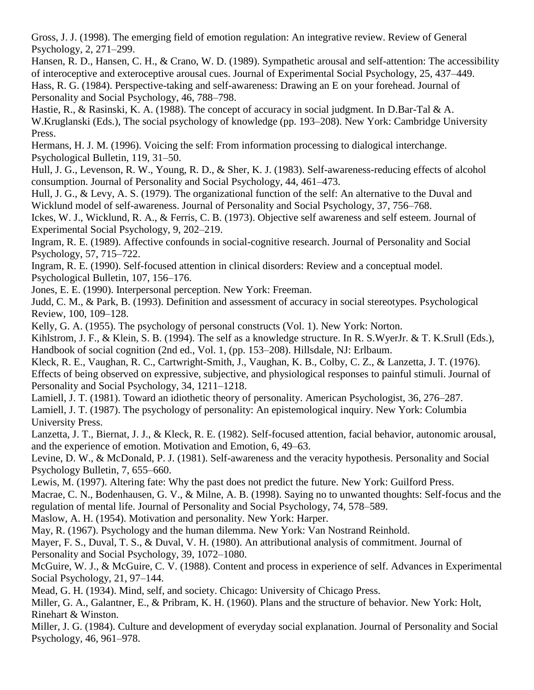Gross, J. J. (1998). The emerging field of emotion regulation: An integrative review. Review of General Psychology, 2, 271–299.

Hansen, R. D., Hansen, C. H., & Crano, W. D. (1989). Sympathetic arousal and self-attention: The accessibility of interoceptive and exteroceptive arousal cues. Journal of Experimental Social Psychology, 25, 437–449. Hass, R. G. (1984). Perspective-taking and self-awareness: Drawing an E on your forehead. Journal of Personality and Social Psychology, 46, 788–798.

Hastie, R., & Rasinski, K. A. (1988). The concept of accuracy in social judgment. In D.Bar-Tal & A. W.Kruglanski (Eds.), The social psychology of knowledge (pp. 193–208). New York: Cambridge University Press.

Hermans, H. J. M. (1996). Voicing the self: From information processing to dialogical interchange. Psychological Bulletin, 119, 31–50.

Hull, J. G., Levenson, R. W., Young, R. D., & Sher, K. J. (1983). Self-awareness-reducing effects of alcohol consumption. Journal of Personality and Social Psychology, 44, 461–473.

Hull, J. G., & Levy, A. S. (1979). The organizational function of the self: An alternative to the Duval and Wicklund model of self-awareness. Journal of Personality and Social Psychology, 37, 756–768.

Ickes, W. J., Wicklund, R. A., & Ferris, C. B. (1973). Objective self awareness and self esteem. Journal of Experimental Social Psychology, 9, 202–219.

Ingram, R. E. (1989). Affective confounds in social-cognitive research. Journal of Personality and Social Psychology, 57, 715–722.

Ingram, R. E. (1990). Self-focused attention in clinical disorders: Review and a conceptual model. Psychological Bulletin, 107, 156–176.

Jones, E. E. (1990). Interpersonal perception. New York: Freeman.

Judd, C. M., & Park, B. (1993). Definition and assessment of accuracy in social stereotypes. Psychological Review, 100, 109–128.

Kelly, G. A. (1955). The psychology of personal constructs (Vol. 1). New York: Norton.

Kihlstrom, J. F., & Klein, S. B. (1994). The self as a knowledge structure. In R. S.WyerJr. & T. K.Srull (Eds.), Handbook of social cognition (2nd ed., Vol. 1, (pp. 153–208). Hillsdale, NJ: Erlbaum.

Kleck, R. E., Vaughan, R. C., Cartwright-Smith, J., Vaughan, K. B., Colby, C. Z., & Lanzetta, J. T. (1976). Effects of being observed on expressive, subjective, and physiological responses to painful stimuli. Journal of Personality and Social Psychology, 34, 1211–1218.

Lamiell, J. T. (1981). Toward an idiothetic theory of personality. American Psychologist, 36, 276–287. Lamiell, J. T. (1987). The psychology of personality: An epistemological inquiry. New York: Columbia University Press.

Lanzetta, J. T., Biernat, J. J., & Kleck, R. E. (1982). Self-focused attention, facial behavior, autonomic arousal, and the experience of emotion. Motivation and Emotion, 6, 49–63.

Levine, D. W., & McDonald, P. J. (1981). Self-awareness and the veracity hypothesis. Personality and Social Psychology Bulletin, 7, 655–660.

Lewis, M. (1997). Altering fate: Why the past does not predict the future. New York: Guilford Press.

Macrae, C. N., Bodenhausen, G. V., & Milne, A. B. (1998). Saying no to unwanted thoughts: Self-focus and the regulation of mental life. Journal of Personality and Social Psychology, 74, 578–589.

Maslow, A. H. (1954). Motivation and personality. New York: Harper.

May, R. (1967). Psychology and the human dilemma. New York: Van Nostrand Reinhold.

Mayer, F. S., Duval, T. S., & Duval, V. H. (1980). An attributional analysis of commitment. Journal of Personality and Social Psychology, 39, 1072–1080.

McGuire, W. J., & McGuire, C. V. (1988). Content and process in experience of self. Advances in Experimental Social Psychology, 21, 97–144.

Mead, G. H. (1934). Mind, self, and society. Chicago: University of Chicago Press.

Miller, G. A., Galantner, E., & Pribram, K. H. (1960). Plans and the structure of behavior. New York: Holt, Rinehart & Winston.

Miller, J. G. (1984). Culture and development of everyday social explanation. Journal of Personality and Social Psychology, 46, 961–978.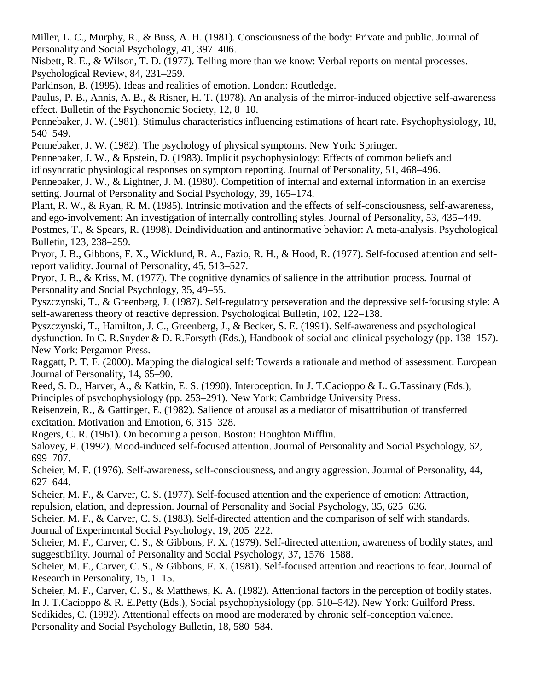Miller, L. C., Murphy, R., & Buss, A. H. (1981). Consciousness of the body: Private and public. Journal of Personality and Social Psychology, 41, 397–406.

Nisbett, R. E., & Wilson, T. D. (1977). Telling more than we know: Verbal reports on mental processes. Psychological Review, 84, 231–259.

Parkinson, B. (1995). Ideas and realities of emotion. London: Routledge.

Paulus, P. B., Annis, A. B., & Risner, H. T. (1978). An analysis of the mirror-induced objective self-awareness effect. Bulletin of the Psychonomic Society, 12, 8–10.

Pennebaker, J. W. (1981). Stimulus characteristics influencing estimations of heart rate. Psychophysiology, 18, 540–549.

Pennebaker, J. W. (1982). The psychology of physical symptoms. New York: Springer.

Pennebaker, J. W., & Epstein, D. (1983). Implicit psychophysiology: Effects of common beliefs and idiosyncratic physiological responses on symptom reporting. Journal of Personality, 51, 468–496.

Pennebaker, J. W., & Lightner, J. M. (1980). Competition of internal and external information in an exercise setting. Journal of Personality and Social Psychology, 39, 165–174.

Plant, R. W., & Ryan, R. M. (1985). Intrinsic motivation and the effects of self-consciousness, self-awareness, and ego-involvement: An investigation of internally controlling styles. Journal of Personality, 53, 435–449.

Postmes, T., & Spears, R. (1998). Deindividuation and antinormative behavior: A meta-analysis. Psychological Bulletin, 123, 238–259.

Pryor, J. B., Gibbons, F. X., Wicklund, R. A., Fazio, R. H., & Hood, R. (1977). Self-focused attention and selfreport validity. Journal of Personality, 45, 513–527.

Pryor, J. B., & Kriss, M. (1977). The cognitive dynamics of salience in the attribution process. Journal of Personality and Social Psychology, 35, 49–55.

Pyszczynski, T., & Greenberg, J. (1987). Self-regulatory perseveration and the depressive self-focusing style: A self-awareness theory of reactive depression. Psychological Bulletin, 102, 122–138.

Pyszczynski, T., Hamilton, J. C., Greenberg, J., & Becker, S. E. (1991). Self-awareness and psychological dysfunction. In C. R.Snyder & D. R.Forsyth (Eds.), Handbook of social and clinical psychology (pp. 138–157). New York: Pergamon Press.

Raggatt, P. T. F. (2000). Mapping the dialogical self: Towards a rationale and method of assessment. European Journal of Personality, 14, 65–90.

Reed, S. D., Harver, A., & Katkin, E. S. (1990). Interoception. In J. T.Cacioppo & L. G.Tassinary (Eds.), Principles of psychophysiology (pp. 253–291). New York: Cambridge University Press.

Reisenzein, R., & Gattinger, E. (1982). Salience of arousal as a mediator of misattribution of transferred excitation. Motivation and Emotion, 6, 315–328.

Rogers, C. R. (1961). On becoming a person. Boston: Houghton Mifflin.

Salovey, P. (1992). Mood-induced self-focused attention. Journal of Personality and Social Psychology, 62, 699–707.

Scheier, M. F. (1976). Self-awareness, self-consciousness, and angry aggression. Journal of Personality, 44, 627–644.

Scheier, M. F., & Carver, C. S. (1977). Self-focused attention and the experience of emotion: Attraction, repulsion, elation, and depression. Journal of Personality and Social Psychology, 35, 625–636.

Scheier, M. F., & Carver, C. S. (1983). Self-directed attention and the comparison of self with standards. Journal of Experimental Social Psychology, 19, 205–222.

Scheier, M. F., Carver, C. S., & Gibbons, F. X. (1979). Self-directed attention, awareness of bodily states, and suggestibility. Journal of Personality and Social Psychology, 37, 1576–1588.

Scheier, M. F., Carver, C. S., & Gibbons, F. X. (1981). Self-focused attention and reactions to fear. Journal of Research in Personality, 15, 1–15.

Scheier, M. F., Carver, C. S., & Matthews, K. A. (1982). Attentional factors in the perception of bodily states. In J. T.Cacioppo & R. E.Petty (Eds.), Social psychophysiology (pp. 510–542). New York: Guilford Press. Sedikides, C. (1992). Attentional effects on mood are moderated by chronic self-conception valence. Personality and Social Psychology Bulletin, 18, 580–584.